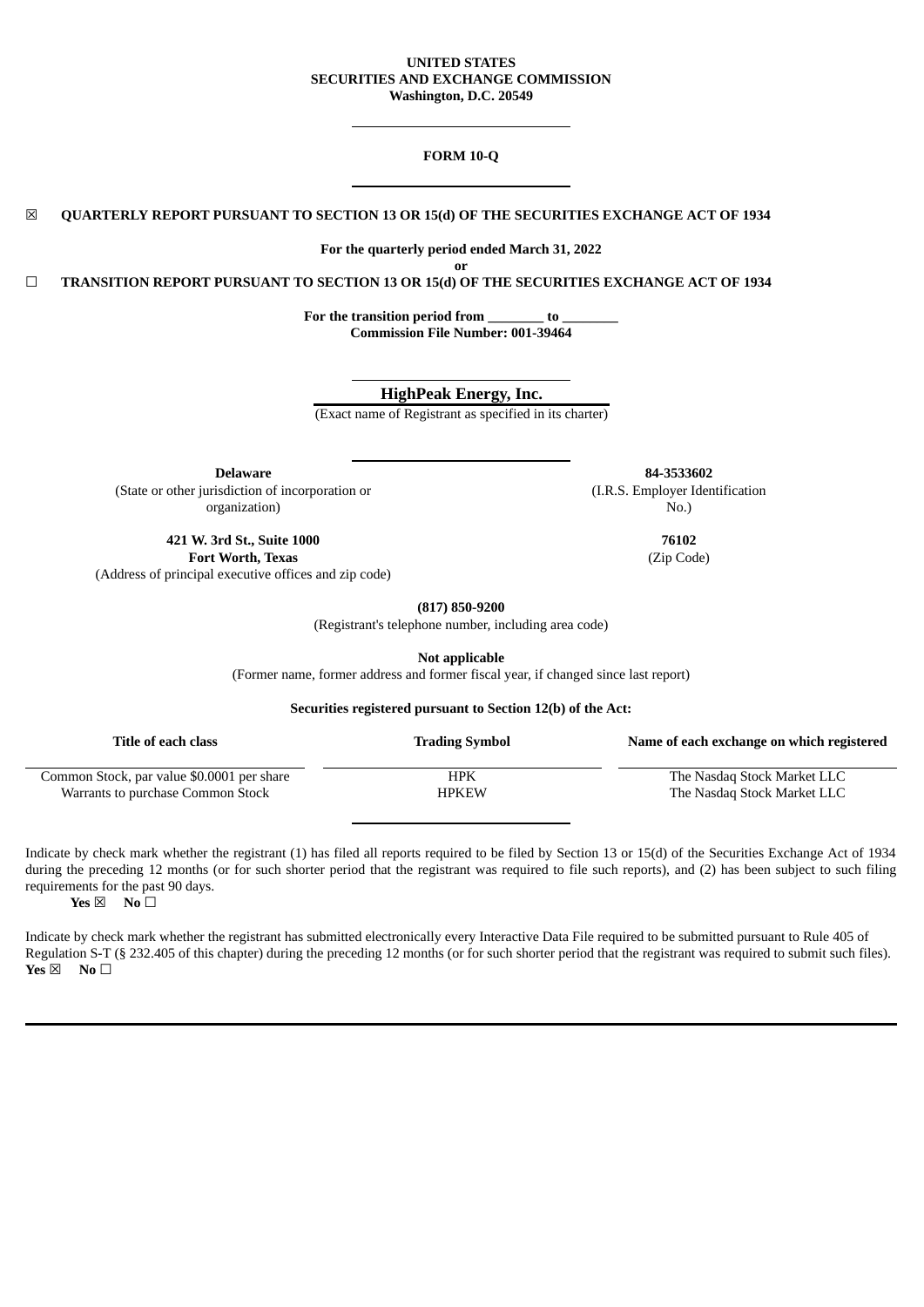### **UNITED STATES SECURITIES AND EXCHANGE COMMISSION Washington, D.C. 20549**

### **FORM 10-Q**

☒ **QUARTERLY REPORT PURSUANT TO SECTION 13 OR 15(d) OF THE SECURITIES EXCHANGE ACT OF 1934**

**For the quarterly period ended March 31, 2022 or**

☐ **TRANSITION REPORT PURSUANT TO SECTION 13 OR 15(d) OF THE SECURITIES EXCHANGE ACT OF 1934**

**For the transition period from \_\_\_\_\_\_\_\_ to \_\_\_\_\_\_\_\_ Commission File Number: 001-39464**

**HighPeak Energy, Inc.**

(Exact name of Registrant as specified in its charter)

**Delaware 84-3533602** (State or other jurisdiction of incorporation or organization)

**421 W. 3rd St., Suite 1000 76102 Fort Worth, Texas** (Zip Code) (Address of principal executive offices and zip code)

**(817) 850-9200**

(Registrant's telephone number, including area code)

**Not applicable**

(Former name, former address and former fiscal year, if changed since last report)

**Securities registered pursuant to Section 12(b) of the Act:**

| Title of each class                        | <b>Trading Symbol</b> | Name of each exchange on which registered |
|--------------------------------------------|-----------------------|-------------------------------------------|
| Common Stock, par value \$0.0001 per share | HPK                   | The Nasdag Stock Market LLC               |
| Warrants to purchase Common Stock          | <b>HPKEW</b>          | The Nasdag Stock Market LLC               |

Indicate by check mark whether the registrant (1) has filed all reports required to be filed by Section 13 or 15(d) of the Securities Exchange Act of 1934 during the preceding 12 months (or for such shorter period that the registrant was required to file such reports), and (2) has been subject to such filing requirements for the past 90 days.

**Yes** ⊠ **No** □

Indicate by check mark whether the registrant has submitted electronically every Interactive Data File required to be submitted pursuant to Rule 405 of Regulation S-T (§ 232.405 of this chapter) during the preceding 12 months (or for such shorter period that the registrant was required to submit such files). **Yes** ⊠ **No** □

(I.R.S. Employer Identification No.)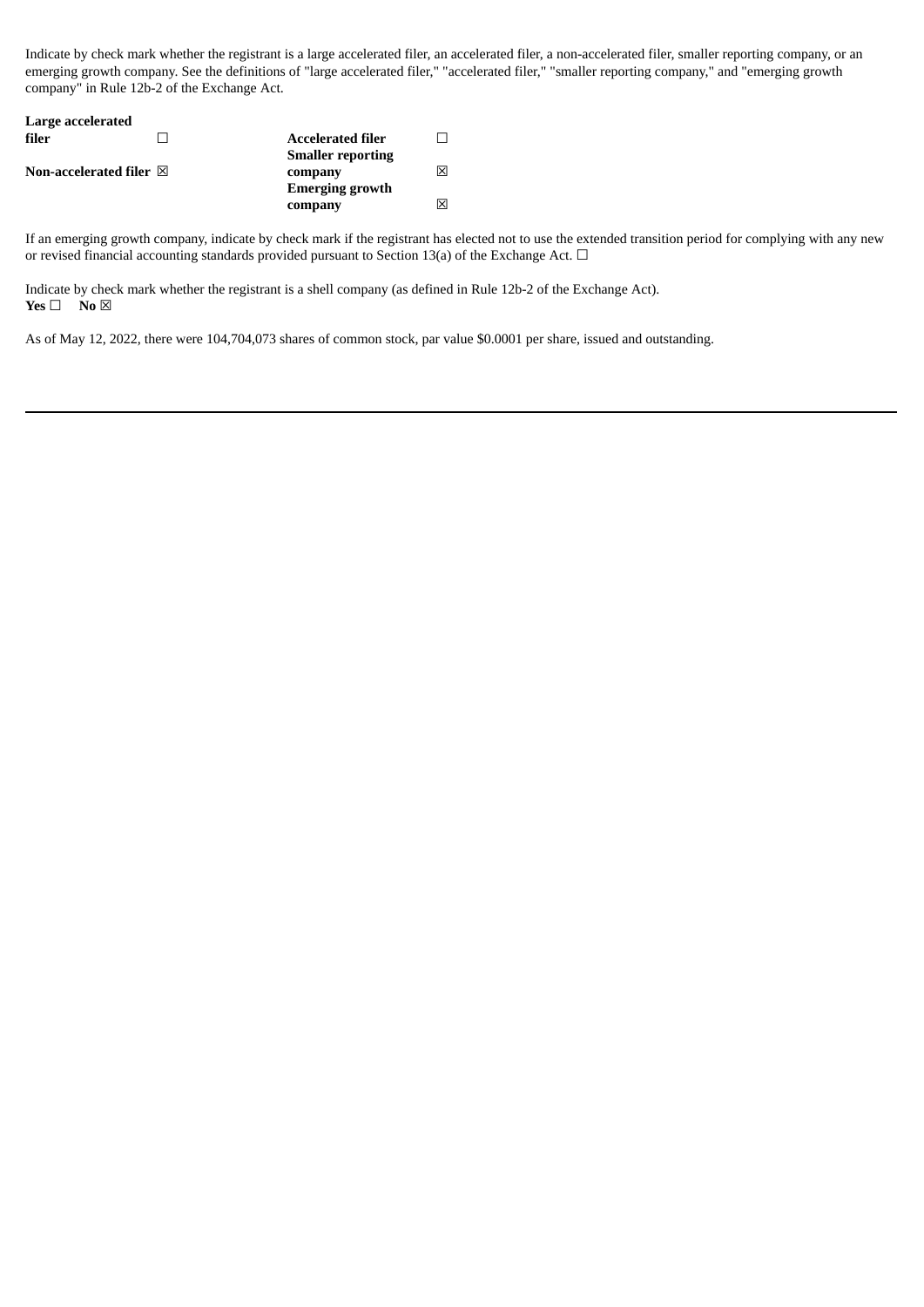Indicate by check mark whether the registrant is a large accelerated filer, an accelerated filer, a non-accelerated filer, smaller reporting company, or an emerging growth company. See the definitions of "large accelerated filer," "accelerated filer," "smaller reporting company," and "emerging growth company" in Rule 12b-2 of the Exchange Act.

| Large accelerated                 |                          |     |
|-----------------------------------|--------------------------|-----|
| filer                             | <b>Accelerated filer</b> |     |
|                                   | <b>Smaller reporting</b> |     |
| Non-accelerated filer $\boxtimes$ | company                  | ⊠   |
|                                   | <b>Emerging growth</b>   |     |
|                                   | company                  | Ι×Ι |

If an emerging growth company, indicate by check mark if the registrant has elected not to use the extended transition period for complying with any new or revised financial accounting standards provided pursuant to Section 13(a) of the Exchange Act.  $\Box$ 

Indicate by check mark whether the registrant is a shell company (as defined in Rule 12b-2 of the Exchange Act). **Yes** □ **No** ⊠

As of May 12, 2022, there were 104,704,073 shares of common stock, par value \$0.0001 per share, issued and outstanding.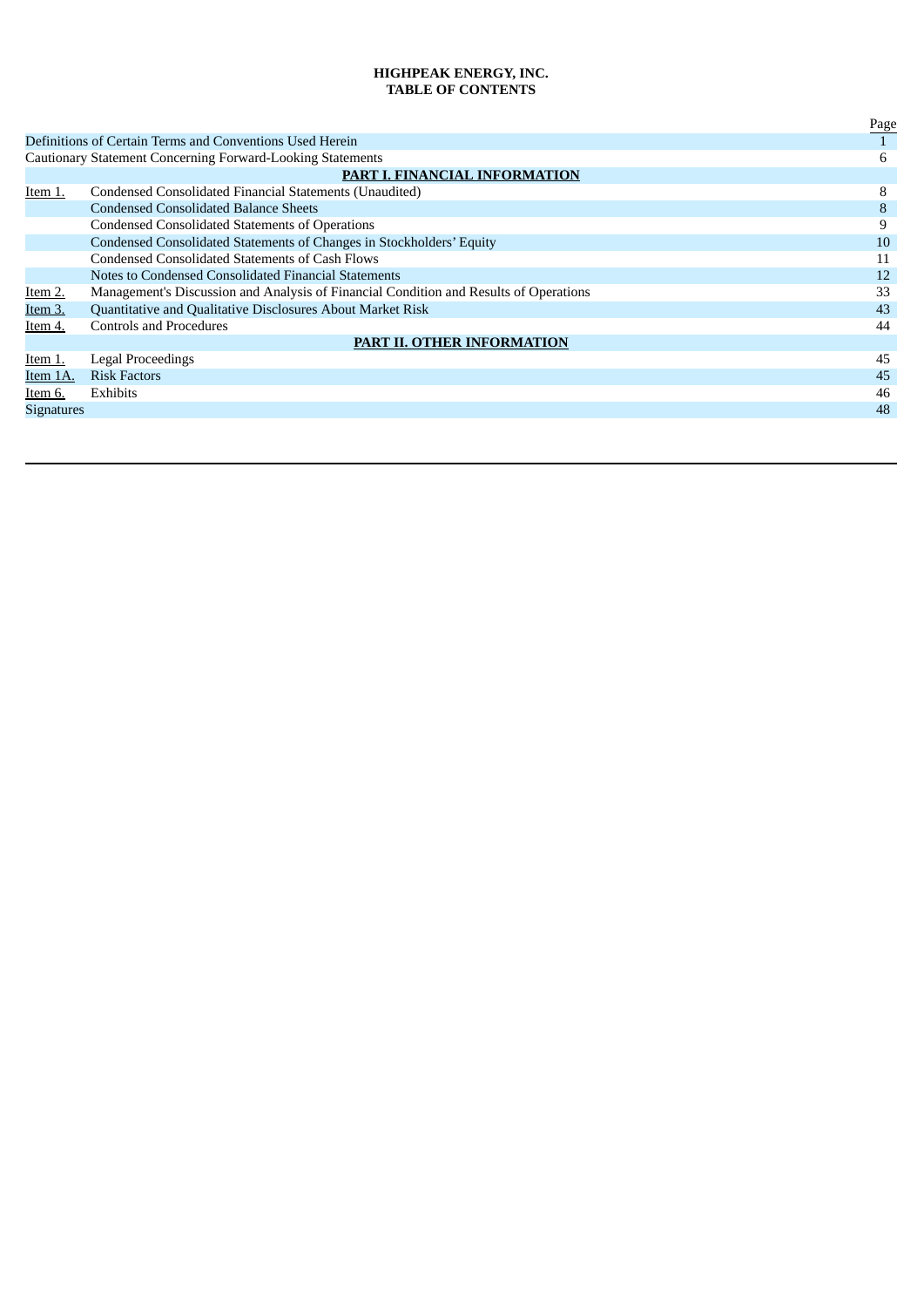# **HIGHPEAK ENERGY, INC. TABLE OF CONTENTS**

|                   |                                                                                       | Page |
|-------------------|---------------------------------------------------------------------------------------|------|
|                   | Definitions of Certain Terms and Conventions Used Herein                              |      |
|                   | <b>Cautionary Statement Concerning Forward-Looking Statements</b>                     | 6    |
|                   | PART I. FINANCIAL INFORMATION                                                         |      |
| Item 1.           | Condensed Consolidated Financial Statements (Unaudited)                               | 8    |
|                   | <b>Condensed Consolidated Balance Sheets</b>                                          | 8    |
|                   | <b>Condensed Consolidated Statements of Operations</b>                                | 9    |
|                   | Condensed Consolidated Statements of Changes in Stockholders' Equity                  | 10   |
|                   | Condensed Consolidated Statements of Cash Flows                                       | 11   |
|                   | Notes to Condensed Consolidated Financial Statements                                  | 12   |
| Item 2.           | Management's Discussion and Analysis of Financial Condition and Results of Operations | 33   |
| Item 3.           | Quantitative and Qualitative Disclosures About Market Risk                            | 43   |
| Item 4.           | <b>Controls and Procedures</b>                                                        | 44   |
|                   | <b>PART II. OTHER INFORMATION</b>                                                     |      |
| Item 1.           | Legal Proceedings                                                                     | 45   |
| Item 1A.          | <b>Risk Factors</b>                                                                   | 45   |
| Item 6.           | <b>Exhibits</b>                                                                       | 46   |
| <b>Signatures</b> |                                                                                       | 48   |
|                   |                                                                                       |      |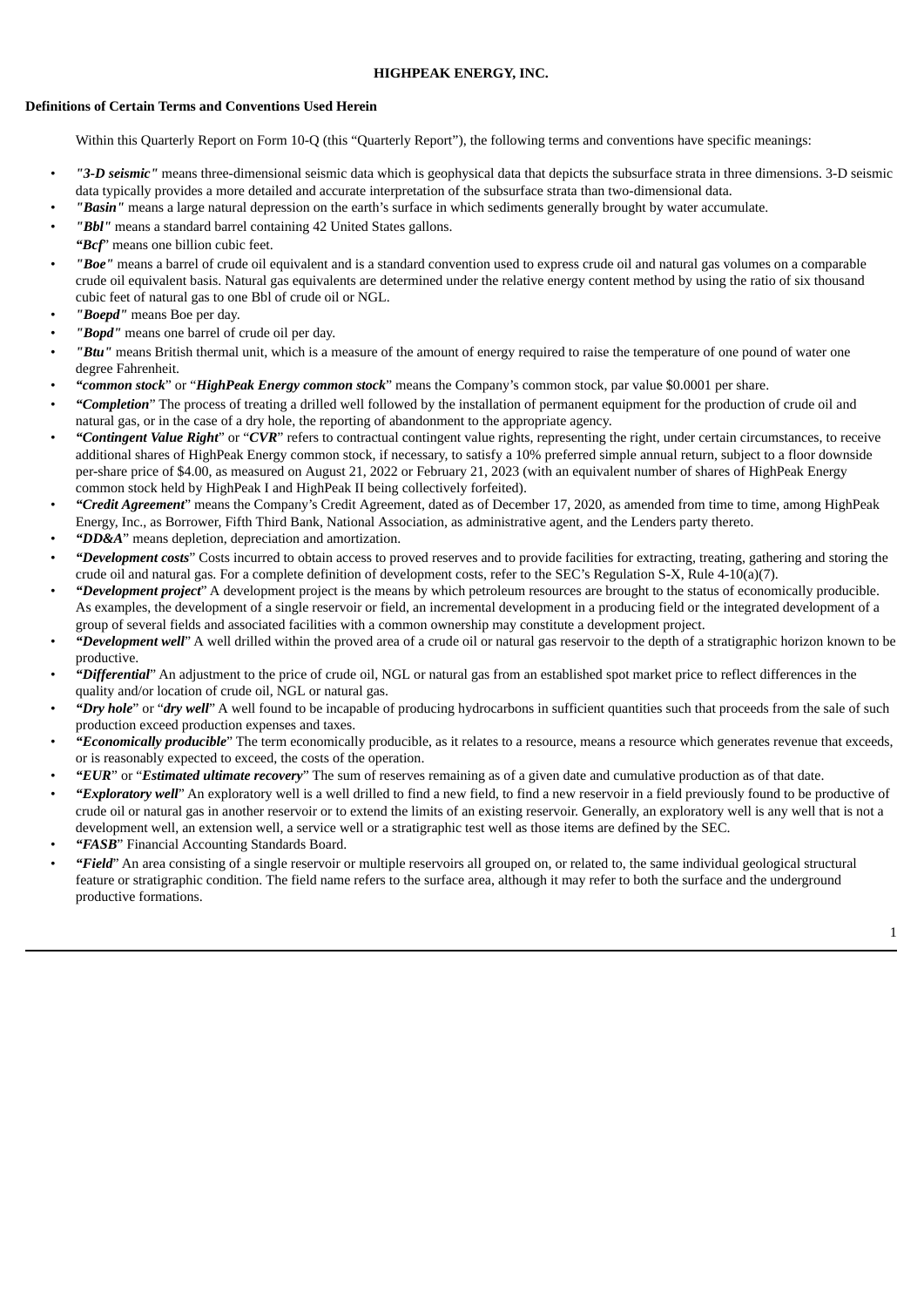# **HIGHPEAK ENERGY, INC.**

# **Definitions of Certain Terms and Conventions Used Herein**

Within this Quarterly Report on Form 10-Q (this "Quarterly Report"), the following terms and conventions have specific meanings:

- *"3-D seismic"* means three-dimensional seismic data which is geophysical data that depicts the subsurface strata in three dimensions. 3-D seismic data typically provides a more detailed and accurate interpretation of the subsurface strata than two-dimensional data.
	- *"Basin"* means a large natural depression on the earth's surface in which sediments generally brought by water accumulate.
- *"Bbl"* means a standard barrel containing 42 United States gallons.
- *"Bcf*" means one billion cubic feet.
- *"Boe"* means a barrel of crude oil equivalent and is a standard convention used to express crude oil and natural gas volumes on a comparable crude oil equivalent basis. Natural gas equivalents are determined under the relative energy content method by using the ratio of six thousand cubic feet of natural gas to one Bbl of crude oil or NGL.
- *"Boepd"* means Boe per day.
- *"Bopd"* means one barrel of crude oil per day.
- *"Btu"* means British thermal unit, which is a measure of the amount of energy required to raise the temperature of one pound of water one degree Fahrenheit.
- *"common stock*" or "*HighPeak Energy common stock*" means the Company's common stock, par value \$0.0001 per share.
- *"Completion*" The process of treating a drilled well followed by the installation of permanent equipment for the production of crude oil and natural gas, or in the case of a dry hole, the reporting of abandonment to the appropriate agency.
- *"Contingent Value Right*" or "*CVR*" refers to contractual contingent value rights, representing the right, under certain circumstances, to receive additional shares of HighPeak Energy common stock, if necessary, to satisfy a 10% preferred simple annual return, subject to a floor downside per-share price of \$4.00, as measured on August 21, 2022 or February 21, 2023 (with an equivalent number of shares of HighPeak Energy common stock held by HighPeak I and HighPeak II being collectively forfeited).
- *"Credit Agreement*" means the Company's Credit Agreement, dated as of December 17, 2020, as amended from time to time, among HighPeak Energy, Inc., as Borrower, Fifth Third Bank, National Association, as administrative agent, and the Lenders party thereto.
- *"DD&A*" means depletion, depreciation and amortization.
- *"Development costs*" Costs incurred to obtain access to proved reserves and to provide facilities for extracting, treating, gathering and storing the crude oil and natural gas. For a complete definition of development costs, refer to the SEC's Regulation S-X, Rule 4-10(a)(7).
- *"Development project*" A development project is the means by which petroleum resources are brought to the status of economically producible. As examples, the development of a single reservoir or field, an incremental development in a producing field or the integrated development of a group of several fields and associated facilities with a common ownership may constitute a development project.
- *"Development well*" A well drilled within the proved area of a crude oil or natural gas reservoir to the depth of a stratigraphic horizon known to be productive.
- *"Differential*" An adjustment to the price of crude oil, NGL or natural gas from an established spot market price to reflect differences in the quality and/or location of crude oil, NGL or natural gas.
- *"Dry hole*" or "*dry well*" A well found to be incapable of producing hydrocarbons in sufficient quantities such that proceeds from the sale of such production exceed production expenses and taxes.
- *"Economically producible*" The term economically producible, as it relates to a resource, means a resource which generates revenue that exceeds, or is reasonably expected to exceed, the costs of the operation.
- *"EUR*" or "*Estimated ultimate recovery*" The sum of reserves remaining as of a given date and cumulative production as of that date.
- *"Exploratory well*" An exploratory well is a well drilled to find a new field, to find a new reservoir in a field previously found to be productive of crude oil or natural gas in another reservoir or to extend the limits of an existing reservoir. Generally, an exploratory well is any well that is not a development well, an extension well, a service well or a stratigraphic test well as those items are defined by the SEC.
- *"FASB*" Financial Accounting Standards Board.
- *"Field*" An area consisting of a single reservoir or multiple reservoirs all grouped on, or related to, the same individual geological structural feature or stratigraphic condition. The field name refers to the surface area, although it may refer to both the surface and the underground productive formations.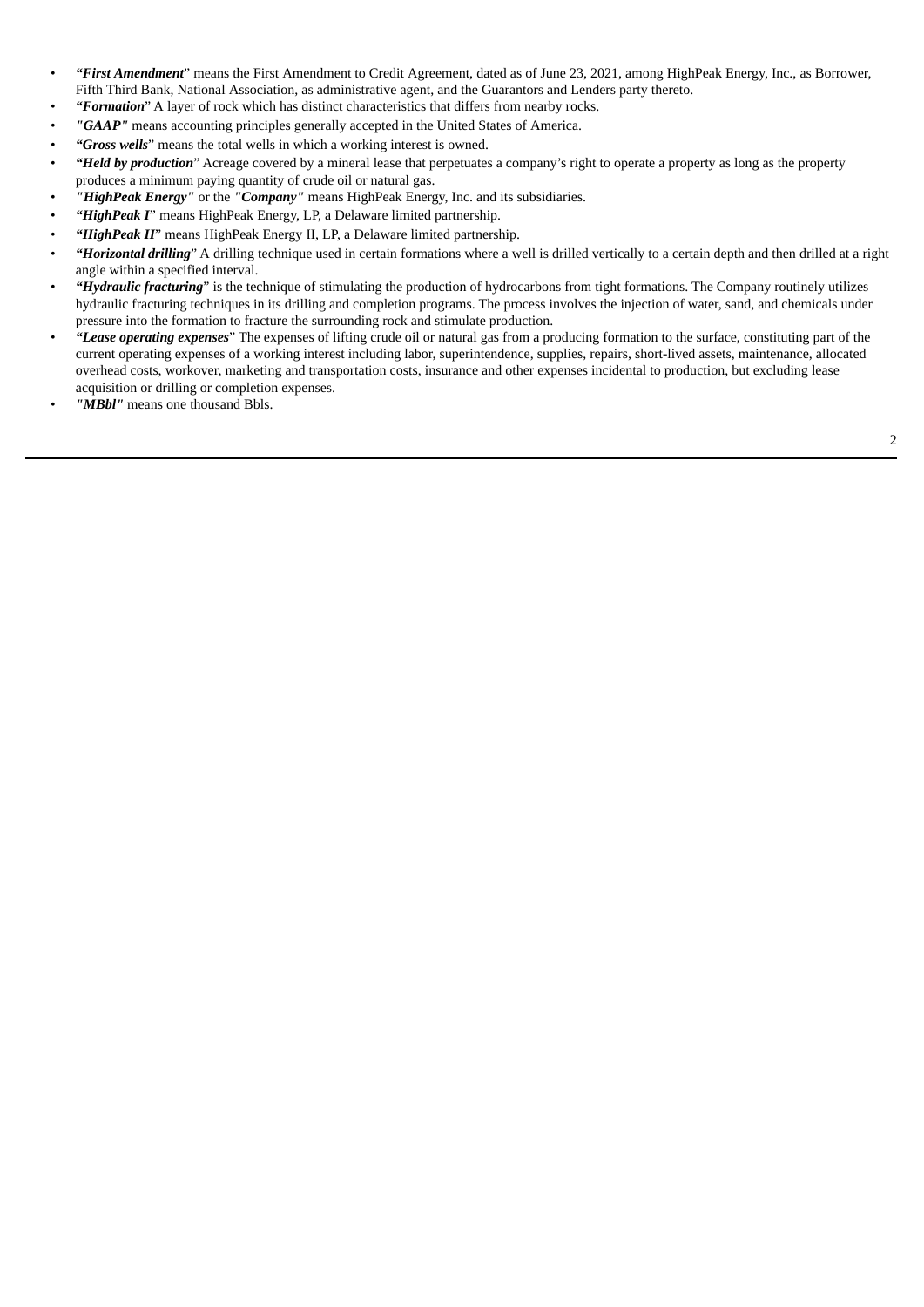- *"First Amendment*" means the First Amendment to Credit Agreement, dated as of June 23, 2021, among HighPeak Energy, Inc., as Borrower, Fifth Third Bank, National Association, as administrative agent, and the Guarantors and Lenders party thereto.
- *"Formation*" A layer of rock which has distinct characteristics that differs from nearby rocks.
- *"GAAP"* means accounting principles generally accepted in the United States of America.
- *"Gross wells*" means the total wells in which a working interest is owned.
- *"Held by production*" Acreage covered by a mineral lease that perpetuates a company's right to operate a property as long as the property produces a minimum paying quantity of crude oil or natural gas.
- *"HighPeak Energy"* or the *"Company"* means HighPeak Energy, Inc. and its subsidiaries.
- *"HighPeak I*" means HighPeak Energy, LP, a Delaware limited partnership.
- *"HighPeak II*" means HighPeak Energy II, LP, a Delaware limited partnership.
- *"Horizontal drilling*" A drilling technique used in certain formations where a well is drilled vertically to a certain depth and then drilled at a right angle within a specified interval.
- *"Hydraulic fracturing*" is the technique of stimulating the production of hydrocarbons from tight formations. The Company routinely utilizes hydraulic fracturing techniques in its drilling and completion programs. The process involves the injection of water, sand, and chemicals under pressure into the formation to fracture the surrounding rock and stimulate production.
- *"Lease operating expenses*" The expenses of lifting crude oil or natural gas from a producing formation to the surface, constituting part of the current operating expenses of a working interest including labor, superintendence, supplies, repairs, short-lived assets, maintenance, allocated overhead costs, workover, marketing and transportation costs, insurance and other expenses incidental to production, but excluding lease acquisition or drilling or completion expenses.
- *"MBbl"* means one thousand Bbls.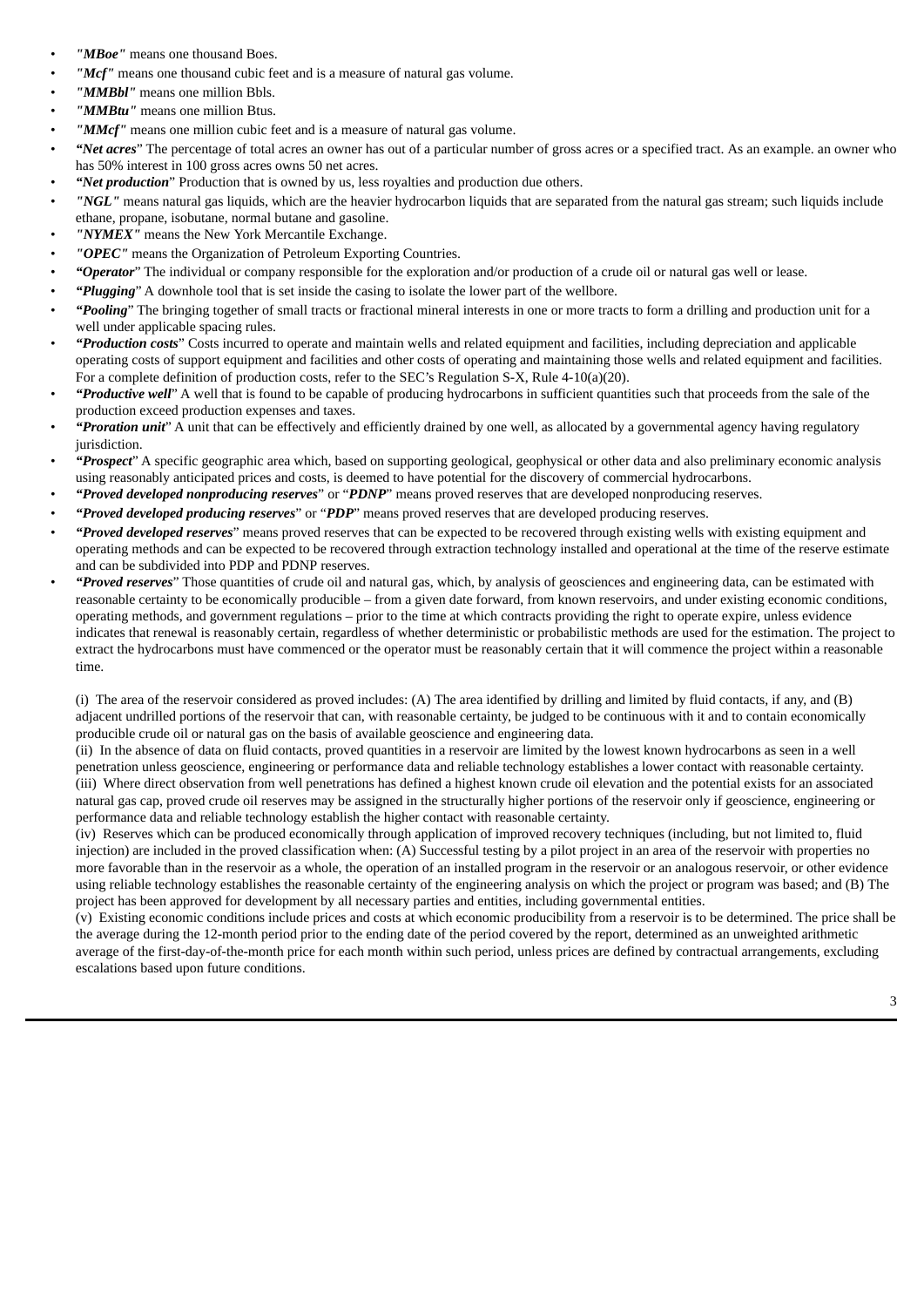- "MBoe" means one thousand Boes.
- "Mcf" means one thousand cubic feet and is a measure of natural gas volume.
- "**MMBbl**" means one million Bbls.
- *"MMBtu"* means one million Btus.
- "**MMcf**" means one million cubic feet and is a measure of natural gas volume.
- *"Net acres*" The percentage of total acres an owner has out of a particular number of gross acres or a specified tract. As an example. an owner who has 50% interest in 100 gross acres owns 50 net acres.
- *"Net production*" Production that is owned by us, less royalties and production due others.
- *"NGL"* means natural gas liquids, which are the heavier hydrocarbon liquids that are separated from the natural gas stream; such liquids include ethane, propane, isobutane, normal butane and gasoline.
- *"NYMEX"* means the New York Mercantile Exchange.
- *"OPEC"* means the Organization of Petroleum Exporting Countries.
- *"Operator*" The individual or company responsible for the exploration and/or production of a crude oil or natural gas well or lease.
- *"Plugging*" A downhole tool that is set inside the casing to isolate the lower part of the wellbore.
- *"Pooling*" The bringing together of small tracts or fractional mineral interests in one or more tracts to form a drilling and production unit for a well under applicable spacing rules.
- *"Production costs*" Costs incurred to operate and maintain wells and related equipment and facilities, including depreciation and applicable operating costs of support equipment and facilities and other costs of operating and maintaining those wells and related equipment and facilities. For a complete definition of production costs, refer to the SEC's Regulation S-X, Rule 4-10(a)(20).
- *"Productive well*" A well that is found to be capable of producing hydrocarbons in sufficient quantities such that proceeds from the sale of the production exceed production expenses and taxes.
- *"Proration unit*" A unit that can be effectively and efficiently drained by one well, as allocated by a governmental agency having regulatory jurisdiction.
- *"Prospect*" A specific geographic area which, based on supporting geological, geophysical or other data and also preliminary economic analysis using reasonably anticipated prices and costs, is deemed to have potential for the discovery of commercial hydrocarbons.
- *"Proved developed nonproducing reserves*" or "*PDNP*" means proved reserves that are developed nonproducing reserves.
- *"Proved developed producing reserves*" or "*PDP*" means proved reserves that are developed producing reserves.
- *"Proved developed reserves*" means proved reserves that can be expected to be recovered through existing wells with existing equipment and operating methods and can be expected to be recovered through extraction technology installed and operational at the time of the reserve estimate and can be subdivided into PDP and PDNP reserves.
- *"Proved reserves*" Those quantities of crude oil and natural gas, which, by analysis of geosciences and engineering data, can be estimated with reasonable certainty to be economically producible – from a given date forward, from known reservoirs, and under existing economic conditions, operating methods, and government regulations – prior to the time at which contracts providing the right to operate expire, unless evidence indicates that renewal is reasonably certain, regardless of whether deterministic or probabilistic methods are used for the estimation. The project to extract the hydrocarbons must have commenced or the operator must be reasonably certain that it will commence the project within a reasonable time.

(i) The area of the reservoir considered as proved includes: (A) The area identified by drilling and limited by fluid contacts, if any, and (B) adjacent undrilled portions of the reservoir that can, with reasonable certainty, be judged to be continuous with it and to contain economically producible crude oil or natural gas on the basis of available geoscience and engineering data.

(ii) In the absence of data on fluid contacts, proved quantities in a reservoir are limited by the lowest known hydrocarbons as seen in a well penetration unless geoscience, engineering or performance data and reliable technology establishes a lower contact with reasonable certainty. (iii) Where direct observation from well penetrations has defined a highest known crude oil elevation and the potential exists for an associated natural gas cap, proved crude oil reserves may be assigned in the structurally higher portions of the reservoir only if geoscience, engineering or performance data and reliable technology establish the higher contact with reasonable certainty.

(iv) Reserves which can be produced economically through application of improved recovery techniques (including, but not limited to, fluid injection) are included in the proved classification when: (A) Successful testing by a pilot project in an area of the reservoir with properties no more favorable than in the reservoir as a whole, the operation of an installed program in the reservoir or an analogous reservoir, or other evidence using reliable technology establishes the reasonable certainty of the engineering analysis on which the project or program was based; and (B) The project has been approved for development by all necessary parties and entities, including governmental entities.

(v) Existing economic conditions include prices and costs at which economic producibility from a reservoir is to be determined. The price shall be the average during the 12-month period prior to the ending date of the period covered by the report, determined as an unweighted arithmetic average of the first-day-of-the-month price for each month within such period, unless prices are defined by contractual arrangements, excluding escalations based upon future conditions.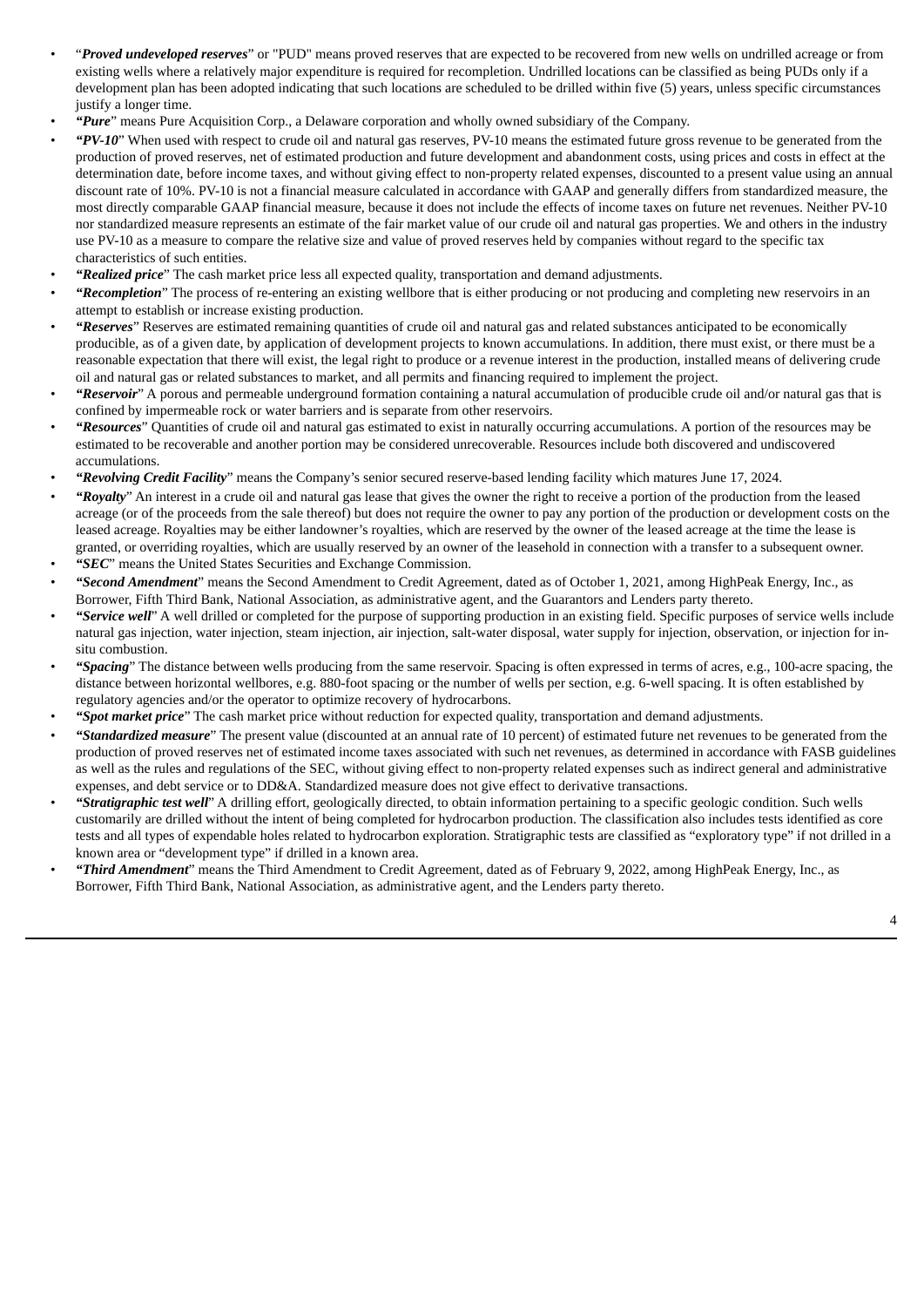- "*Proved undeveloped reserves*" or "PUD" means proved reserves that are expected to be recovered from new wells on undrilled acreage or from existing wells where a relatively major expenditure is required for recompletion. Undrilled locations can be classified as being PUDs only if a development plan has been adopted indicating that such locations are scheduled to be drilled within five (5) years, unless specific circumstances justify a longer time.
- *"Pure*" means Pure Acquisition Corp., a Delaware corporation and wholly owned subsidiary of the Company.
- *"PV-10*" When used with respect to crude oil and natural gas reserves, PV-10 means the estimated future gross revenue to be generated from the production of proved reserves, net of estimated production and future development and abandonment costs, using prices and costs in effect at the determination date, before income taxes, and without giving effect to non-property related expenses, discounted to a present value using an annual discount rate of 10%. PV-10 is not a financial measure calculated in accordance with GAAP and generally differs from standardized measure, the most directly comparable GAAP financial measure, because it does not include the effects of income taxes on future net revenues. Neither PV-10 nor standardized measure represents an estimate of the fair market value of our crude oil and natural gas properties. We and others in the industry use PV-10 as a measure to compare the relative size and value of proved reserves held by companies without regard to the specific tax characteristics of such entities.
- *"Realized price*" The cash market price less all expected quality, transportation and demand adjustments.
- *"Recompletion*" The process of re-entering an existing wellbore that is either producing or not producing and completing new reservoirs in an attempt to establish or increase existing production.
- *"Reserves*" Reserves are estimated remaining quantities of crude oil and natural gas and related substances anticipated to be economically producible, as of a given date, by application of development projects to known accumulations. In addition, there must exist, or there must be a reasonable expectation that there will exist, the legal right to produce or a revenue interest in the production, installed means of delivering crude oil and natural gas or related substances to market, and all permits and financing required to implement the project.
- *"Reservoir*" A porous and permeable underground formation containing a natural accumulation of producible crude oil and/or natural gas that is confined by impermeable rock or water barriers and is separate from other reservoirs.
- *"Resources*" Quantities of crude oil and natural gas estimated to exist in naturally occurring accumulations. A portion of the resources may be estimated to be recoverable and another portion may be considered unrecoverable. Resources include both discovered and undiscovered accumulations.
- *"Revolving Credit Facility*" means the Company's senior secured reserve-based lending facility which matures June 17, 2024.
- *"Royalty*" An interest in a crude oil and natural gas lease that gives the owner the right to receive a portion of the production from the leased acreage (or of the proceeds from the sale thereof) but does not require the owner to pay any portion of the production or development costs on the leased acreage. Royalties may be either landowner's royalties, which are reserved by the owner of the leased acreage at the time the lease is granted, or overriding royalties, which are usually reserved by an owner of the leasehold in connection with a transfer to a subsequent owner.
- *"SEC*" means the United States Securities and Exchange Commission.
- *"Second Amendment*" means the Second Amendment to Credit Agreement, dated as of October 1, 2021, among HighPeak Energy, Inc., as Borrower, Fifth Third Bank, National Association, as administrative agent, and the Guarantors and Lenders party thereto.
- *"Service well*" A well drilled or completed for the purpose of supporting production in an existing field. Specific purposes of service wells include natural gas injection, water injection, steam injection, air injection, salt-water disposal, water supply for injection, observation, or injection for insitu combustion.
- *"Spacing*" The distance between wells producing from the same reservoir. Spacing is often expressed in terms of acres, e.g., 100-acre spacing, the distance between horizontal wellbores, e.g. 880-foot spacing or the number of wells per section, e.g. 6-well spacing. It is often established by regulatory agencies and/or the operator to optimize recovery of hydrocarbons.
- *"Spot market price*" The cash market price without reduction for expected quality, transportation and demand adjustments.
- *"Standardized measure*" The present value (discounted at an annual rate of 10 percent) of estimated future net revenues to be generated from the production of proved reserves net of estimated income taxes associated with such net revenues, as determined in accordance with FASB guidelines as well as the rules and regulations of the SEC, without giving effect to non-property related expenses such as indirect general and administrative expenses, and debt service or to DD&A. Standardized measure does not give effect to derivative transactions.
- *"Stratigraphic test well*" A drilling effort, geologically directed, to obtain information pertaining to a specific geologic condition. Such wells customarily are drilled without the intent of being completed for hydrocarbon production. The classification also includes tests identified as core tests and all types of expendable holes related to hydrocarbon exploration. Stratigraphic tests are classified as "exploratory type" if not drilled in a known area or "development type" if drilled in a known area.
- *"Third Amendment*" means the Third Amendment to Credit Agreement, dated as of February 9, 2022, among HighPeak Energy, Inc., as Borrower, Fifth Third Bank, National Association, as administrative agent, and the Lenders party thereto.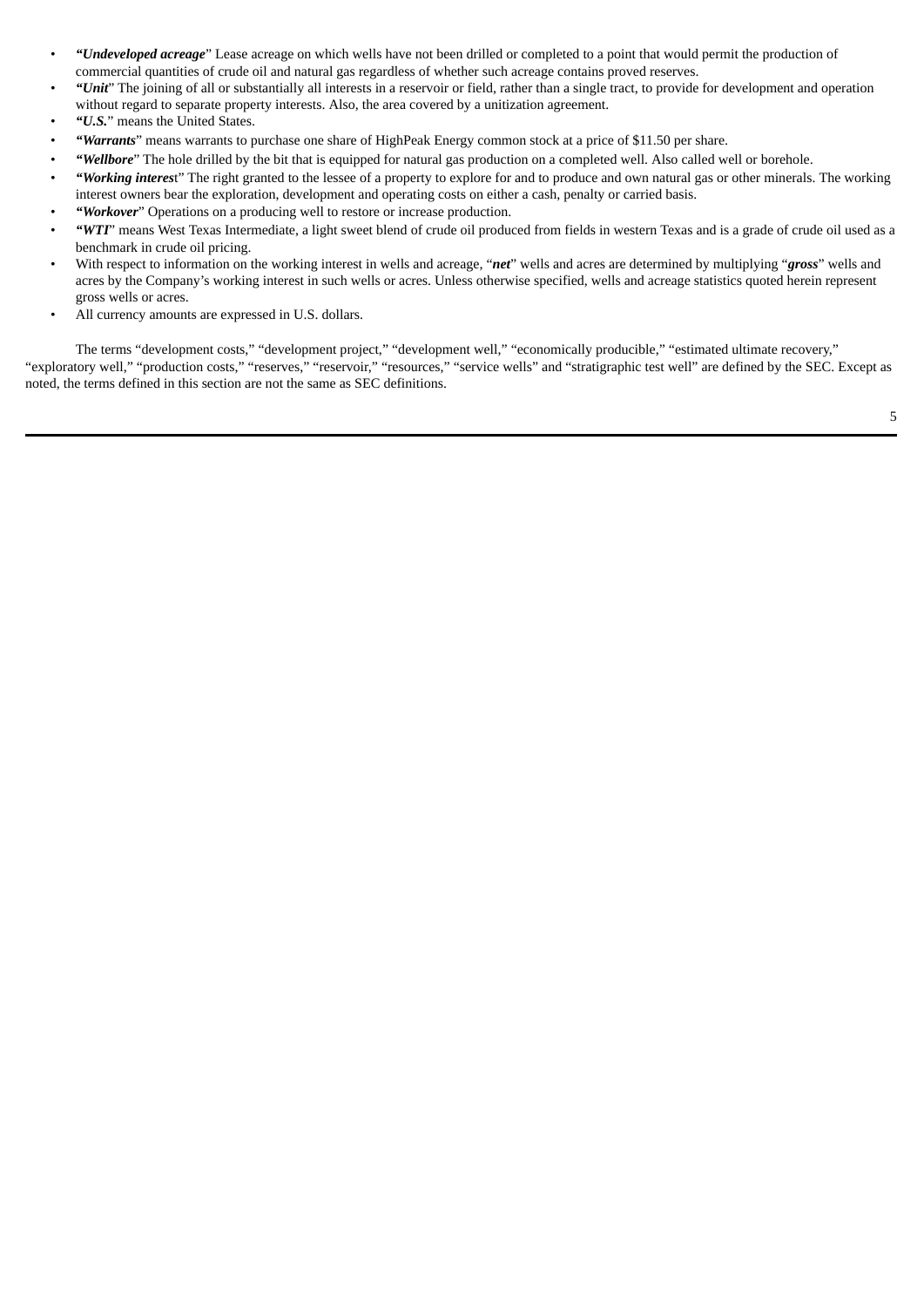- *"Undeveloped acreage*" Lease acreage on which wells have not been drilled or completed to a point that would permit the production of commercial quantities of crude oil and natural gas regardless of whether such acreage contains proved reserves.
- *"Unit*" The joining of all or substantially all interests in a reservoir or field, rather than a single tract, to provide for development and operation without regard to separate property interests. Also, the area covered by a unitization agreement.
- *"U.S.*" means the United States.
- *"Warrants*" means warrants to purchase one share of HighPeak Energy common stock at a price of \$11.50 per share.
- *"Wellbore*" The hole drilled by the bit that is equipped for natural gas production on a completed well. Also called well or borehole.
- *"Working interes*t" The right granted to the lessee of a property to explore for and to produce and own natural gas or other minerals. The working interest owners bear the exploration, development and operating costs on either a cash, penalty or carried basis.
- *"Workover*" Operations on a producing well to restore or increase production.
- *"WTI*" means West Texas Intermediate, a light sweet blend of crude oil produced from fields in western Texas and is a grade of crude oil used as a benchmark in crude oil pricing.
- With respect to information on the working interest in wells and acreage, "*net*" wells and acres are determined by multiplying "*gross*" wells and acres by the Company's working interest in such wells or acres. Unless otherwise specified, wells and acreage statistics quoted herein represent gross wells or acres.
- All currency amounts are expressed in U.S. dollars.

The terms "development costs," "development project," "development well," "economically producible," "estimated ultimate recovery," "exploratory well," "production costs," "reserves," "reservoir," "resources," "service wells" and "stratigraphic test well" are defined by the SEC. Except as noted, the terms defined in this section are not the same as SEC definitions.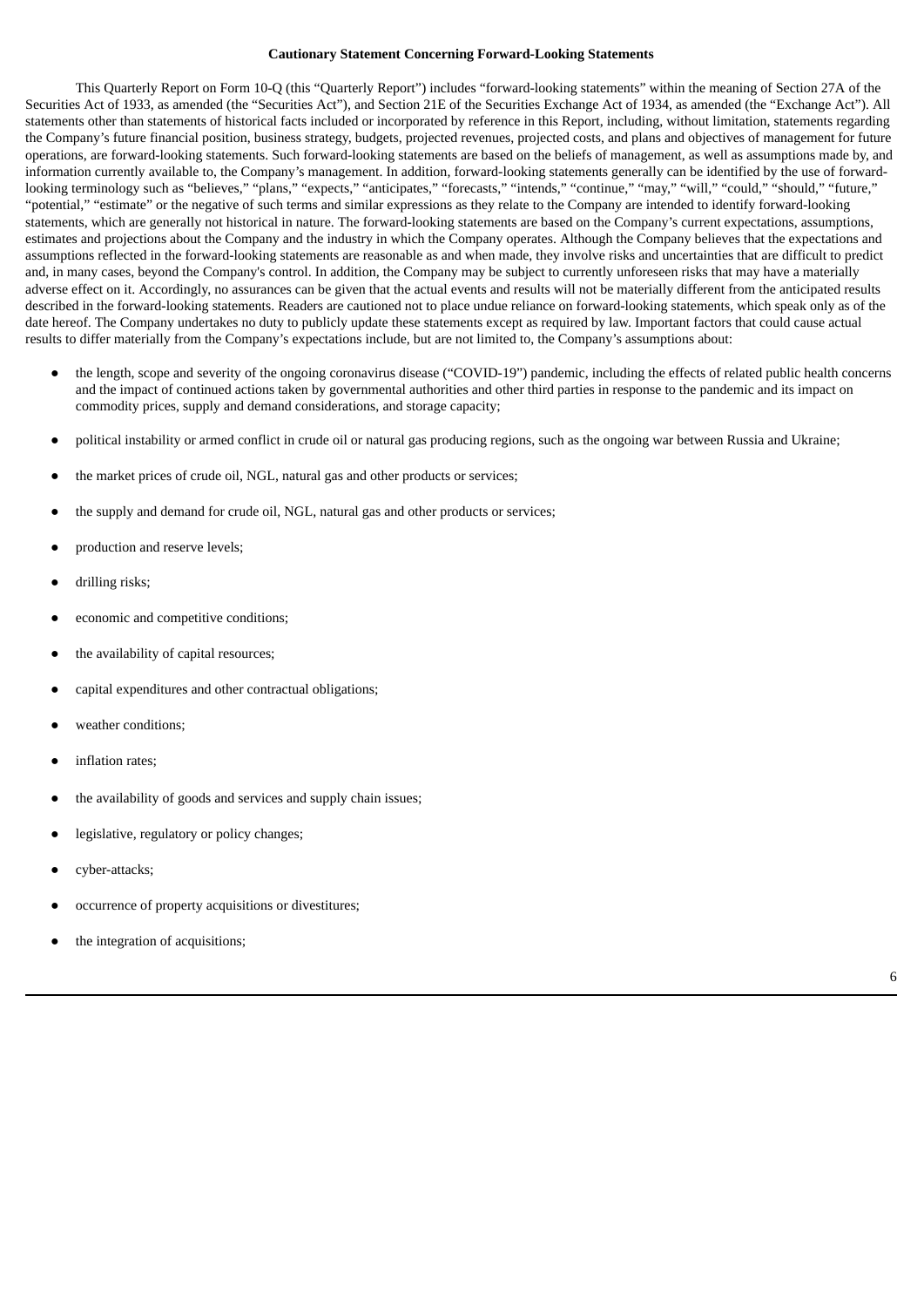### **Cautionary Statement Concerning Forward-Looking Statements**

This Quarterly Report on Form 10-Q (this "Quarterly Report") includes "forward-looking statements" within the meaning of Section 27A of the Securities Act of 1933, as amended (the "Securities Act"), and Section 21E of the Securities Exchange Act of 1934, as amended (the "Exchange Act"). All statements other than statements of historical facts included or incorporated by reference in this Report, including, without limitation, statements regarding the Company's future financial position, business strategy, budgets, projected revenues, projected costs, and plans and objectives of management for future operations, are forward-looking statements. Such forward-looking statements are based on the beliefs of management, as well as assumptions made by, and information currently available to, the Company's management. In addition, forward-looking statements generally can be identified by the use of forwardlooking terminology such as "believes," "plans," "expects," "anticipates," "forecasts," "intends," "continue," "may," "will," "could," "should," "future," "potential," "estimate" or the negative of such terms and similar expressions as they relate to the Company are intended to identify forward-looking statements, which are generally not historical in nature. The forward-looking statements are based on the Company's current expectations, assumptions, estimates and projections about the Company and the industry in which the Company operates. Although the Company believes that the expectations and assumptions reflected in the forward-looking statements are reasonable as and when made, they involve risks and uncertainties that are difficult to predict and, in many cases, beyond the Company's control. In addition, the Company may be subject to currently unforeseen risks that may have a materially adverse effect on it. Accordingly, no assurances can be given that the actual events and results will not be materially different from the anticipated results described in the forward-looking statements. Readers are cautioned not to place undue reliance on forward-looking statements, which speak only as of the date hereof. The Company undertakes no duty to publicly update these statements except as required by law. Important factors that could cause actual results to differ materially from the Company's expectations include, but are not limited to, the Company's assumptions about:

- the length, scope and severity of the ongoing coronavirus disease ("COVID-19") pandemic, including the effects of related public health concerns and the impact of continued actions taken by governmental authorities and other third parties in response to the pandemic and its impact on commodity prices, supply and demand considerations, and storage capacity;
- political instability or armed conflict in crude oil or natural gas producing regions, such as the ongoing war between Russia and Ukraine;
- the market prices of crude oil, NGL, natural gas and other products or services;
- the supply and demand for crude oil, NGL, natural gas and other products or services;
- production and reserve levels;
- drilling risks;
- economic and competitive conditions;
- the availability of capital resources;
- capital expenditures and other contractual obligations;
- weather conditions:
- inflation rates;
- the availability of goods and services and supply chain issues;
- legislative, regulatory or policy changes;
- cyber-attacks;
- occurrence of property acquisitions or divestitures;
- the integration of acquisitions;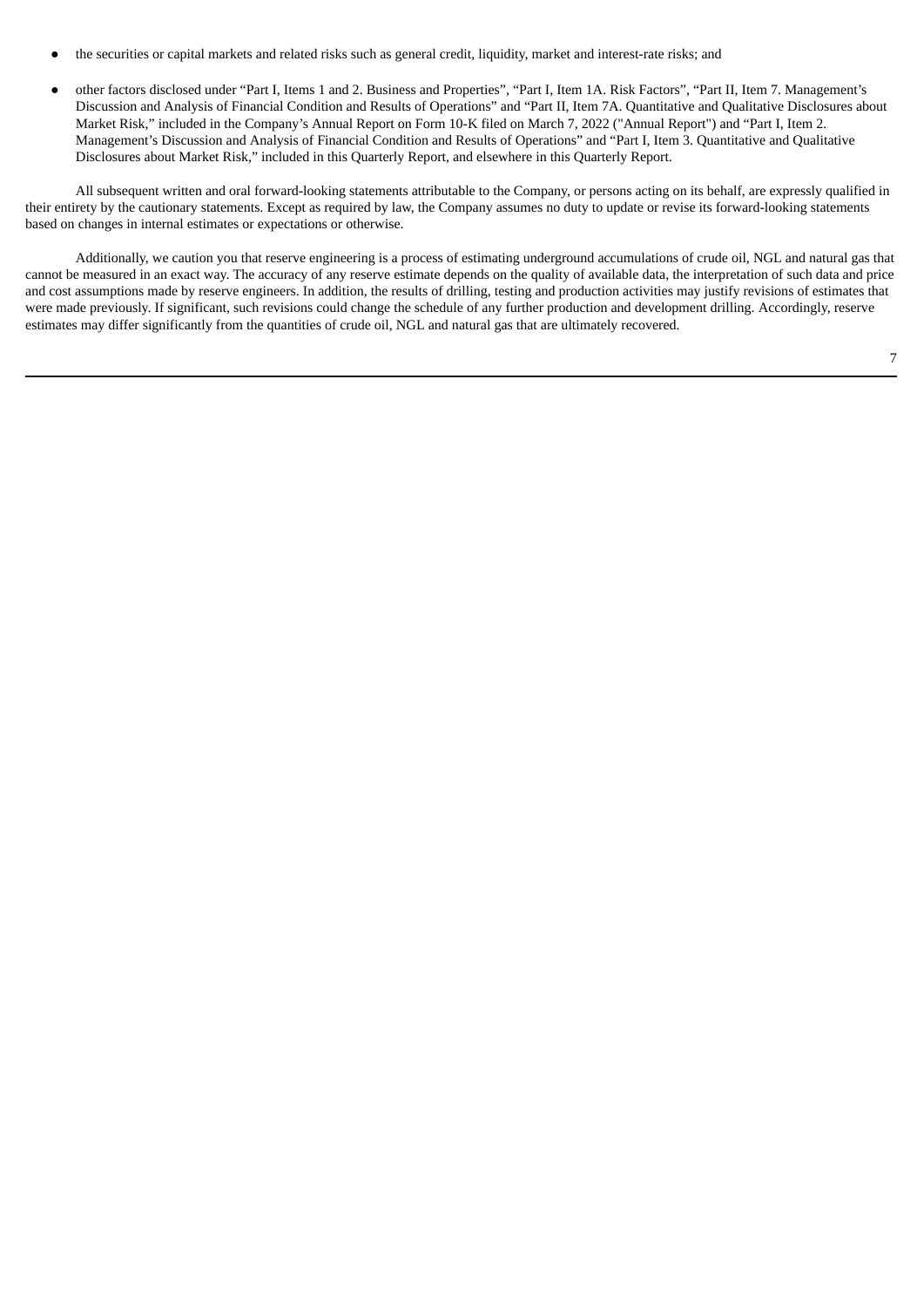- the securities or capital markets and related risks such as general credit, liquidity, market and interest-rate risks; and
- other factors disclosed under "Part I, Items 1 and 2. Business and Properties", "Part I, Item 1A. Risk Factors", "Part II, Item 7. Management's Discussion and Analysis of Financial Condition and Results of Operations" and "Part II, Item 7A. Quantitative and Qualitative Disclosures about Market Risk," included in the Company's Annual Report on Form 10-K filed on March 7, 2022 ("Annual Report") and "Part I, Item 2. Management's Discussion and Analysis of Financial Condition and Results of Operations" and "Part I, Item 3. Quantitative and Qualitative Disclosures about Market Risk," included in this Quarterly Report, and elsewhere in this Quarterly Report.

All subsequent written and oral forward-looking statements attributable to the Company, or persons acting on its behalf, are expressly qualified in their entirety by the cautionary statements. Except as required by law, the Company assumes no duty to update or revise its forward-looking statements based on changes in internal estimates or expectations or otherwise.

Additionally, we caution you that reserve engineering is a process of estimating underground accumulations of crude oil, NGL and natural gas that cannot be measured in an exact way. The accuracy of any reserve estimate depends on the quality of available data, the interpretation of such data and price and cost assumptions made by reserve engineers. In addition, the results of drilling, testing and production activities may justify revisions of estimates that were made previously. If significant, such revisions could change the schedule of any further production and development drilling. Accordingly, reserve estimates may differ significantly from the quantities of crude oil, NGL and natural gas that are ultimately recovered.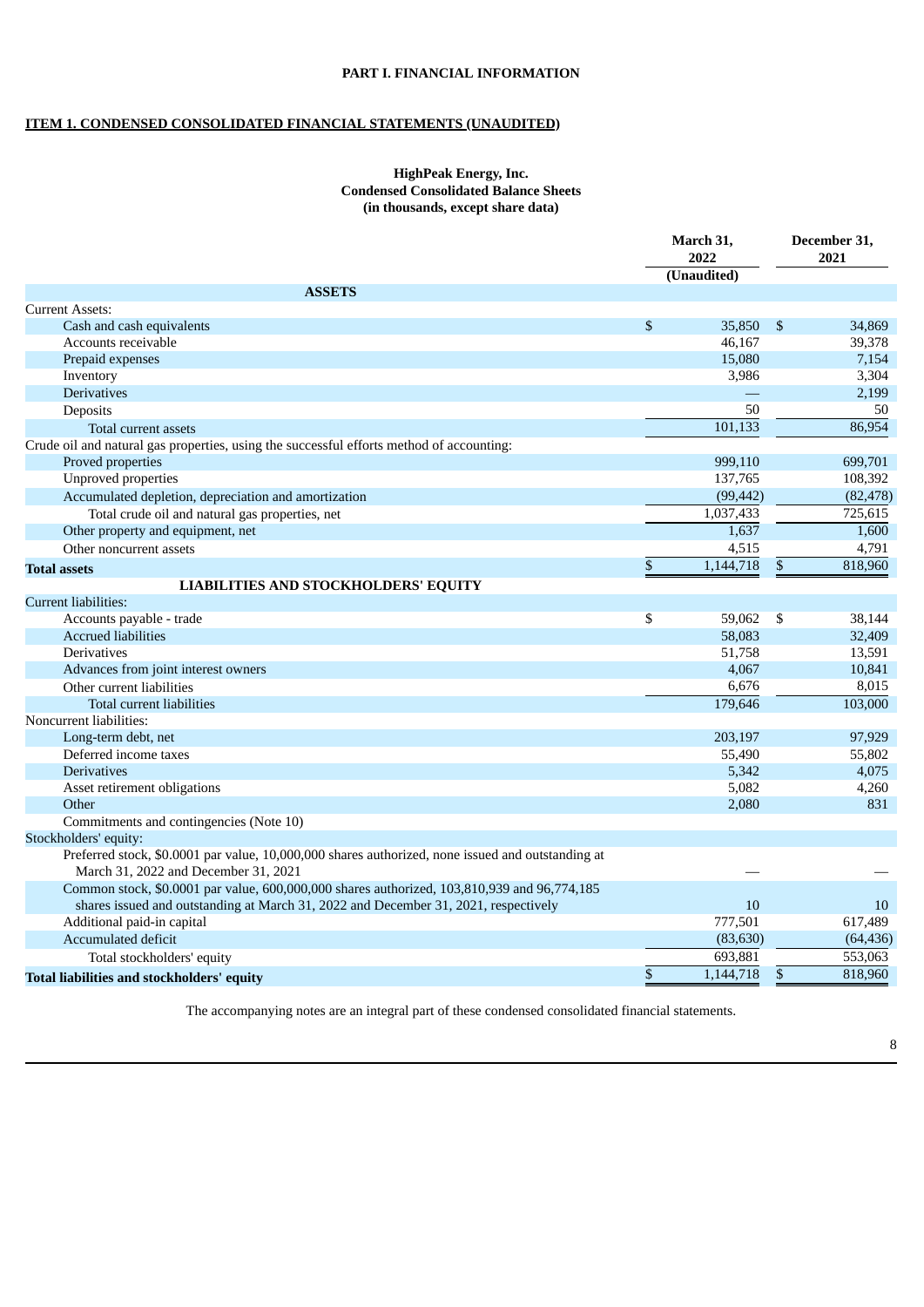# **PART I. FINANCIAL INFORMATION**

# **ITEM 1. CONDENSED CONSOLIDATED FINANCIAL STATEMENTS (UNAUDITED)**

# **HighPeak Energy, Inc. Condensed Consolidated Balance Sheets (in thousands, except share data)**

|                                                                                                   | March 31,<br>2022 |             |                           | December 31,<br>2021 |
|---------------------------------------------------------------------------------------------------|-------------------|-------------|---------------------------|----------------------|
|                                                                                                   |                   | (Unaudited) |                           |                      |
| <b>ASSETS</b>                                                                                     |                   |             |                           |                      |
| <b>Current Assets:</b>                                                                            |                   |             |                           |                      |
| Cash and cash equivalents                                                                         | \$                | 35,850      | $\mathbf{\hat{S}}$        | 34,869               |
| Accounts receivable                                                                               |                   | 46,167      |                           | 39,378               |
| Prepaid expenses                                                                                  |                   | 15,080      |                           | 7,154                |
| Inventory                                                                                         |                   | 3,986       |                           | 3,304                |
| <b>Derivatives</b>                                                                                |                   |             |                           | 2,199                |
| Deposits                                                                                          |                   | 50          |                           | 50                   |
| Total current assets                                                                              |                   | 101,133     |                           | 86,954               |
| Crude oil and natural gas properties, using the successful efforts method of accounting:          |                   |             |                           |                      |
| Proved properties                                                                                 |                   | 999,110     |                           | 699,701              |
| Unproved properties                                                                               |                   | 137,765     |                           | 108,392              |
| Accumulated depletion, depreciation and amortization                                              |                   | (99, 442)   |                           | (82, 478)            |
| Total crude oil and natural gas properties, net                                                   |                   | 1,037,433   |                           | 725,615              |
| Other property and equipment, net                                                                 |                   | 1,637       |                           | 1,600                |
| Other noncurrent assets                                                                           |                   | 4,515       |                           | 4,791                |
| <b>Total assets</b>                                                                               | \$                | 1,144,718   | $\boldsymbol{\mathsf{S}}$ | 818,960              |
| <b>LIABILITIES AND STOCKHOLDERS' EQUITY</b>                                                       |                   |             |                           |                      |
| Current liabilities:                                                                              |                   |             |                           |                      |
| Accounts payable - trade                                                                          | \$                | 59,062      | \$                        | 38,144               |
| <b>Accrued liabilities</b>                                                                        |                   | 58,083      |                           | 32,409               |
| <b>Derivatives</b>                                                                                |                   | 51,758      |                           | 13,591               |
| Advances from joint interest owners                                                               |                   | 4,067       |                           | 10,841               |
| Other current liabilities                                                                         |                   | 6,676       |                           | 8,015                |
| Total current liabilities                                                                         |                   | 179,646     |                           | 103,000              |
| Noncurrent liabilities:                                                                           |                   |             |                           |                      |
| Long-term debt, net                                                                               |                   | 203,197     |                           | 97,929               |
| Deferred income taxes                                                                             |                   | 55,490      |                           | 55,802               |
| <b>Derivatives</b>                                                                                |                   | 5,342       |                           | 4,075                |
| Asset retirement obligations                                                                      |                   | 5,082       |                           | 4,260                |
| Other                                                                                             |                   | 2,080       |                           | 831                  |
| Commitments and contingencies (Note 10)                                                           |                   |             |                           |                      |
| Stockholders' equity:                                                                             |                   |             |                           |                      |
| Preferred stock, \$0.0001 par value, 10,000,000 shares authorized, none issued and outstanding at |                   |             |                           |                      |
| March 31, 2022 and December 31, 2021                                                              |                   |             |                           |                      |
| Common stock, \$0.0001 par value, 600,000,000 shares authorized, 103,810,939 and 96,774,185       |                   |             |                           |                      |
| shares issued and outstanding at March 31, 2022 and December 31, 2021, respectively               |                   | 10          |                           | 10                   |
| Additional paid-in capital                                                                        |                   | 777,501     |                           | 617,489              |
| Accumulated deficit                                                                               |                   | (83, 630)   |                           | (64, 436)            |
| Total stockholders' equity                                                                        |                   | 693,881     |                           | 553,063              |
| <b>Total liabilities and stockholders' equity</b>                                                 | \$                | 1,144,718   | $\boldsymbol{\mathsf{S}}$ | 818,960              |
|                                                                                                   |                   |             |                           |                      |

The accompanying notes are an integral part of these condensed consolidated financial statements.

8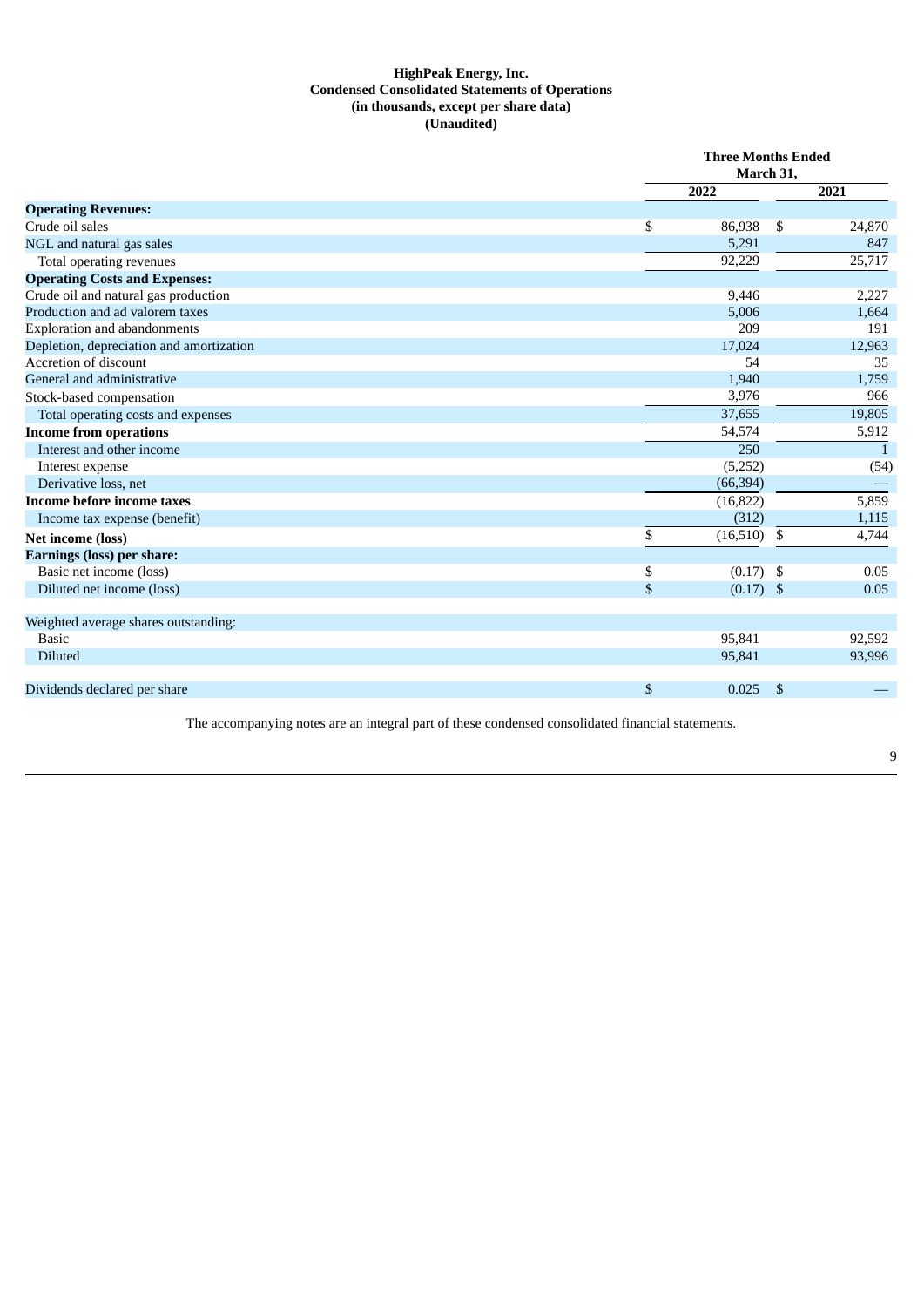# **HighPeak Energy, Inc. Condensed Consolidated Statements of Operations (in thousands, except per share data) (Unaudited)**

|                                          | <b>Three Months Ended</b><br>March 31, |                |                |  |  |
|------------------------------------------|----------------------------------------|----------------|----------------|--|--|
|                                          | 2022                                   |                | 2021           |  |  |
| <b>Operating Revenues:</b>               |                                        |                |                |  |  |
| Crude oil sales                          | \$<br>86,938                           | \$             | 24,870         |  |  |
| NGL and natural gas sales                | 5,291                                  |                | 847            |  |  |
| Total operating revenues                 | $\overline{92,229}$                    |                | 25,717         |  |  |
| <b>Operating Costs and Expenses:</b>     |                                        |                |                |  |  |
| Crude oil and natural gas production     | 9,446                                  |                | 2,227          |  |  |
| Production and ad valorem taxes          | 5,006                                  |                | 1,664          |  |  |
| <b>Exploration and abandonments</b>      | 209                                    |                | 191            |  |  |
| Depletion, depreciation and amortization | 17.024                                 |                | 12,963         |  |  |
| Accretion of discount                    | 54                                     |                | 35             |  |  |
| General and administrative               | 1,940                                  |                | 1,759          |  |  |
| Stock-based compensation                 | 3,976                                  |                | 966            |  |  |
| Total operating costs and expenses       | 37,655                                 |                | 19,805         |  |  |
| <b>Income from operations</b>            | 54,574                                 |                | 5,912          |  |  |
| Interest and other income                | 250                                    |                | $\overline{1}$ |  |  |
| Interest expense                         | (5,252)                                |                | (54)           |  |  |
| Derivative loss, net                     | (66, 394)                              |                |                |  |  |
| Income before income taxes               | (16, 822)                              |                | 5,859          |  |  |
| Income tax expense (benefit)             | (312)                                  |                | 1,115          |  |  |
| Net income (loss)                        | \$<br>(16, 510)                        | \$             | 4,744          |  |  |
| <b>Earnings (loss) per share:</b>        |                                        |                |                |  |  |
| Basic net income (loss)                  | \$<br>$(0.17)$ \$                      |                | 0.05           |  |  |
| Diluted net income (loss)                | \$<br>$(0.17)$ \$                      |                | 0.05           |  |  |
| Weighted average shares outstanding:     |                                        |                |                |  |  |
| Basic                                    | 95,841                                 |                | 92,592         |  |  |
| <b>Diluted</b>                           | 95,841                                 |                | 93,996         |  |  |
| Dividends declared per share             | \$<br>0.025                            | $\mathfrak{L}$ |                |  |  |

The accompanying notes are an integral part of these condensed consolidated financial statements.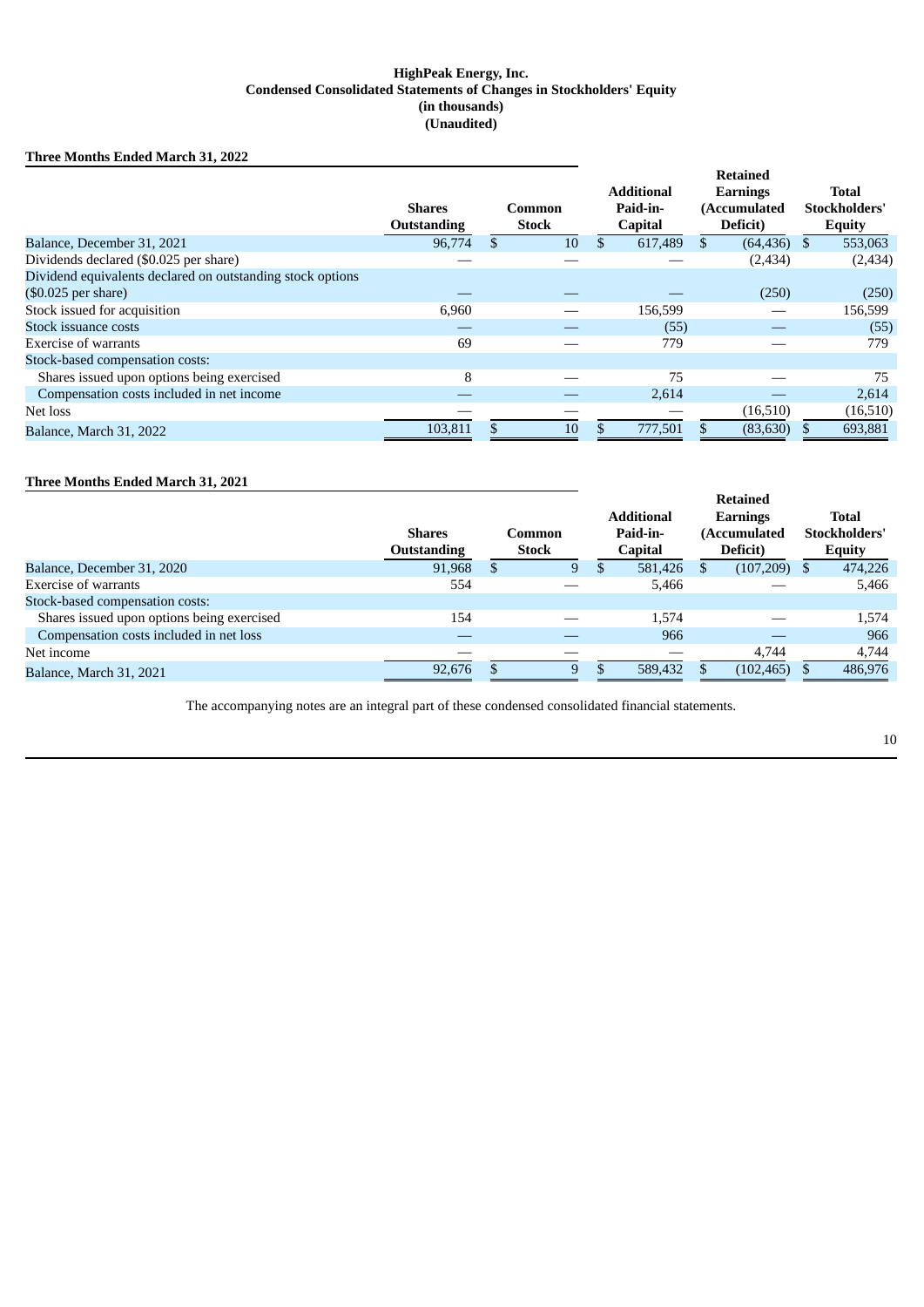# **HighPeak Energy, Inc. Condensed Consolidated Statements of Changes in Stockholders' Equity (in thousands) (Unaudited)**

# **Three Months Ended March 31, 2022**

|                                                            |                    |    |              | <b>Retained</b> |                   |    |                 |     |               |
|------------------------------------------------------------|--------------------|----|--------------|-----------------|-------------------|----|-----------------|-----|---------------|
|                                                            |                    |    |              |                 | <b>Additional</b> |    | <b>Earnings</b> |     | <b>Total</b>  |
|                                                            | <b>Shares</b>      |    | Common       |                 | Paid-in-          |    | (Accumulated    |     | Stockholders' |
|                                                            | <b>Outstanding</b> |    | <b>Stock</b> |                 | <b>Capital</b>    |    | Deficit)        |     | <b>Equity</b> |
| Balance, December 31, 2021                                 | 96,774             | \$ | 10           | \$              | 617,489           | \$ | (64, 436)       | \$. | 553,063       |
| Dividends declared (\$0.025 per share)                     |                    |    |              |                 |                   |    | (2, 434)        |     | (2, 434)      |
| Dividend equivalents declared on outstanding stock options |                    |    |              |                 |                   |    |                 |     |               |
| $(\$0.025$ per share)                                      |                    |    |              |                 |                   |    | (250)           |     | (250)         |
| Stock issued for acquisition                               | 6,960              |    |              |                 | 156,599           |    |                 |     | 156,599       |
| Stock issuance costs                                       |                    |    |              |                 | (55)              |    |                 |     | (55)          |
| Exercise of warrants                                       | 69                 |    |              |                 | 779               |    |                 |     | 779           |
| Stock-based compensation costs:                            |                    |    |              |                 |                   |    |                 |     |               |
| Shares issued upon options being exercised                 | 8                  |    |              |                 | 75                |    |                 |     | 75            |
| Compensation costs included in net income                  |                    |    |              |                 | 2,614             |    |                 |     | 2,614         |
| Net loss                                                   |                    |    |              |                 |                   |    | (16,510)        |     | (16,510)      |
| Balance, March 31, 2022                                    | 103,811            | ፍ  | 10           |                 | 777,501           |    | (83, 630)       |     | 693,881       |

# **Three Months Ended March 31, 2021**

|                                            |                    |     |               | <b>Additional</b> |                |          | Earnings     |          | Total         |
|--------------------------------------------|--------------------|-----|---------------|-------------------|----------------|----------|--------------|----------|---------------|
|                                            | <b>Shares</b>      |     | <b>Common</b> |                   | Paid-in-       |          | (Accumulated |          | Stockholders' |
|                                            | <b>Outstanding</b> |     | <b>Stock</b>  |                   | <b>Capital</b> | Deficit) |              |          | <b>Equity</b> |
| Balance, December 31, 2020                 | 91,968             | \$. | 9             | D                 | 581,426        |          | (107, 209)   | <b>S</b> | 474,226       |
| <b>Exercise of warrants</b>                | 554                |     |               |                   | 5,466          |          |              |          | 5,466         |
| Stock-based compensation costs:            |                    |     |               |                   |                |          |              |          |               |
| Shares issued upon options being exercised | 154                |     |               |                   | 1,574          |          |              |          | 1,574         |
| Compensation costs included in net loss    |                    |     |               |                   | 966            |          |              |          | 966           |
| Net income                                 |                    |     |               |                   |                |          | 4.744        |          | 4,744         |
| Balance, March 31, 2021                    | 92.676             |     | 9             |                   | 589,432        |          | (102, 465)   |          | 486,976       |

The accompanying notes are an integral part of these condensed consolidated financial statements.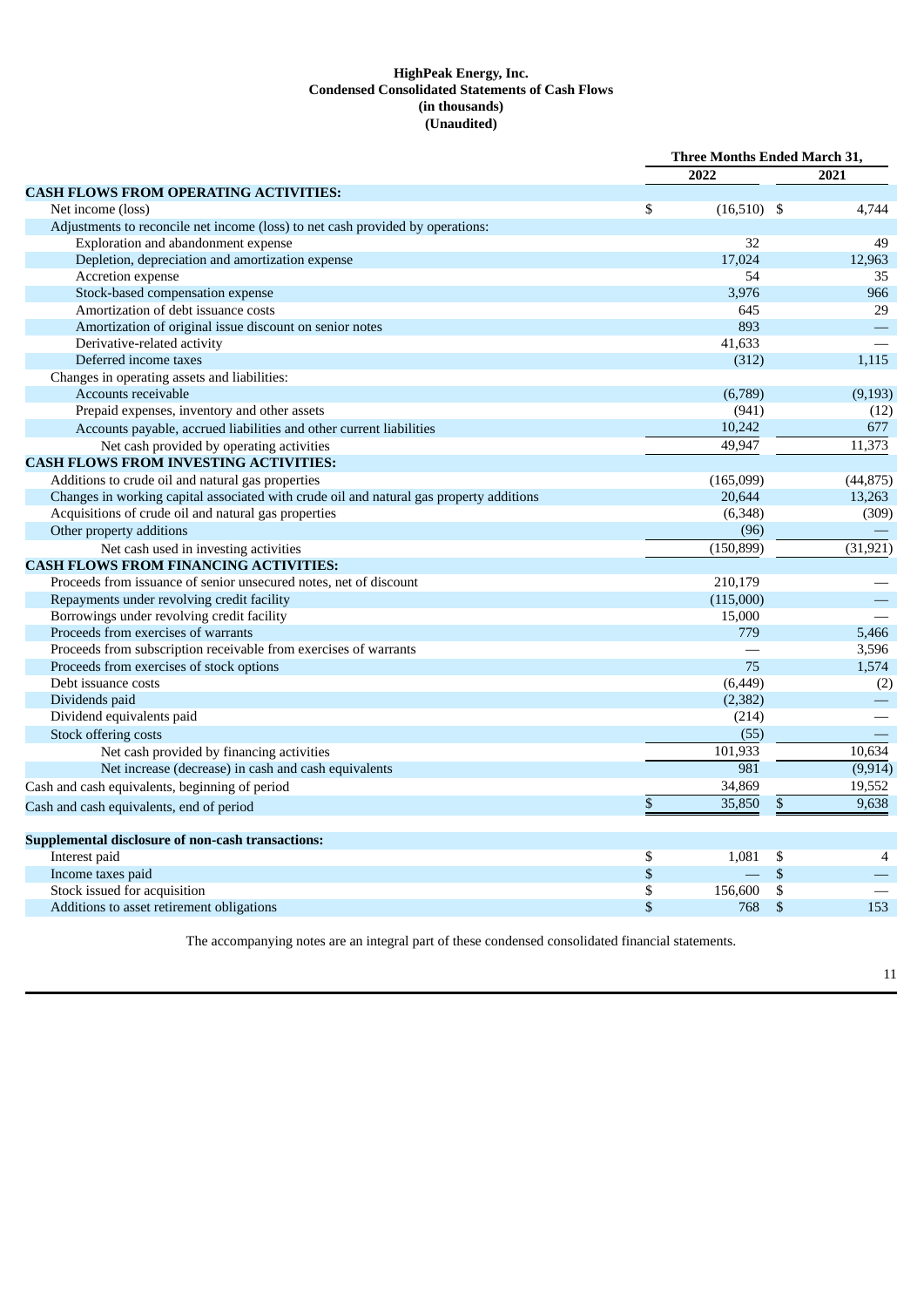## **HighPeak Energy, Inc. Condensed Consolidated Statements of Cash Flows (in thousands) (Unaudited)**

|                                                                                         |    | <b>Three Months Ended March 31,</b> |      |           |
|-----------------------------------------------------------------------------------------|----|-------------------------------------|------|-----------|
|                                                                                         |    | 2022                                |      | 2021      |
| <b>CASH FLOWS FROM OPERATING ACTIVITIES:</b>                                            |    |                                     |      |           |
| Net income (loss)                                                                       | \$ | $(16,510)$ \$                       |      | 4,744     |
| Adjustments to reconcile net income (loss) to net cash provided by operations:          |    |                                     |      |           |
| Exploration and abandonment expense                                                     |    | 32                                  |      | 49        |
| Depletion, depreciation and amortization expense                                        |    | 17.024                              |      | 12,963    |
| Accretion expense                                                                       |    | 54                                  |      | 35        |
| Stock-based compensation expense                                                        |    | 3,976                               |      | 966       |
| Amortization of debt issuance costs                                                     |    | 645                                 |      | 29        |
| Amortization of original issue discount on senior notes                                 |    | 893                                 |      |           |
| Derivative-related activity                                                             |    | 41,633                              |      |           |
| Deferred income taxes                                                                   |    | (312)                               |      | 1,115     |
| Changes in operating assets and liabilities:                                            |    |                                     |      |           |
| Accounts receivable                                                                     |    | (6,789)                             |      | (9, 193)  |
| Prepaid expenses, inventory and other assets                                            |    | (941)                               |      | (12)      |
| Accounts payable, accrued liabilities and other current liabilities                     |    | 10,242                              |      | 677       |
| Net cash provided by operating activities                                               |    | 49,947                              |      | 11,373    |
| <b>CASH FLOWS FROM INVESTING ACTIVITIES:</b>                                            |    |                                     |      |           |
| Additions to crude oil and natural gas properties                                       |    | (165,099)                           |      | (44, 875) |
| Changes in working capital associated with crude oil and natural gas property additions |    | 20,644                              |      | 13,263    |
| Acquisitions of crude oil and natural gas properties                                    |    | (6, 348)                            |      | (309)     |
| Other property additions                                                                |    | (96)                                |      |           |
| Net cash used in investing activities                                                   |    | (150, 899)                          |      | (31, 921) |
| <b>CASH FLOWS FROM FINANCING ACTIVITIES:</b>                                            |    |                                     |      |           |
| Proceeds from issuance of senior unsecured notes, net of discount                       |    | 210,179                             |      |           |
| Repayments under revolving credit facility                                              |    | (115,000)                           |      |           |
| Borrowings under revolving credit facility                                              |    | 15,000                              |      |           |
| Proceeds from exercises of warrants                                                     |    | 779                                 |      | 5,466     |
| Proceeds from subscription receivable from exercises of warrants                        |    |                                     |      | 3,596     |
| Proceeds from exercises of stock options                                                |    | 75                                  |      | 1,574     |
| Debt issuance costs                                                                     |    | (6, 449)                            |      | (2)       |
| Dividends paid                                                                          |    | (2, 382)                            |      |           |
| Dividend equivalents paid                                                               |    | (214)                               |      |           |
| Stock offering costs                                                                    |    | (55)                                |      |           |
| Net cash provided by financing activities                                               |    | 101,933                             |      | 10,634    |
| Net increase (decrease) in cash and cash equivalents                                    |    | 981                                 |      | (9, 914)  |
| Cash and cash equivalents, beginning of period                                          |    | 34,869                              |      | 19,552    |
|                                                                                         | \$ | 35,850                              | \$   | 9,638     |
| Cash and cash equivalents, end of period                                                |    |                                     |      |           |
| Supplemental disclosure of non-cash transactions:                                       |    |                                     |      |           |
| Interest paid                                                                           | \$ | 1,081                               | \$   | 4         |
| Income taxes paid                                                                       | \$ |                                     | $\$$ |           |
| Stock issued for acquisition                                                            | \$ | 156,600                             | \$   |           |
| Additions to asset retirement obligations                                               | \$ | 768                                 | \$   | 153       |

The accompanying notes are an integral part of these condensed consolidated financial statements.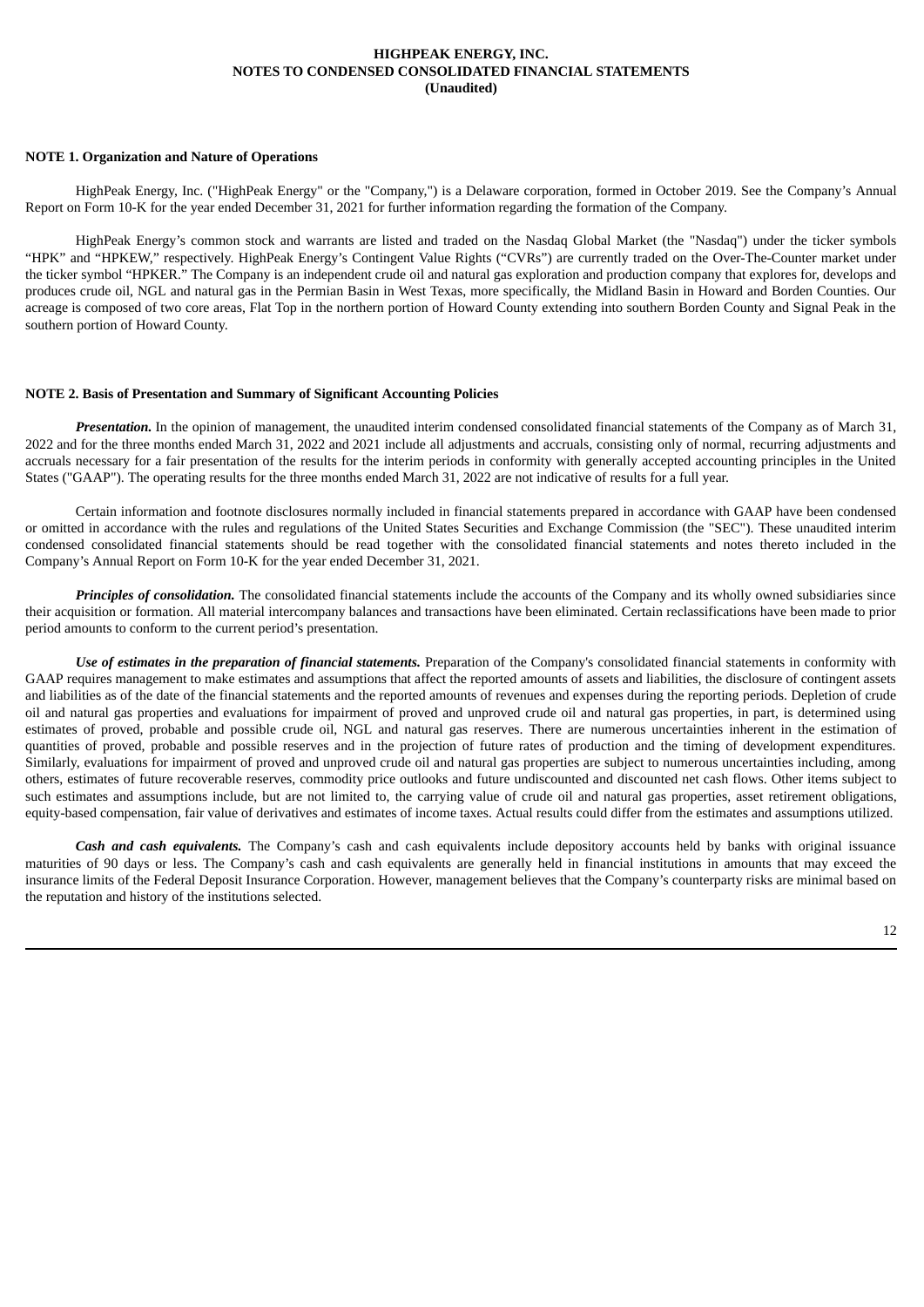### **HIGHPEAK ENERGY, INC. NOTES TO CONDENSED CONSOLIDATED FINANCIAL STATEMENTS (Unaudited)**

#### **NOTE 1. Organization and Nature of Operations**

HighPeak Energy, Inc. ("HighPeak Energy" or the "Company,") is a Delaware corporation, formed in October 2019. See the Company's Annual Report on Form 10-K for the year ended December 31, 2021 for further information regarding the formation of the Company.

HighPeak Energy's common stock and warrants are listed and traded on the Nasdaq Global Market (the "Nasdaq") under the ticker symbols "HPK" and "HPKEW," respectively. HighPeak Energy's Contingent Value Rights ("CVRs") are currently traded on the Over-The-Counter market under the ticker symbol "HPKER." The Company is an independent crude oil and natural gas exploration and production company that explores for, develops and produces crude oil, NGL and natural gas in the Permian Basin in West Texas, more specifically, the Midland Basin in Howard and Borden Counties. Our acreage is composed of two core areas, Flat Top in the northern portion of Howard County extending into southern Borden County and Signal Peak in the southern portion of Howard County.

#### **NOTE 2. Basis of Presentation and Summary of Significant Accounting Policies**

*Presentation*. In the opinion of management, the unaudited interim condensed consolidated financial statements of the Company as of March 31, 2022 and for the three months ended March 31, 2022 and 2021 include all adjustments and accruals, consisting only of normal, recurring adjustments and accruals necessary for a fair presentation of the results for the interim periods in conformity with generally accepted accounting principles in the United States ("GAAP"). The operating results for the three months ended March 31, 2022 are not indicative of results for a full year.

Certain information and footnote disclosures normally included in financial statements prepared in accordance with GAAP have been condensed or omitted in accordance with the rules and regulations of the United States Securities and Exchange Commission (the "SEC"). These unaudited interim condensed consolidated financial statements should be read together with the consolidated financial statements and notes thereto included in the Company's Annual Report on Form 10-K for the year ended December 31, 2021.

*Principles of consolidation.* The consolidated financial statements include the accounts of the Company and its wholly owned subsidiaries since their acquisition or formation. All material intercompany balances and transactions have been eliminated. Certain reclassifications have been made to prior period amounts to conform to the current period's presentation.

*Use of estimates in the preparation of financial statements.* Preparation of the Company's consolidated financial statements in conformity with GAAP requires management to make estimates and assumptions that affect the reported amounts of assets and liabilities, the disclosure of contingent assets and liabilities as of the date of the financial statements and the reported amounts of revenues and expenses during the reporting periods. Depletion of crude oil and natural gas properties and evaluations for impairment of proved and unproved crude oil and natural gas properties, in part, is determined using estimates of proved, probable and possible crude oil, NGL and natural gas reserves. There are numerous uncertainties inherent in the estimation of quantities of proved, probable and possible reserves and in the projection of future rates of production and the timing of development expenditures. Similarly, evaluations for impairment of proved and unproved crude oil and natural gas properties are subject to numerous uncertainties including, among others, estimates of future recoverable reserves, commodity price outlooks and future undiscounted and discounted net cash flows. Other items subject to such estimates and assumptions include, but are not limited to, the carrying value of crude oil and natural gas properties, asset retirement obligations, equity-based compensation, fair value of derivatives and estimates of income taxes. Actual results could differ from the estimates and assumptions utilized.

*Cash and cash equivalents.* The Company's cash and cash equivalents include depository accounts held by banks with original issuance maturities of 90 days or less. The Company's cash and cash equivalents are generally held in financial institutions in amounts that may exceed the insurance limits of the Federal Deposit Insurance Corporation. However, management believes that the Company's counterparty risks are minimal based on the reputation and history of the institutions selected.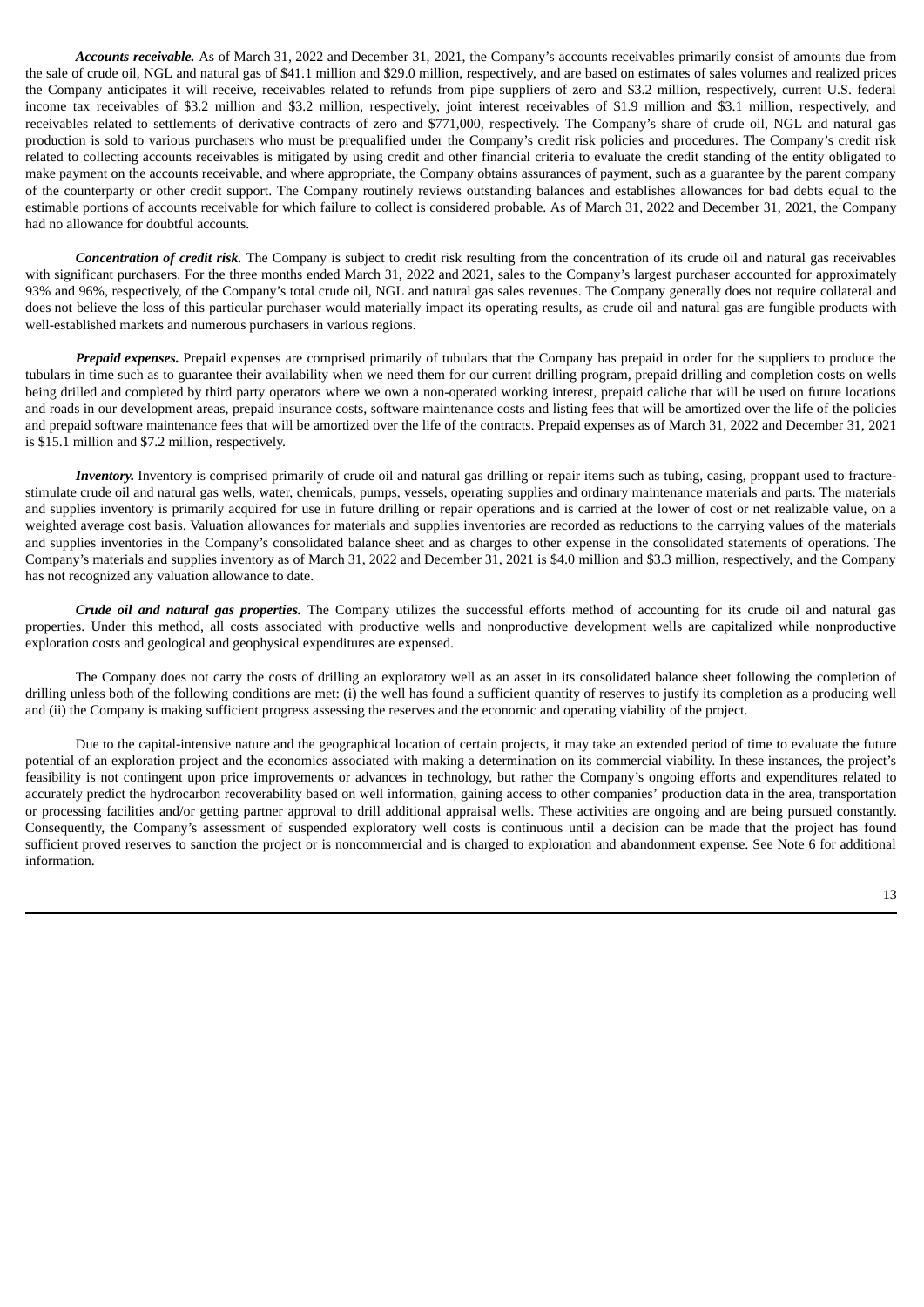*Accounts receivable.* As of March 31, 2022 and December 31, 2021, the Company's accounts receivables primarily consist of amounts due from the sale of crude oil, NGL and natural gas of \$41.1 million and \$29.0 million, respectively, and are based on estimates of sales volumes and realized prices the Company anticipates it will receive, receivables related to refunds from pipe suppliers of zero and \$3.2 million, respectively, current U.S. federal income tax receivables of \$3.2 million and \$3.2 million, respectively, joint interest receivables of \$1.9 million and \$3.1 million, respectively, and receivables related to settlements of derivative contracts of zero and \$771,000, respectively. The Company's share of crude oil, NGL and natural gas production is sold to various purchasers who must be prequalified under the Company's credit risk policies and procedures. The Company's credit risk related to collecting accounts receivables is mitigated by using credit and other financial criteria to evaluate the credit standing of the entity obligated to make payment on the accounts receivable, and where appropriate, the Company obtains assurances of payment, such as a guarantee by the parent company of the counterparty or other credit support. The Company routinely reviews outstanding balances and establishes allowances for bad debts equal to the estimable portions of accounts receivable for which failure to collect is considered probable. As of March 31, 2022 and December 31, 2021, the Company had no allowance for doubtful accounts.

*Concentration of credit risk.* The Company is subject to credit risk resulting from the concentration of its crude oil and natural gas receivables with significant purchasers. For the three months ended March 31, 2022 and 2021, sales to the Company's largest purchaser accounted for approximately 93% and 96%, respectively, of the Company's total crude oil, NGL and natural gas sales revenues. The Company generally does not require collateral and does not believe the loss of this particular purchaser would materially impact its operating results, as crude oil and natural gas are fungible products with well-established markets and numerous purchasers in various regions.

*Prepaid expenses.* Prepaid expenses are comprised primarily of tubulars that the Company has prepaid in order for the suppliers to produce the tubulars in time such as to guarantee their availability when we need them for our current drilling program, prepaid drilling and completion costs on wells being drilled and completed by third party operators where we own a non-operated working interest, prepaid caliche that will be used on future locations and roads in our development areas, prepaid insurance costs, software maintenance costs and listing fees that will be amortized over the life of the policies and prepaid software maintenance fees that will be amortized over the life of the contracts. Prepaid expenses as of March 31, 2022 and December 31, 2021 is \$15.1 million and \$7.2 million, respectively.

*Inventory*. Inventory is comprised primarily of crude oil and natural gas drilling or repair items such as tubing, casing, proppant used to fracturestimulate crude oil and natural gas wells, water, chemicals, pumps, vessels, operating supplies and ordinary maintenance materials and parts. The materials and supplies inventory is primarily acquired for use in future drilling or repair operations and is carried at the lower of cost or net realizable value, on a weighted average cost basis. Valuation allowances for materials and supplies inventories are recorded as reductions to the carrying values of the materials and supplies inventories in the Company's consolidated balance sheet and as charges to other expense in the consolidated statements of operations. The Company's materials and supplies inventory as of March 31, 2022 and December 31, 2021 is \$4.0 million and \$3.3 million, respectively, and the Company has not recognized any valuation allowance to date.

*Crude oil and natural gas properties.* The Company utilizes the successful efforts method of accounting for its crude oil and natural gas properties. Under this method, all costs associated with productive wells and nonproductive development wells are capitalized while nonproductive exploration costs and geological and geophysical expenditures are expensed.

The Company does not carry the costs of drilling an exploratory well as an asset in its consolidated balance sheet following the completion of drilling unless both of the following conditions are met: (i) the well has found a sufficient quantity of reserves to justify its completion as a producing well and (ii) the Company is making sufficient progress assessing the reserves and the economic and operating viability of the project.

Due to the capital-intensive nature and the geographical location of certain projects, it may take an extended period of time to evaluate the future potential of an exploration project and the economics associated with making a determination on its commercial viability. In these instances, the project's feasibility is not contingent upon price improvements or advances in technology, but rather the Company's ongoing efforts and expenditures related to accurately predict the hydrocarbon recoverability based on well information, gaining access to other companies' production data in the area, transportation or processing facilities and/or getting partner approval to drill additional appraisal wells. These activities are ongoing and are being pursued constantly. Consequently, the Company's assessment of suspended exploratory well costs is continuous until a decision can be made that the project has found sufficient proved reserves to sanction the project or is noncommercial and is charged to exploration and abandonment expense. See Note 6 for additional information.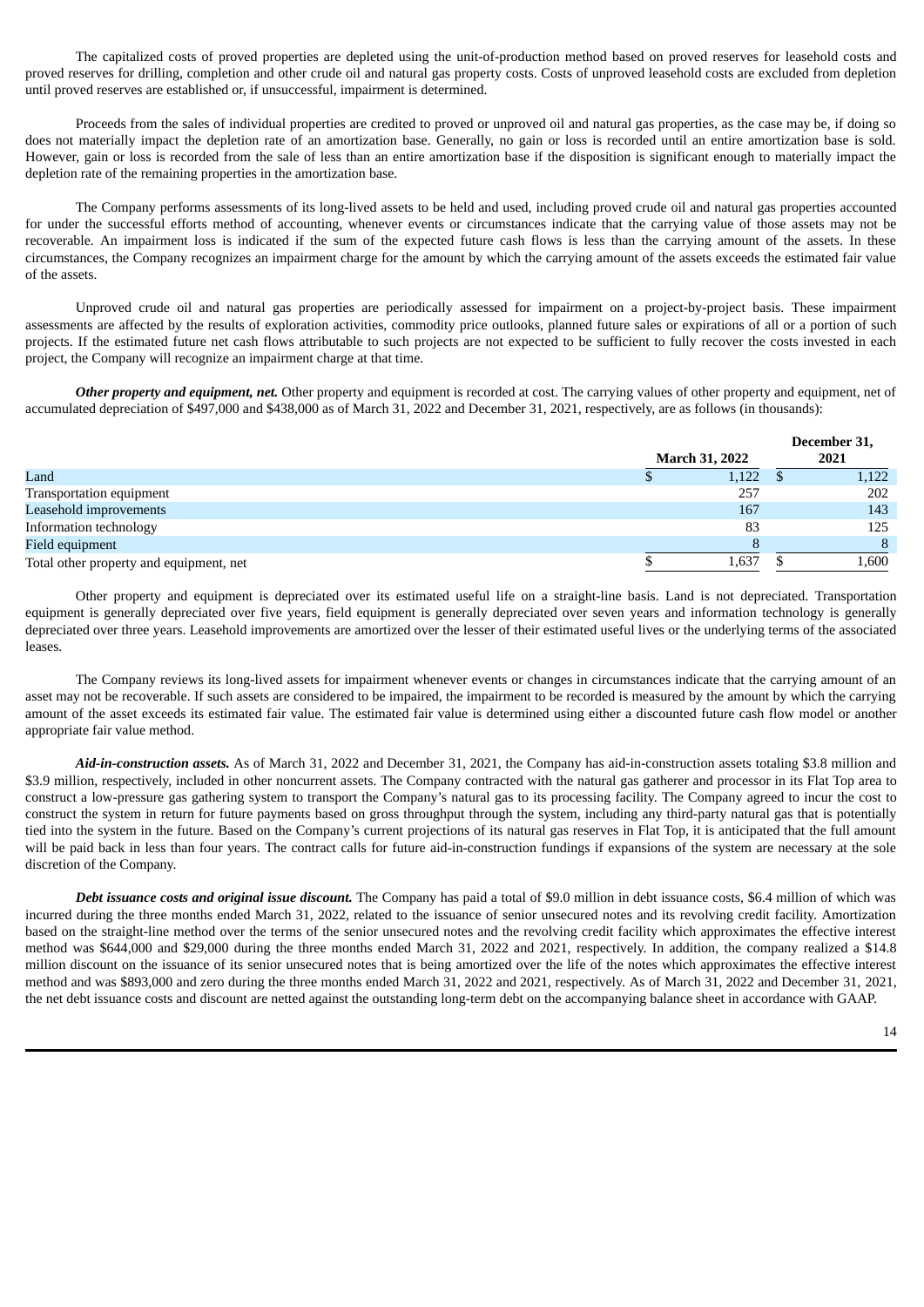The capitalized costs of proved properties are depleted using the unit-of-production method based on proved reserves for leasehold costs and proved reserves for drilling, completion and other crude oil and natural gas property costs. Costs of unproved leasehold costs are excluded from depletion until proved reserves are established or, if unsuccessful, impairment is determined.

Proceeds from the sales of individual properties are credited to proved or unproved oil and natural gas properties, as the case may be, if doing so does not materially impact the depletion rate of an amortization base. Generally, no gain or loss is recorded until an entire amortization base is sold. However, gain or loss is recorded from the sale of less than an entire amortization base if the disposition is significant enough to materially impact the depletion rate of the remaining properties in the amortization base.

The Company performs assessments of its long-lived assets to be held and used, including proved crude oil and natural gas properties accounted for under the successful efforts method of accounting, whenever events or circumstances indicate that the carrying value of those assets may not be recoverable. An impairment loss is indicated if the sum of the expected future cash flows is less than the carrying amount of the assets. In these circumstances, the Company recognizes an impairment charge for the amount by which the carrying amount of the assets exceeds the estimated fair value of the assets.

Unproved crude oil and natural gas properties are periodically assessed for impairment on a project-by-project basis. These impairment assessments are affected by the results of exploration activities, commodity price outlooks, planned future sales or expirations of all or a portion of such projects. If the estimated future net cash flows attributable to such projects are not expected to be sufficient to fully recover the costs invested in each project, the Company will recognize an impairment charge at that time.

*Other property and equipment, net.* Other property and equipment is recorded at cost. The carrying values of other property and equipment, net of accumulated depreciation of \$497,000 and \$438,000 as of March 31, 2022 and December 31, 2021, respectively, are as follows (in thousands):

|                                         |                       | December 31, |
|-----------------------------------------|-----------------------|--------------|
|                                         | <b>March 31, 2022</b> | 2021         |
| Land                                    | 1,122                 | 1,122        |
| Transportation equipment                | 257                   | 202          |
| Leasehold improvements                  | 167                   | 143          |
| Information technology                  | 83                    | 125          |
| Field equipment                         |                       | $\mathsf{R}$ |
| Total other property and equipment, net | 1,637                 | 1,600        |

Other property and equipment is depreciated over its estimated useful life on a straight-line basis. Land is not depreciated. Transportation equipment is generally depreciated over five years, field equipment is generally depreciated over seven years and information technology is generally depreciated over three years. Leasehold improvements are amortized over the lesser of their estimated useful lives or the underlying terms of the associated leases.

The Company reviews its long-lived assets for impairment whenever events or changes in circumstances indicate that the carrying amount of an asset may not be recoverable. If such assets are considered to be impaired, the impairment to be recorded is measured by the amount by which the carrying amount of the asset exceeds its estimated fair value. The estimated fair value is determined using either a discounted future cash flow model or another appropriate fair value method.

*Aid-in-construction assets.* As of March 31, 2022 and December 31, 2021, the Company has aid-in-construction assets totaling \$3.8 million and \$3.9 million, respectively, included in other noncurrent assets. The Company contracted with the natural gas gatherer and processor in its Flat Top area to construct a low-pressure gas gathering system to transport the Company's natural gas to its processing facility. The Company agreed to incur the cost to construct the system in return for future payments based on gross throughput through the system, including any third-party natural gas that is potentially tied into the system in the future. Based on the Company's current projections of its natural gas reserves in Flat Top, it is anticipated that the full amount will be paid back in less than four years. The contract calls for future aid-in-construction fundings if expansions of the system are necessary at the sole discretion of the Company.

*Debt issuance costs and original issue discount.* The Company has paid a total of \$9.0 million in debt issuance costs, \$6.4 million of which was incurred during the three months ended March 31, 2022, related to the issuance of senior unsecured notes and its revolving credit facility. Amortization based on the straight-line method over the terms of the senior unsecured notes and the revolving credit facility which approximates the effective interest method was \$644,000 and \$29,000 during the three months ended March 31, 2022 and 2021, respectively. In addition, the company realized a \$14.8 million discount on the issuance of its senior unsecured notes that is being amortized over the life of the notes which approximates the effective interest method and was \$893,000 and zero during the three months ended March 31, 2022 and 2021, respectively. As of March 31, 2022 and December 31, 2021, the net debt issuance costs and discount are netted against the outstanding long-term debt on the accompanying balance sheet in accordance with GAAP.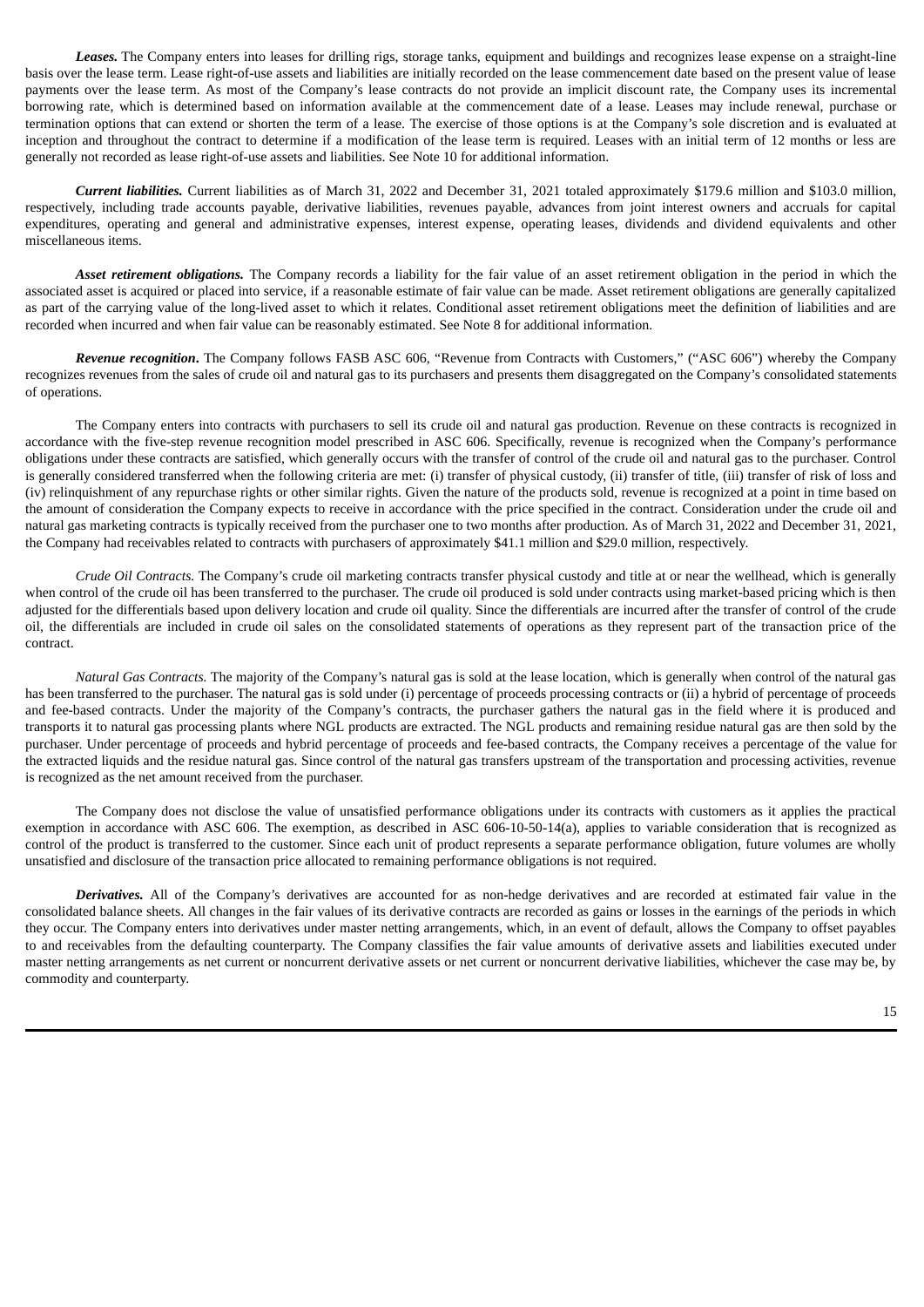*Leases.* The Company enters into leases for drilling rigs, storage tanks, equipment and buildings and recognizes lease expense on a straight-line basis over the lease term. Lease right-of-use assets and liabilities are initially recorded on the lease commencement date based on the present value of lease payments over the lease term. As most of the Company's lease contracts do not provide an implicit discount rate, the Company uses its incremental borrowing rate, which is determined based on information available at the commencement date of a lease. Leases may include renewal, purchase or termination options that can extend or shorten the term of a lease. The exercise of those options is at the Company's sole discretion and is evaluated at inception and throughout the contract to determine if a modification of the lease term is required. Leases with an initial term of 12 months or less are generally not recorded as lease right-of-use assets and liabilities. See Note 10 for additional information.

*Current liabilities.* Current liabilities as of March 31, 2022 and December 31, 2021 totaled approximately \$179.6 million and \$103.0 million, respectively, including trade accounts payable, derivative liabilities, revenues payable, advances from joint interest owners and accruals for capital expenditures, operating and general and administrative expenses, interest expense, operating leases, dividends and dividend equivalents and other miscellaneous items.

*Asset retirement obligations.* The Company records a liability for the fair value of an asset retirement obligation in the period in which the associated asset is acquired or placed into service, if a reasonable estimate of fair value can be made. Asset retirement obligations are generally capitalized as part of the carrying value of the long-lived asset to which it relates. Conditional asset retirement obligations meet the definition of liabilities and are recorded when incurred and when fair value can be reasonably estimated. See Note 8 for additional information.

*Revenue recognition***.** The Company follows FASB ASC 606, "Revenue from Contracts with Customers," ("ASC 606") whereby the Company recognizes revenues from the sales of crude oil and natural gas to its purchasers and presents them disaggregated on the Company's consolidated statements of operations.

The Company enters into contracts with purchasers to sell its crude oil and natural gas production. Revenue on these contracts is recognized in accordance with the five-step revenue recognition model prescribed in ASC 606. Specifically, revenue is recognized when the Company's performance obligations under these contracts are satisfied, which generally occurs with the transfer of control of the crude oil and natural gas to the purchaser. Control is generally considered transferred when the following criteria are met: (i) transfer of physical custody, (ii) transfer of title, (iii) transfer of risk of loss and (iv) relinquishment of any repurchase rights or other similar rights. Given the nature of the products sold, revenue is recognized at a point in time based on the amount of consideration the Company expects to receive in accordance with the price specified in the contract. Consideration under the crude oil and natural gas marketing contracts is typically received from the purchaser one to two months after production. As of March 31, 2022 and December 31, 2021, the Company had receivables related to contracts with purchasers of approximately \$41.1 million and \$29.0 million, respectively.

*Crude Oil Contracts.* The Company's crude oil marketing contracts transfer physical custody and title at or near the wellhead, which is generally when control of the crude oil has been transferred to the purchaser. The crude oil produced is sold under contracts using market-based pricing which is then adjusted for the differentials based upon delivery location and crude oil quality. Since the differentials are incurred after the transfer of control of the crude oil, the differentials are included in crude oil sales on the consolidated statements of operations as they represent part of the transaction price of the contract.

*Natural Gas Contracts.* The majority of the Company's natural gas is sold at the lease location, which is generally when control of the natural gas has been transferred to the purchaser. The natural gas is sold under (i) percentage of proceeds processing contracts or (ii) a hybrid of percentage of proceeds and fee-based contracts. Under the majority of the Company's contracts, the purchaser gathers the natural gas in the field where it is produced and transports it to natural gas processing plants where NGL products are extracted. The NGL products and remaining residue natural gas are then sold by the purchaser. Under percentage of proceeds and hybrid percentage of proceeds and fee-based contracts, the Company receives a percentage of the value for the extracted liquids and the residue natural gas. Since control of the natural gas transfers upstream of the transportation and processing activities, revenue is recognized as the net amount received from the purchaser.

The Company does not disclose the value of unsatisfied performance obligations under its contracts with customers as it applies the practical exemption in accordance with ASC 606. The exemption, as described in ASC 606-10-50-14(a), applies to variable consideration that is recognized as control of the product is transferred to the customer. Since each unit of product represents a separate performance obligation, future volumes are wholly unsatisfied and disclosure of the transaction price allocated to remaining performance obligations is not required.

*Derivatives.* All of the Company's derivatives are accounted for as non-hedge derivatives and are recorded at estimated fair value in the consolidated balance sheets. All changes in the fair values of its derivative contracts are recorded as gains or losses in the earnings of the periods in which they occur. The Company enters into derivatives under master netting arrangements, which, in an event of default, allows the Company to offset payables to and receivables from the defaulting counterparty. The Company classifies the fair value amounts of derivative assets and liabilities executed under master netting arrangements as net current or noncurrent derivative assets or net current or noncurrent derivative liabilities, whichever the case may be, by commodity and counterparty.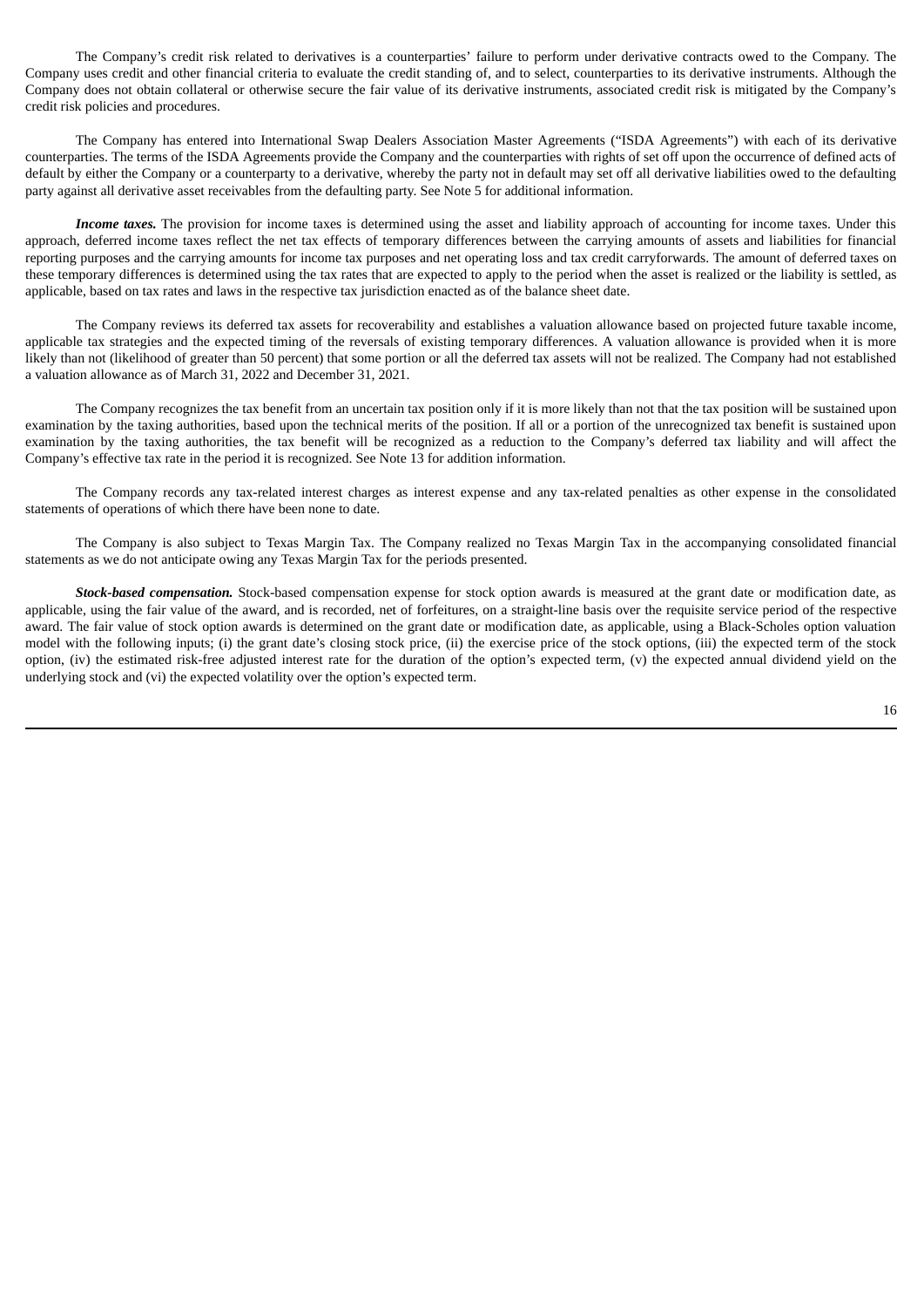The Company's credit risk related to derivatives is a counterparties' failure to perform under derivative contracts owed to the Company. The Company uses credit and other financial criteria to evaluate the credit standing of, and to select, counterparties to its derivative instruments. Although the Company does not obtain collateral or otherwise secure the fair value of its derivative instruments, associated credit risk is mitigated by the Company's credit risk policies and procedures.

The Company has entered into International Swap Dealers Association Master Agreements ("ISDA Agreements") with each of its derivative counterparties. The terms of the ISDA Agreements provide the Company and the counterparties with rights of set off upon the occurrence of defined acts of default by either the Company or a counterparty to a derivative, whereby the party not in default may set off all derivative liabilities owed to the defaulting party against all derivative asset receivables from the defaulting party. See Note 5 for additional information.

*Income taxes.* The provision for income taxes is determined using the asset and liability approach of accounting for income taxes. Under this approach, deferred income taxes reflect the net tax effects of temporary differences between the carrying amounts of assets and liabilities for financial reporting purposes and the carrying amounts for income tax purposes and net operating loss and tax credit carryforwards. The amount of deferred taxes on these temporary differences is determined using the tax rates that are expected to apply to the period when the asset is realized or the liability is settled, as applicable, based on tax rates and laws in the respective tax jurisdiction enacted as of the balance sheet date.

The Company reviews its deferred tax assets for recoverability and establishes a valuation allowance based on projected future taxable income, applicable tax strategies and the expected timing of the reversals of existing temporary differences. A valuation allowance is provided when it is more likely than not (likelihood of greater than 50 percent) that some portion or all the deferred tax assets will not be realized. The Company had not established a valuation allowance as of March 31, 2022 and December 31, 2021.

The Company recognizes the tax benefit from an uncertain tax position only if it is more likely than not that the tax position will be sustained upon examination by the taxing authorities, based upon the technical merits of the position. If all or a portion of the unrecognized tax benefit is sustained upon examination by the taxing authorities, the tax benefit will be recognized as a reduction to the Company's deferred tax liability and will affect the Company's effective tax rate in the period it is recognized. See Note 13 for addition information.

The Company records any tax-related interest charges as interest expense and any tax-related penalties as other expense in the consolidated statements of operations of which there have been none to date.

The Company is also subject to Texas Margin Tax. The Company realized no Texas Margin Tax in the accompanying consolidated financial statements as we do not anticipate owing any Texas Margin Tax for the periods presented.

*Stock-based compensation.* Stock-based compensation expense for stock option awards is measured at the grant date or modification date, as applicable, using the fair value of the award, and is recorded, net of forfeitures, on a straight-line basis over the requisite service period of the respective award. The fair value of stock option awards is determined on the grant date or modification date, as applicable, using a Black-Scholes option valuation model with the following inputs; (i) the grant date's closing stock price, (ii) the exercise price of the stock options, (iii) the expected term of the stock option, (iv) the estimated risk-free adjusted interest rate for the duration of the option's expected term, (v) the expected annual dividend yield on the underlying stock and (vi) the expected volatility over the option's expected term.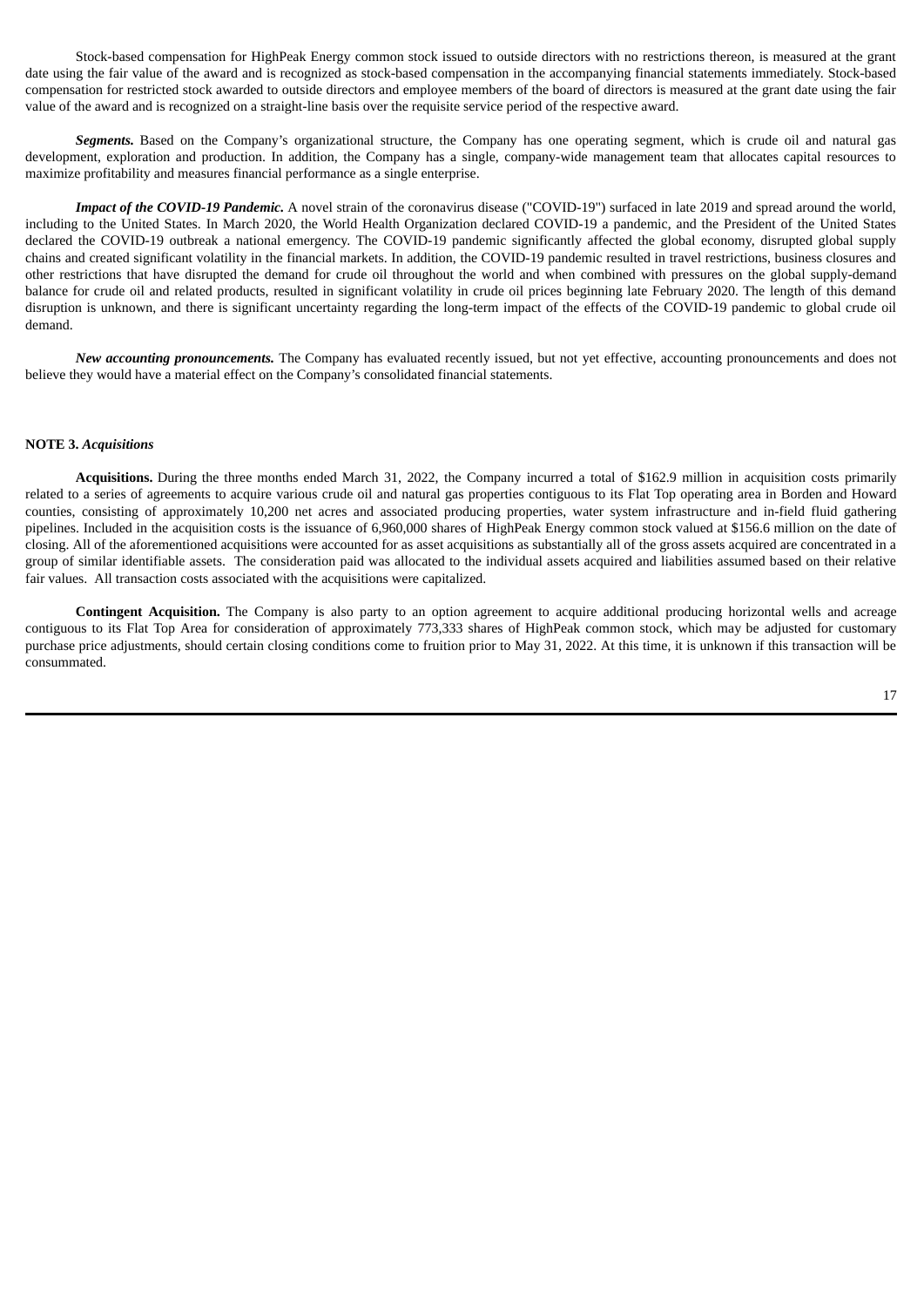Stock-based compensation for HighPeak Energy common stock issued to outside directors with no restrictions thereon, is measured at the grant date using the fair value of the award and is recognized as stock-based compensation in the accompanying financial statements immediately. Stock-based compensation for restricted stock awarded to outside directors and employee members of the board of directors is measured at the grant date using the fair value of the award and is recognized on a straight-line basis over the requisite service period of the respective award.

*Segments.* Based on the Company's organizational structure, the Company has one operating segment, which is crude oil and natural gas development, exploration and production. In addition, the Company has a single, company-wide management team that allocates capital resources to maximize profitability and measures financial performance as a single enterprise.

*Impact of the COVID-19 Pandemic.* A novel strain of the coronavirus disease ("COVID-19") surfaced in late 2019 and spread around the world, including to the United States. In March 2020, the World Health Organization declared COVID-19 a pandemic, and the President of the United States declared the COVID-19 outbreak a national emergency. The COVID-19 pandemic significantly affected the global economy, disrupted global supply chains and created significant volatility in the financial markets. In addition, the COVID-19 pandemic resulted in travel restrictions, business closures and other restrictions that have disrupted the demand for crude oil throughout the world and when combined with pressures on the global supply-demand balance for crude oil and related products, resulted in significant volatility in crude oil prices beginning late February 2020. The length of this demand disruption is unknown, and there is significant uncertainty regarding the long-term impact of the effects of the COVID-19 pandemic to global crude oil demand.

*New accounting pronouncements.* The Company has evaluated recently issued, but not yet effective, accounting pronouncements and does not believe they would have a material effect on the Company's consolidated financial statements.

#### **NOTE 3.** *Acquisitions*

**Acquisitions.** During the three months ended March 31, 2022, the Company incurred a total of \$162.9 million in acquisition costs primarily related to a series of agreements to acquire various crude oil and natural gas properties contiguous to its Flat Top operating area in Borden and Howard counties, consisting of approximately 10,200 net acres and associated producing properties, water system infrastructure and in-field fluid gathering pipelines. Included in the acquisition costs is the issuance of 6,960,000 shares of HighPeak Energy common stock valued at \$156.6 million on the date of closing. All of the aforementioned acquisitions were accounted for as asset acquisitions as substantially all of the gross assets acquired are concentrated in a group of similar identifiable assets. The consideration paid was allocated to the individual assets acquired and liabilities assumed based on their relative fair values. All transaction costs associated with the acquisitions were capitalized.

**Contingent Acquisition.** The Company is also party to an option agreement to acquire additional producing horizontal wells and acreage contiguous to its Flat Top Area for consideration of approximately 773,333 shares of HighPeak common stock, which may be adjusted for customary purchase price adjustments, should certain closing conditions come to fruition prior to May 31, 2022. At this time, it is unknown if this transaction will be consummated.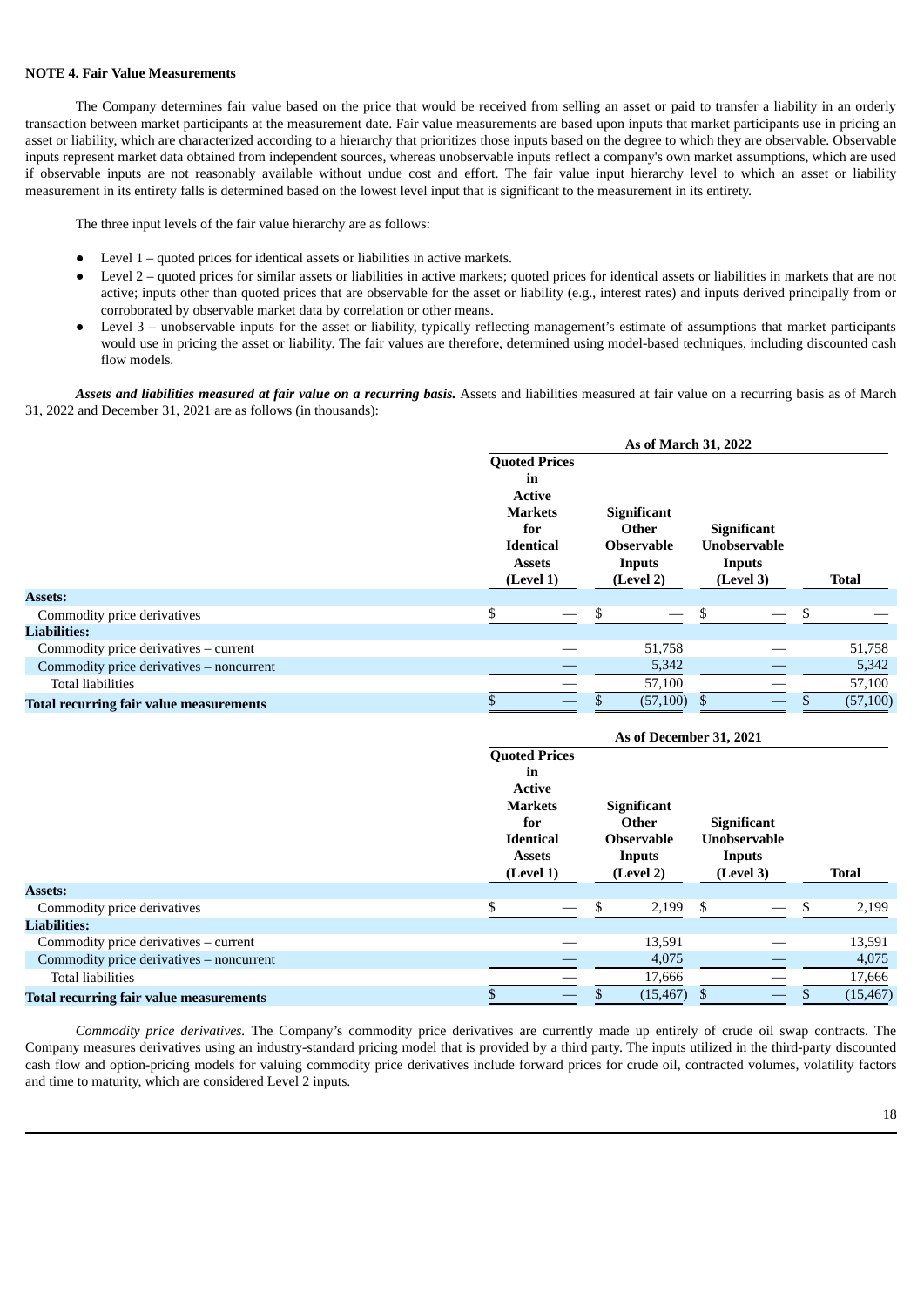#### **NOTE 4. Fair Value Measurements**

The Company determines fair value based on the price that would be received from selling an asset or paid to transfer a liability in an orderly transaction between market participants at the measurement date. Fair value measurements are based upon inputs that market participants use in pricing an asset or liability, which are characterized according to a hierarchy that prioritizes those inputs based on the degree to which they are observable. Observable inputs represent market data obtained from independent sources, whereas unobservable inputs reflect a company's own market assumptions, which are used if observable inputs are not reasonably available without undue cost and effort. The fair value input hierarchy level to which an asset or liability measurement in its entirety falls is determined based on the lowest level input that is significant to the measurement in its entirety.

The three input levels of the fair value hierarchy are as follows:

- Level  $1$  quoted prices for identical assets or liabilities in active markets.
- Level 2 quoted prices for similar assets or liabilities in active markets; quoted prices for identical assets or liabilities in markets that are not active; inputs other than quoted prices that are observable for the asset or liability (e.g., interest rates) and inputs derived principally from or corroborated by observable market data by correlation or other means.
- Level 3 unobservable inputs for the asset or liability, typically reflecting management's estimate of assumptions that market participants would use in pricing the asset or liability. The fair values are therefore, determined using model-based techniques, including discounted cash flow models.

*Assets and liabilities measured at fair value on a recurring basis.* Assets and liabilities measured at fair value on a recurring basis as of March 31, 2022 and December 31, 2021 are as follows (in thousands):

|                                                | As of March 31, 2022 |                                                   |                                       |                    |           |                     |        |              |  |  |
|------------------------------------------------|----------------------|---------------------------------------------------|---------------------------------------|--------------------|-----------|---------------------|--------|--------------|--|--|
|                                                |                      | <b>Quoted Prices</b>                              |                                       |                    |           |                     |        |              |  |  |
|                                                |                      | in                                                |                                       |                    |           |                     |        |              |  |  |
|                                                |                      | <b>Active</b>                                     |                                       |                    |           |                     |        |              |  |  |
|                                                |                      | <b>Markets</b>                                    |                                       | <b>Significant</b> |           |                     |        |              |  |  |
|                                                |                      | for                                               |                                       | Other              |           | <b>Significant</b>  |        |              |  |  |
|                                                |                      |                                                   | <b>Identical</b><br><b>Observable</b> |                    |           | <b>Unobservable</b> |        |              |  |  |
|                                                |                      | <b>Assets</b><br>Inputs<br>(Level 1)<br>(Level 2) |                                       |                    |           |                     | Inputs |              |  |  |
|                                                |                      |                                                   |                                       |                    | (Level 3) |                     |        | <b>Total</b> |  |  |
| <b>Assets:</b>                                 |                      |                                                   |                                       |                    |           |                     |        |              |  |  |
| Commodity price derivatives                    | \$                   |                                                   | \$                                    |                    | \$        |                     | S      |              |  |  |
| <b>Liabilities:</b>                            |                      |                                                   |                                       |                    |           |                     |        |              |  |  |
| Commodity price derivatives - current          |                      |                                                   |                                       | 51,758             |           |                     |        | 51,758       |  |  |
| Commodity price derivatives - noncurrent       |                      |                                                   |                                       | 5,342              |           |                     |        | 5,342        |  |  |
| <b>Total liabilities</b>                       |                      |                                                   |                                       | 57,100             |           |                     |        | 57,100       |  |  |
| <b>Total recurring fair value measurements</b> |                      |                                                   |                                       | (57, 100)          |           |                     |        | (57, 100)    |  |  |

|                                                | As of December 31, 2021 |                                                                                     |   |                                                   |    |                                                                  |   |              |  |
|------------------------------------------------|-------------------------|-------------------------------------------------------------------------------------|---|---------------------------------------------------|----|------------------------------------------------------------------|---|--------------|--|
|                                                |                         | <b>Quoted Prices</b><br>in<br><b>Active</b><br><b>Markets</b><br><b>Significant</b> |   |                                                   |    |                                                                  |   |              |  |
|                                                |                         | for<br><b>Identical</b><br><b>Assets</b><br>(Level 1)                               |   | Other<br><b>Observable</b><br>Inputs<br>(Level 2) |    | <b>Significant</b><br><b>Unobservable</b><br>Inputs<br>(Level 3) |   | <b>Total</b> |  |
| <b>Assets:</b>                                 |                         |                                                                                     |   |                                                   |    |                                                                  |   |              |  |
| Commodity price derivatives                    | \$                      | $\hspace{0.1mm}-\hspace{0.1mm}$                                                     | S | 2,199                                             | S. |                                                                  | S | 2,199        |  |
| <b>Liabilities:</b>                            |                         |                                                                                     |   |                                                   |    |                                                                  |   |              |  |
| Commodity price derivatives – current          |                         |                                                                                     |   | 13,591                                            |    |                                                                  |   | 13,591       |  |
| Commodity price derivatives - noncurrent       |                         |                                                                                     |   | 4,075                                             |    |                                                                  |   | 4,075        |  |
| <b>Total liabilities</b>                       |                         |                                                                                     |   | 17,666                                            |    |                                                                  |   | 17,666       |  |
| <b>Total recurring fair value measurements</b> |                         |                                                                                     |   | (15, 467)                                         |    |                                                                  |   | (15, 467)    |  |

*Commodity price derivatives.* The Company's commodity price derivatives are currently made up entirely of crude oil swap contracts. The Company measures derivatives using an industry-standard pricing model that is provided by a third party. The inputs utilized in the third-party discounted cash flow and option-pricing models for valuing commodity price derivatives include forward prices for crude oil, contracted volumes, volatility factors and time to maturity, which are considered Level 2 inputs.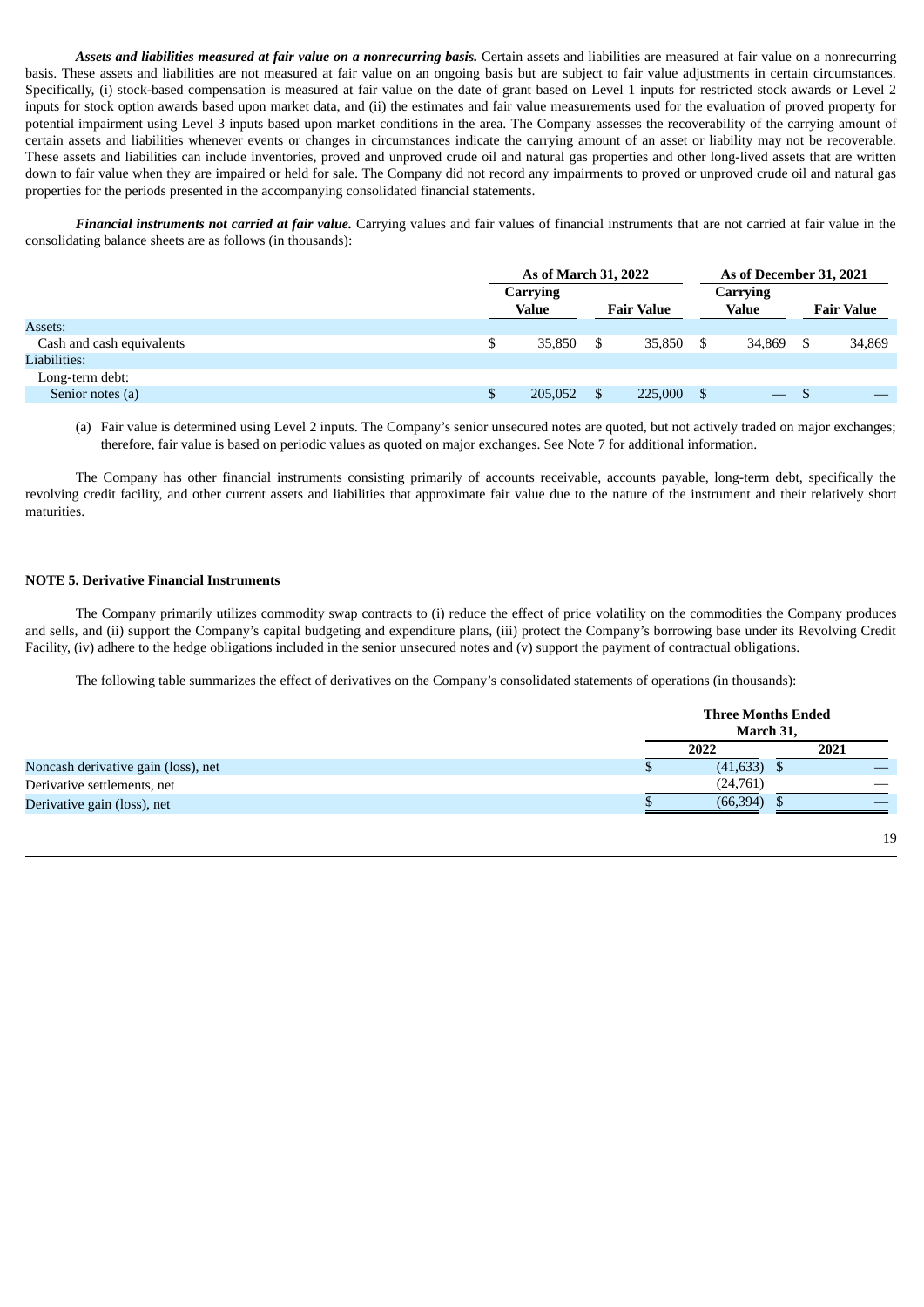*Assets and liabilities measured at fair value on a nonrecurring basis.* Certain assets and liabilities are measured at fair value on a nonrecurring basis. These assets and liabilities are not measured at fair value on an ongoing basis but are subject to fair value adjustments in certain circumstances. Specifically, (i) stock-based compensation is measured at fair value on the date of grant based on Level 1 inputs for restricted stock awards or Level 2 inputs for stock option awards based upon market data, and (ii) the estimates and fair value measurements used for the evaluation of proved property for potential impairment using Level 3 inputs based upon market conditions in the area. The Company assesses the recoverability of the carrying amount of certain assets and liabilities whenever events or changes in circumstances indicate the carrying amount of an asset or liability may not be recoverable. These assets and liabilities can include inventories, proved and unproved crude oil and natural gas properties and other long-lived assets that are written down to fair value when they are impaired or held for sale. The Company did not record any impairments to proved or unproved crude oil and natural gas properties for the periods presented in the accompanying consolidated financial statements.

*Financial instruments not carried at fair value.* Carrying values and fair values of financial instruments that are not carried at fair value in the consolidating balance sheets are as follows (in thousands):

|                           | As of March 31, 2022                   |  |         |                   |                          | As of December 31, 2021 |        |  |
|---------------------------|----------------------------------------|--|---------|-------------------|--------------------------|-------------------------|--------|--|
|                           | Carrying<br>Value<br><b>Fair Value</b> |  |         | Carrying<br>Value |                          | <b>Fair Value</b>       |        |  |
| Assets:                   |                                        |  |         |                   |                          |                         |        |  |
| Cash and cash equivalents | \$<br>35,850                           |  | 35.850  | \$                | 34,869                   |                         | 34,869 |  |
| Liabilities:              |                                        |  |         |                   |                          |                         |        |  |
| Long-term debt:           |                                        |  |         |                   |                          |                         |        |  |
| Senior notes (a)          | 205,052                                |  | 225,000 | \$.               | $\overline{\phantom{m}}$ |                         |        |  |

(a) Fair value is determined using Level 2 inputs. The Company's senior unsecured notes are quoted, but not actively traded on major exchanges; therefore, fair value is based on periodic values as quoted on major exchanges. See Note 7 for additional information.

The Company has other financial instruments consisting primarily of accounts receivable, accounts payable, long-term debt, specifically the revolving credit facility, and other current assets and liabilities that approximate fair value due to the nature of the instrument and their relatively short maturities.

#### **NOTE 5. Derivative Financial Instruments**

The Company primarily utilizes commodity swap contracts to (i) reduce the effect of price volatility on the commodities the Company produces and sells, and (ii) support the Company's capital budgeting and expenditure plans, (iii) protect the Company's borrowing base under its Revolving Credit Facility, (iv) adhere to the hedge obligations included in the senior unsecured notes and (v) support the payment of contractual obligations.

The following table summarizes the effect of derivatives on the Company's consolidated statements of operations (in thousands):

|                                     |   | <b>Three Months Ended</b><br>March 31, |      |  |
|-------------------------------------|---|----------------------------------------|------|--|
|                                     |   | 2022                                   | 2021 |  |
| Noncash derivative gain (loss), net | D | $(41, 633)$ \$                         |      |  |
| Derivative settlements, net         |   | (24,761)                               |      |  |
| Derivative gain (loss), net         |   | (66, 394)                              |      |  |
|                                     |   |                                        |      |  |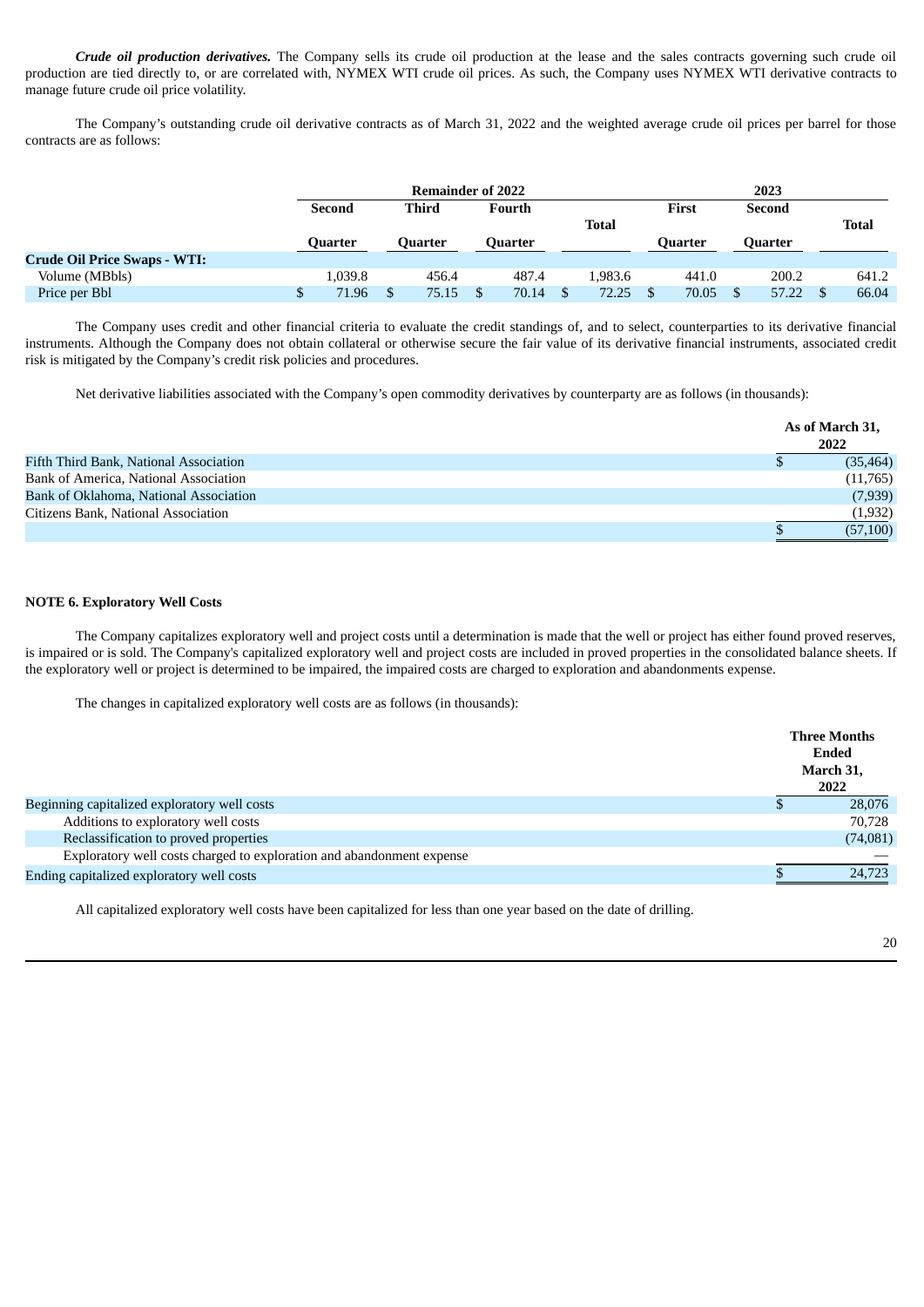*Crude oil production derivatives.* The Company sells its crude oil production at the lease and the sales contracts governing such crude oil production are tied directly to, or are correlated with, NYMEX WTI crude oil prices. As such, the Company uses NYMEX WTI derivative contracts to manage future crude oil price volatility.

The Company's outstanding crude oil derivative contracts as of March 31, 2022 and the weighted average crude oil prices per barrel for those contracts are as follows:

|                                     |         | <b>Remainder of 2022</b> |         |              | 2023 |         |  |                |       |
|-------------------------------------|---------|--------------------------|---------|--------------|------|---------|--|----------------|-------|
|                                     | Second  | <b>Third</b>             | Fourth  |              |      | First   |  | Second         |       |
|                                     |         |                          |         | <b>Total</b> |      |         |  |                | Total |
|                                     | Ouarter | Ouarter                  | Ouarter |              |      | Ouarter |  | <b>Quarter</b> |       |
| <b>Crude Oil Price Swaps - WTI:</b> |         |                          |         |              |      |         |  |                |       |
| Volume (MBbls)                      | 1,039.8 | 456.4                    | 487.4   | 1.983.6      |      | 441.0   |  | 200.2          | 641.2 |
| Price per Bbl                       | 71.96   | 75.15                    | 70.14   | 72.25        |      | 70.05   |  | 57.22          | 66.04 |

The Company uses credit and other financial criteria to evaluate the credit standings of, and to select, counterparties to its derivative financial instruments. Although the Company does not obtain collateral or otherwise secure the fair value of its derivative financial instruments, associated credit risk is mitigated by the Company's credit risk policies and procedures.

Net derivative liabilities associated with the Company's open commodity derivatives by counterparty are as follows (in thousands):

|                                        |   | As of March 31,<br>2022 |
|----------------------------------------|---|-------------------------|
| Fifth Third Bank, National Association | S | (35, 464)               |
| Bank of America, National Association  |   | (11,765)                |
| Bank of Oklahoma, National Association |   | (7,939)                 |
| Citizens Bank, National Association    |   | (1,932)                 |
|                                        |   | (57, 100)               |

# **NOTE 6. Exploratory Well Costs**

The Company capitalizes exploratory well and project costs until a determination is made that the well or project has either found proved reserves, is impaired or is sold. The Company's capitalized exploratory well and project costs are included in proved properties in the consolidated balance sheets. If the exploratory well or project is determined to be impaired, the impaired costs are charged to exploration and abandonments expense.

The changes in capitalized exploratory well costs are as follows (in thousands):

|                                                                       | <b>Three Months</b><br>Ended<br>March 31,<br>2022 |
|-----------------------------------------------------------------------|---------------------------------------------------|
| Beginning capitalized exploratory well costs                          | 28,076                                            |
| Additions to exploratory well costs                                   | 70.728                                            |
| Reclassification to proved properties                                 | (74,081)                                          |
| Exploratory well costs charged to exploration and abandonment expense |                                                   |
| Ending capitalized exploratory well costs                             | 24,723                                            |

All capitalized exploratory well costs have been capitalized for less than one year based on the date of drilling.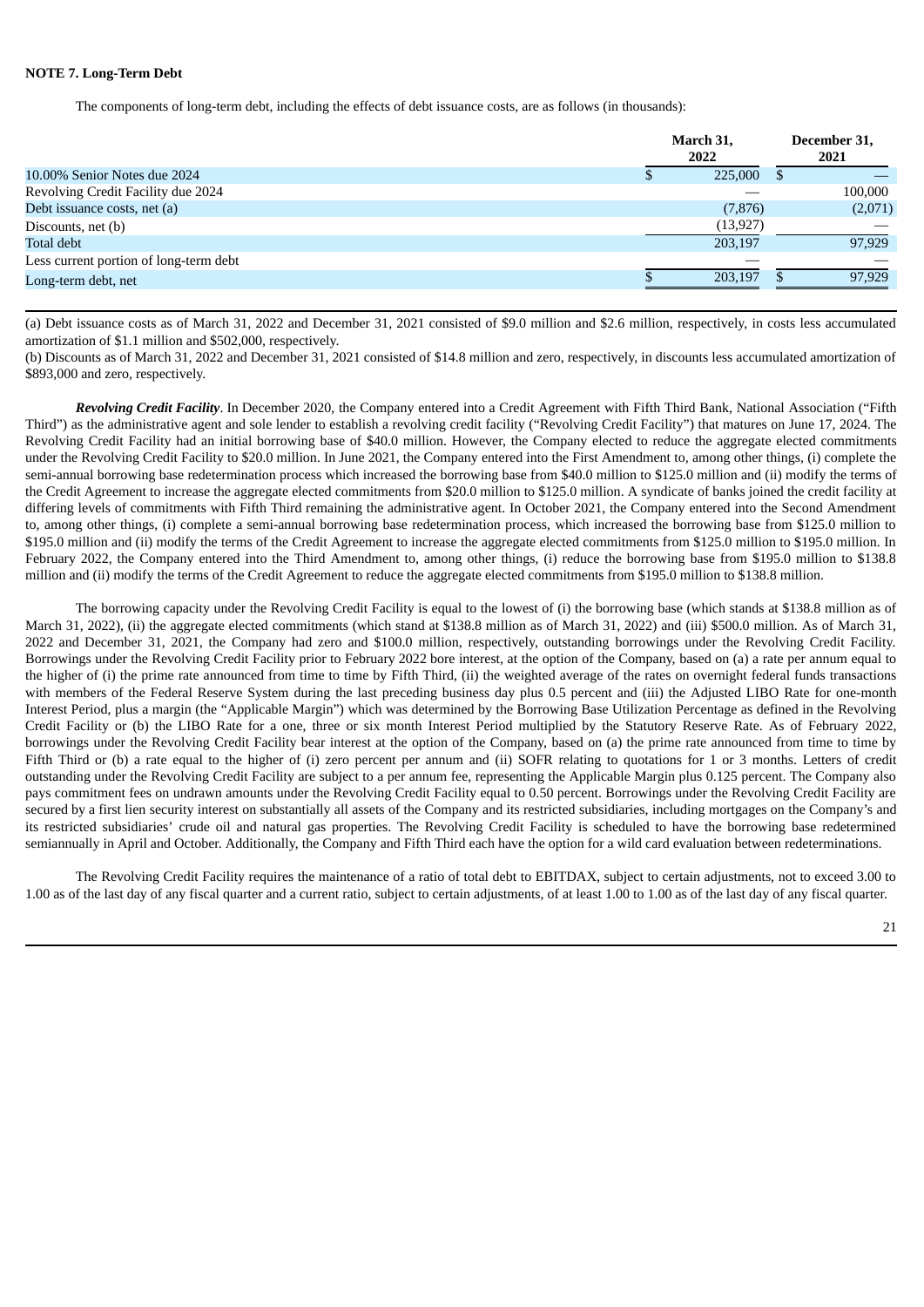### **NOTE 7. Long-Term Debt**

The components of long-term debt, including the effects of debt issuance costs, are as follows (in thousands):

|                                        | March 31,<br>2022 |         |  |
|----------------------------------------|-------------------|---------|--|
| 10.00% Senior Notes due 2024           | 225,000           |         |  |
| Revolving Credit Facility due 2024     |                   | 100,000 |  |
| Debt issuance costs, net (a)           | (7, 876)          | (2,071) |  |
| Discounts, net (b)                     | (13, 927)         |         |  |
| Total debt                             | 203,197           | 97,929  |  |
| Less current portion of long-term debt |                   |         |  |
| Long-term debt, net                    | 203.197           | 97,929  |  |

(a) Debt issuance costs as of March 31, 2022 and December 31, 2021 consisted of \$9.0 million and \$2.6 million, respectively, in costs less accumulated amortization of \$1.1 million and \$502,000, respectively.

(b) Discounts as of March 31, 2022 and December 31, 2021 consisted of \$14.8 million and zero, respectively, in discounts less accumulated amortization of \$893,000 and zero, respectively.

*Revolving Credit Facility*. In December 2020, the Company entered into a Credit Agreement with Fifth Third Bank, National Association ("Fifth Third") as the administrative agent and sole lender to establish a revolving credit facility ("Revolving Credit Facility") that matures on June 17, 2024. The Revolving Credit Facility had an initial borrowing base of \$40.0 million. However, the Company elected to reduce the aggregate elected commitments under the Revolving Credit Facility to \$20.0 million. In June 2021, the Company entered into the First Amendment to, among other things, (i) complete the semi-annual borrowing base redetermination process which increased the borrowing base from \$40.0 million to \$125.0 million and (ii) modify the terms of the Credit Agreement to increase the aggregate elected commitments from \$20.0 million to \$125.0 million. A syndicate of banks joined the credit facility at differing levels of commitments with Fifth Third remaining the administrative agent. In October 2021, the Company entered into the Second Amendment to, among other things, (i) complete a semi-annual borrowing base redetermination process, which increased the borrowing base from \$125.0 million to \$195.0 million and (ii) modify the terms of the Credit Agreement to increase the aggregate elected commitments from \$125.0 million to \$195.0 million. In February 2022, the Company entered into the Third Amendment to, among other things, (i) reduce the borrowing base from \$195.0 million to \$138.8 million and (ii) modify the terms of the Credit Agreement to reduce the aggregate elected commitments from \$195.0 million to \$138.8 million.

The borrowing capacity under the Revolving Credit Facility is equal to the lowest of (i) the borrowing base (which stands at \$138.8 million as of March 31, 2022), (ii) the aggregate elected commitments (which stand at \$138.8 million as of March 31, 2022) and (iii) \$500.0 million. As of March 31, 2022 and December 31, 2021, the Company had zero and \$100.0 million, respectively, outstanding borrowings under the Revolving Credit Facility. Borrowings under the Revolving Credit Facility prior to February 2022 bore interest, at the option of the Company, based on (a) a rate per annum equal to the higher of (i) the prime rate announced from time to time by Fifth Third, (ii) the weighted average of the rates on overnight federal funds transactions with members of the Federal Reserve System during the last preceding business day plus 0.5 percent and (iii) the Adjusted LIBO Rate for one-month Interest Period, plus a margin (the "Applicable Margin") which was determined by the Borrowing Base Utilization Percentage as defined in the Revolving Credit Facility or (b) the LIBO Rate for a one, three or six month Interest Period multiplied by the Statutory Reserve Rate. As of February 2022, borrowings under the Revolving Credit Facility bear interest at the option of the Company, based on (a) the prime rate announced from time to time by Fifth Third or (b) a rate equal to the higher of (i) zero percent per annum and (ii) SOFR relating to quotations for 1 or 3 months. Letters of credit outstanding under the Revolving Credit Facility are subject to a per annum fee, representing the Applicable Margin plus 0.125 percent. The Company also pays commitment fees on undrawn amounts under the Revolving Credit Facility equal to 0.50 percent. Borrowings under the Revolving Credit Facility are secured by a first lien security interest on substantially all assets of the Company and its restricted subsidiaries, including mortgages on the Company's and its restricted subsidiaries' crude oil and natural gas properties. The Revolving Credit Facility is scheduled to have the borrowing base redetermined semiannually in April and October. Additionally, the Company and Fifth Third each have the option for a wild card evaluation between redeterminations.

The Revolving Credit Facility requires the maintenance of a ratio of total debt to EBITDAX, subject to certain adjustments, not to exceed 3.00 to 1.00 as of the last day of any fiscal quarter and a current ratio, subject to certain adjustments, of at least 1.00 to 1.00 as of the last day of any fiscal quarter.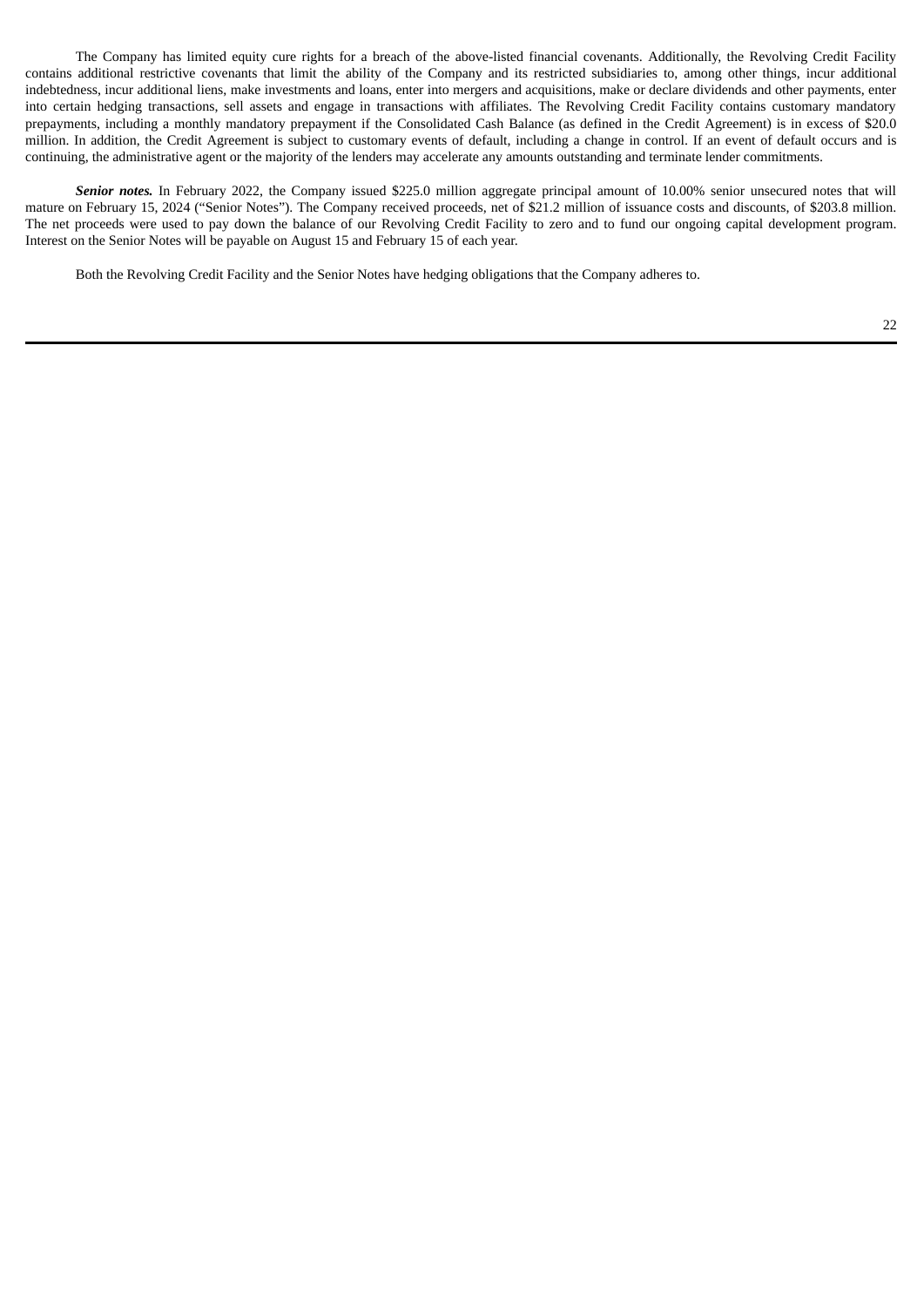The Company has limited equity cure rights for a breach of the above-listed financial covenants. Additionally, the Revolving Credit Facility contains additional restrictive covenants that limit the ability of the Company and its restricted subsidiaries to, among other things, incur additional indebtedness, incur additional liens, make investments and loans, enter into mergers and acquisitions, make or declare dividends and other payments, enter into certain hedging transactions, sell assets and engage in transactions with affiliates. The Revolving Credit Facility contains customary mandatory prepayments, including a monthly mandatory prepayment if the Consolidated Cash Balance (as defined in the Credit Agreement) is in excess of \$20.0 million. In addition, the Credit Agreement is subject to customary events of default, including a change in control. If an event of default occurs and is continuing, the administrative agent or the majority of the lenders may accelerate any amounts outstanding and terminate lender commitments.

*Senior notes.* In February 2022, the Company issued \$225.0 million aggregate principal amount of 10.00% senior unsecured notes that will mature on February 15, 2024 ("Senior Notes"). The Company received proceeds, net of \$21.2 million of issuance costs and discounts, of \$203.8 million. The net proceeds were used to pay down the balance of our Revolving Credit Facility to zero and to fund our ongoing capital development program. Interest on the Senior Notes will be payable on August 15 and February 15 of each year.

Both the Revolving Credit Facility and the Senior Notes have hedging obligations that the Company adheres to.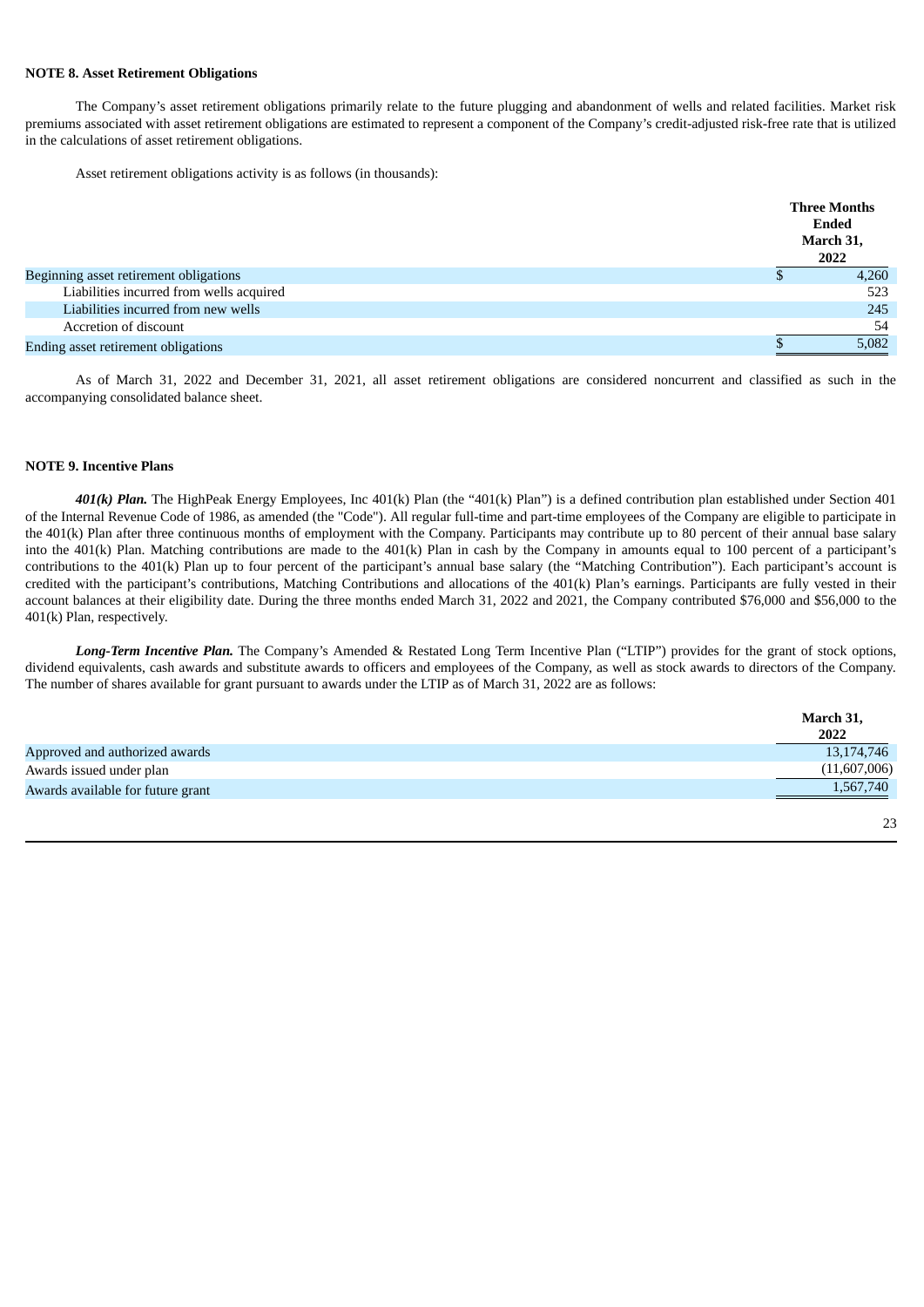### **NOTE 8. Asset Retirement Obligations**

The Company's asset retirement obligations primarily relate to the future plugging and abandonment of wells and related facilities. Market risk premiums associated with asset retirement obligations are estimated to represent a component of the Company's credit-adjusted risk-free rate that is utilized in the calculations of asset retirement obligations.

Asset retirement obligations activity is as follows (in thousands):

|                                          | <b>Three Months</b><br><b>Ended</b><br>March 31,<br>2022 |
|------------------------------------------|----------------------------------------------------------|
| Beginning asset retirement obligations   | 4,260                                                    |
| Liabilities incurred from wells acquired | 523                                                      |
| Liabilities incurred from new wells      | 245                                                      |
| Accretion of discount                    | 54                                                       |
| Ending asset retirement obligations      | 5,082                                                    |

As of March 31, 2022 and December 31, 2021, all asset retirement obligations are considered noncurrent and classified as such in the accompanying consolidated balance sheet.

# **NOTE 9. Incentive Plans**

*401(k) Plan.* The HighPeak Energy Employees, Inc 401(k) Plan (the "401(k) Plan") is a defined contribution plan established under Section 401 of the Internal Revenue Code of 1986, as amended (the "Code"). All regular full-time and part-time employees of the Company are eligible to participate in the 401(k) Plan after three continuous months of employment with the Company. Participants may contribute up to 80 percent of their annual base salary into the 401(k) Plan. Matching contributions are made to the 401(k) Plan in cash by the Company in amounts equal to 100 percent of a participant's contributions to the 401(k) Plan up to four percent of the participant's annual base salary (the "Matching Contribution"). Each participant's account is credited with the participant's contributions, Matching Contributions and allocations of the 401(k) Plan's earnings. Participants are fully vested in their account balances at their eligibility date. During the three months ended March 31, 2022 and 2021, the Company contributed \$76,000 and \$56,000 to the 401(k) Plan, respectively.

*Long-Term Incentive Plan.* The Company's Amended & Restated Long Term Incentive Plan ("LTIP") provides for the grant of stock options, dividend equivalents, cash awards and substitute awards to officers and employees of the Company, as well as stock awards to directors of the Company. The number of shares available for grant pursuant to awards under the LTIP as of March 31, 2022 are as follows:

|                                   | March 31,<br>2022 |
|-----------------------------------|-------------------|
| Approved and authorized awards    | 13,174,746        |
| Awards issued under plan          | (11,607,006)      |
| Awards available for future grant | 1,567,740         |
|                                   | 23                |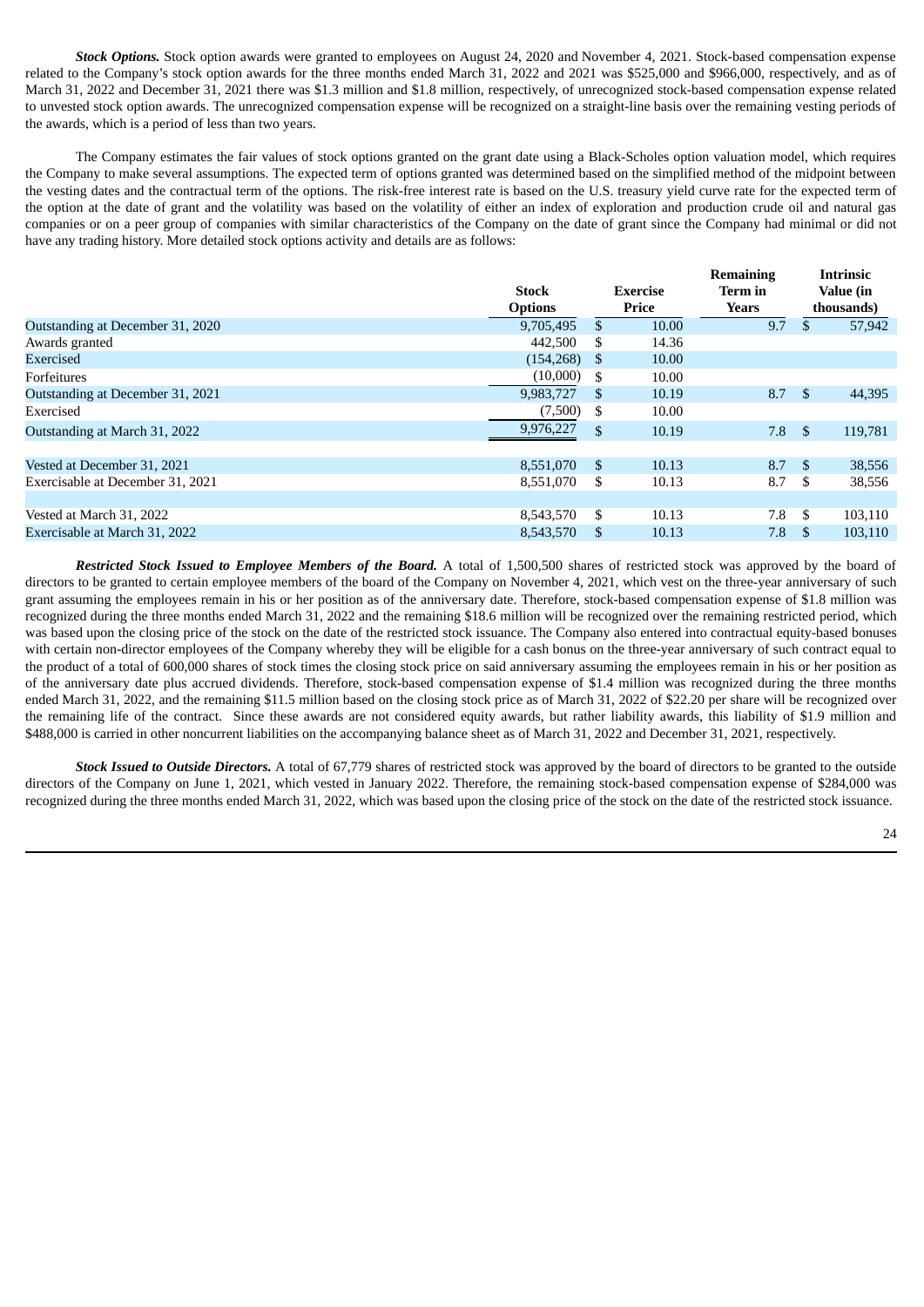*Stock Options.* Stock option awards were granted to employees on August 24, 2020 and November 4, 2021. Stock-based compensation expense related to the Company's stock option awards for the three months ended March 31, 2022 and 2021 was \$525,000 and \$966,000, respectively, and as of March 31, 2022 and December 31, 2021 there was \$1.3 million and \$1.8 million, respectively, of unrecognized stock-based compensation expense related to unvested stock option awards. The unrecognized compensation expense will be recognized on a straight-line basis over the remaining vesting periods of the awards, which is a period of less than two years.

The Company estimates the fair values of stock options granted on the grant date using a Black-Scholes option valuation model, which requires the Company to make several assumptions. The expected term of options granted was determined based on the simplified method of the midpoint between the vesting dates and the contractual term of the options. The risk-free interest rate is based on the U.S. treasury yield curve rate for the expected term of the option at the date of grant and the volatility was based on the volatility of either an index of exploration and production crude oil and natural gas companies or on a peer group of companies with similar characteristics of the Company on the date of grant since the Company had minimal or did not have any trading history. More detailed stock options activity and details are as follows:

|                                  | <b>Stock</b><br><b>Options</b> | <b>Exercise</b><br>Price |       | Remanning<br>Term in<br>Years |      | THUTHISIC<br>Value (in<br>thousands) |
|----------------------------------|--------------------------------|--------------------------|-------|-------------------------------|------|--------------------------------------|
| Outstanding at December 31, 2020 | 9.705.495                      | \$                       | 10.00 | 9.7                           |      | 57,942                               |
| Awards granted                   | 442,500                        | \$.                      | 14.36 |                               |      |                                      |
| Exercised                        | (154, 268)                     | S                        | 10.00 |                               |      |                                      |
| Forfeitures                      | (10,000)                       | \$.                      | 10.00 |                               |      |                                      |
| Outstanding at December 31, 2021 | 9,983,727                      | S                        | 10.19 | 8.7                           | - \$ | 44,395                               |
| Exercised                        | (7,500)                        | S                        | 10.00 |                               |      |                                      |
| Outstanding at March 31, 2022    | 9,976,227                      | \$                       | 10.19 | 7.8                           | - \$ | 119,781                              |
|                                  |                                |                          |       |                               |      |                                      |
| Vested at December 31, 2021      | 8.551.070                      | \$.                      | 10.13 | 8.7                           | - \$ | 38,556                               |
| Exercisable at December 31, 2021 | 8,551,070                      | S                        | 10.13 | 8.7                           | -S   | 38,556                               |
|                                  |                                |                          |       |                               |      |                                      |
| Vested at March 31, 2022         | 8.543.570                      | \$                       | 10.13 | 7.8                           | \$   | 103,110                              |
| Exercisable at March 31, 2022    | 8.543.570                      | S                        | 10.13 | 7.8                           | -S   | 103,110                              |

*Restricted Stock Issued to Employee Members of the Board.* A total of 1,500,500 shares of restricted stock was approved by the board of directors to be granted to certain employee members of the board of the Company on November 4, 2021, which vest on the three-year anniversary of such grant assuming the employees remain in his or her position as of the anniversary date. Therefore, stock-based compensation expense of \$1.8 million was recognized during the three months ended March 31, 2022 and the remaining \$18.6 million will be recognized over the remaining restricted period, which was based upon the closing price of the stock on the date of the restricted stock issuance. The Company also entered into contractual equity-based bonuses with certain non-director employees of the Company whereby they will be eligible for a cash bonus on the three-year anniversary of such contract equal to the product of a total of 600,000 shares of stock times the closing stock price on said anniversary assuming the employees remain in his or her position as of the anniversary date plus accrued dividends. Therefore, stock-based compensation expense of \$1.4 million was recognized during the three months ended March 31, 2022, and the remaining \$11.5 million based on the closing stock price as of March 31, 2022 of \$22.20 per share will be recognized over the remaining life of the contract. Since these awards are not considered equity awards, but rather liability awards, this liability of \$1.9 million and \$488,000 is carried in other noncurrent liabilities on the accompanying balance sheet as of March 31, 2022 and December 31, 2021, respectively.

*Stock Issued to Outside Directors.* A total of 67,779 shares of restricted stock was approved by the board of directors to be granted to the outside directors of the Company on June 1, 2021, which vested in January 2022. Therefore, the remaining stock-based compensation expense of \$284,000 was recognized during the three months ended March 31, 2022, which was based upon the closing price of the stock on the date of the restricted stock issuance.

**Remaining**

**Intrinsic**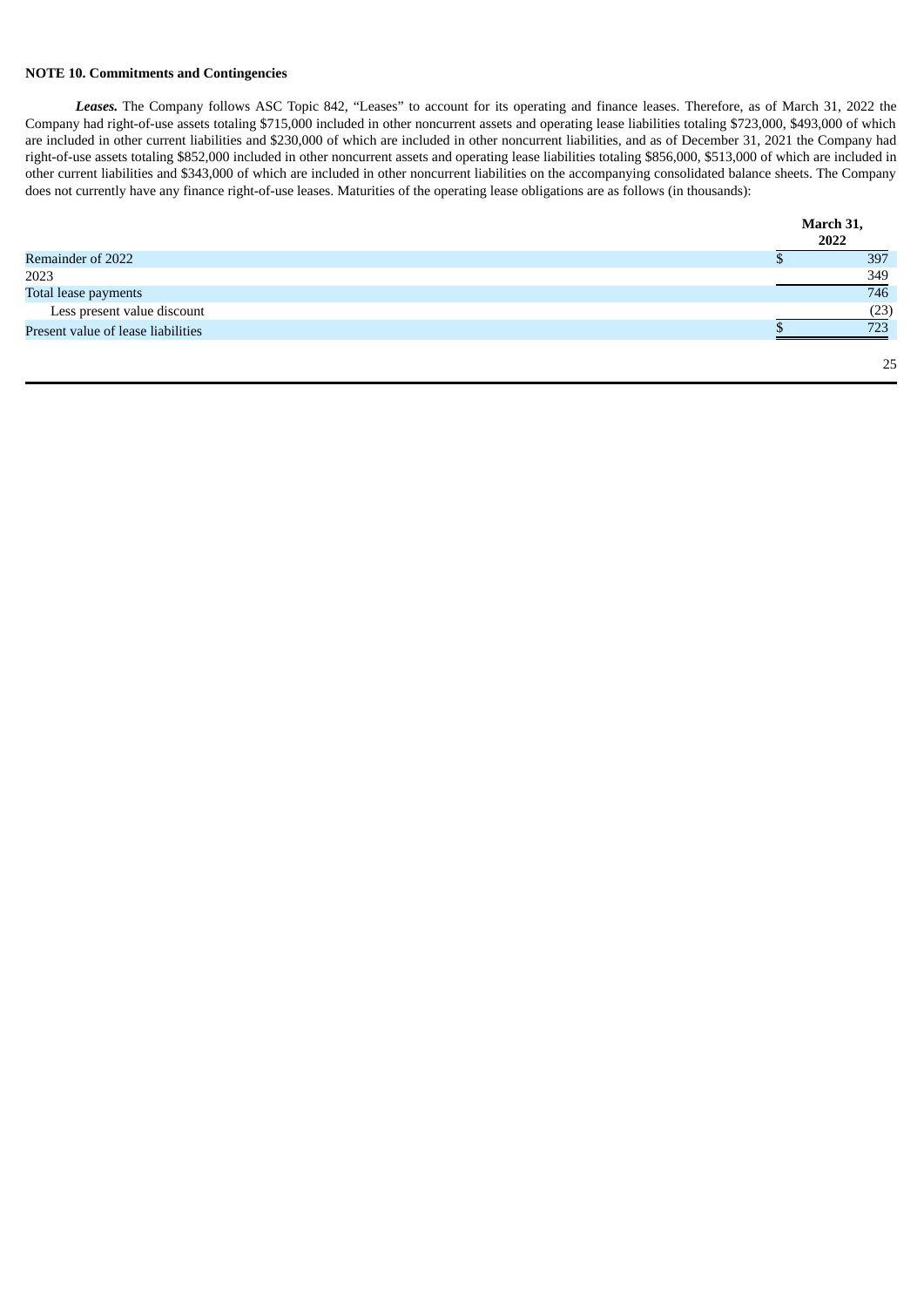### **NOTE 10. Commitments and Contingencies**

*Leases.* The Company follows ASC Topic 842, "Leases" to account for its operating and finance leases. Therefore, as of March 31, 2022 the Company had right-of-use assets totaling \$715,000 included in other noncurrent assets and operating lease liabilities totaling \$723,000, \$493,000 of which are included in other current liabilities and \$230,000 of which are included in other noncurrent liabilities, and as of December 31, 2021 the Company had right-of-use assets totaling \$852,000 included in other noncurrent assets and operating lease liabilities totaling \$856,000, \$513,000 of which are included in other current liabilities and \$343,000 of which are included in other noncurrent liabilities on the accompanying consolidated balance sheets. The Company does not currently have any finance right-of-use leases. Maturities of the operating lease obligations are as follows (in thousands):

|                                    | March 31, |
|------------------------------------|-----------|
|                                    | 2022      |
| Remainder of 2022                  | 397       |
| 2023                               | 349       |
| Total lease payments               | 746       |
| Less present value discount        | (23)      |
| Present value of lease liabilities | 723       |
|                                    | 25        |
|                                    |           |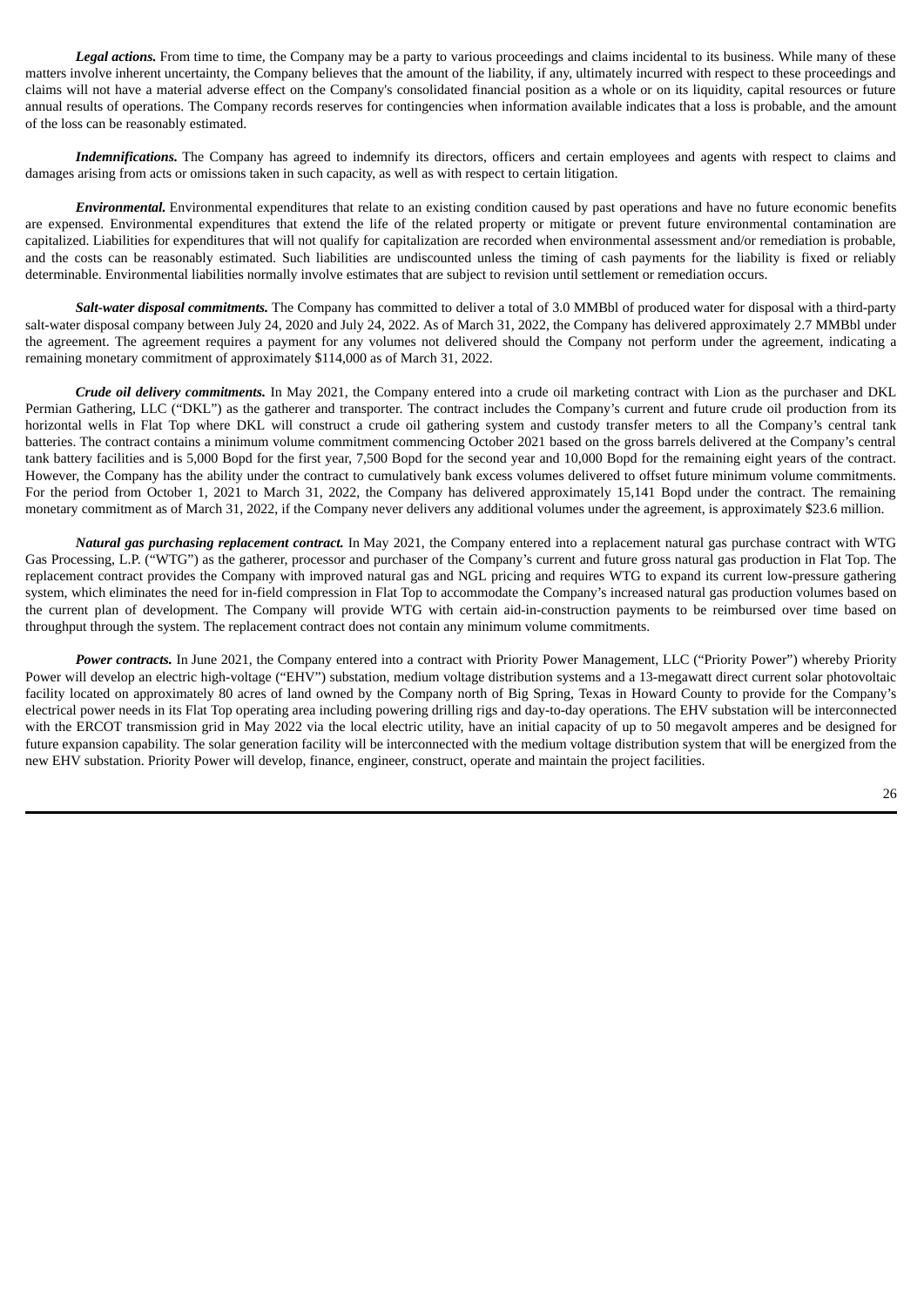*Legal actions.* From time to time, the Company may be a party to various proceedings and claims incidental to its business. While many of these matters involve inherent uncertainty, the Company believes that the amount of the liability, if any, ultimately incurred with respect to these proceedings and claims will not have a material adverse effect on the Company's consolidated financial position as a whole or on its liquidity, capital resources or future annual results of operations. The Company records reserves for contingencies when information available indicates that a loss is probable, and the amount of the loss can be reasonably estimated.

*Indemnifications.* The Company has agreed to indemnify its directors, officers and certain employees and agents with respect to claims and damages arising from acts or omissions taken in such capacity, as well as with respect to certain litigation.

*Environmental.* Environmental expenditures that relate to an existing condition caused by past operations and have no future economic benefits are expensed. Environmental expenditures that extend the life of the related property or mitigate or prevent future environmental contamination are capitalized. Liabilities for expenditures that will not qualify for capitalization are recorded when environmental assessment and/or remediation is probable, and the costs can be reasonably estimated. Such liabilities are undiscounted unless the timing of cash payments for the liability is fixed or reliably determinable. Environmental liabilities normally involve estimates that are subject to revision until settlement or remediation occurs.

*Salt-water disposal commitments.* The Company has committed to deliver a total of 3.0 MMBbl of produced water for disposal with a third-party salt-water disposal company between July 24, 2020 and July 24, 2022. As of March 31, 2022, the Company has delivered approximately 2.7 MMBbl under the agreement. The agreement requires a payment for any volumes not delivered should the Company not perform under the agreement, indicating a remaining monetary commitment of approximately \$114,000 as of March 31, 2022.

*Crude oil delivery commitments.* In May 2021, the Company entered into a crude oil marketing contract with Lion as the purchaser and DKL Permian Gathering, LLC ("DKL") as the gatherer and transporter. The contract includes the Company's current and future crude oil production from its horizontal wells in Flat Top where DKL will construct a crude oil gathering system and custody transfer meters to all the Company's central tank batteries. The contract contains a minimum volume commitment commencing October 2021 based on the gross barrels delivered at the Company's central tank battery facilities and is 5,000 Bopd for the first year, 7,500 Bopd for the second year and 10,000 Bopd for the remaining eight years of the contract. However, the Company has the ability under the contract to cumulatively bank excess volumes delivered to offset future minimum volume commitments. For the period from October 1, 2021 to March 31, 2022, the Company has delivered approximately 15,141 Bopd under the contract. The remaining monetary commitment as of March 31, 2022, if the Company never delivers any additional volumes under the agreement, is approximately \$23.6 million.

*Natural gas purchasing replacement contract.* In May 2021, the Company entered into a replacement natural gas purchase contract with WTG Gas Processing, L.P. ("WTG") as the gatherer, processor and purchaser of the Company's current and future gross natural gas production in Flat Top. The replacement contract provides the Company with improved natural gas and NGL pricing and requires WTG to expand its current low-pressure gathering system, which eliminates the need for in-field compression in Flat Top to accommodate the Company's increased natural gas production volumes based on the current plan of development. The Company will provide WTG with certain aid-in-construction payments to be reimbursed over time based on throughput through the system. The replacement contract does not contain any minimum volume commitments.

*Power contracts.* In June 2021, the Company entered into a contract with Priority Power Management, LLC ("Priority Power") whereby Priority Power will develop an electric high-voltage ("EHV") substation, medium voltage distribution systems and a 13-megawatt direct current solar photovoltaic facility located on approximately 80 acres of land owned by the Company north of Big Spring, Texas in Howard County to provide for the Company's electrical power needs in its Flat Top operating area including powering drilling rigs and day-to-day operations. The EHV substation will be interconnected with the ERCOT transmission grid in May 2022 via the local electric utility, have an initial capacity of up to 50 megavolt amperes and be designed for future expansion capability. The solar generation facility will be interconnected with the medium voltage distribution system that will be energized from the new EHV substation. Priority Power will develop, finance, engineer, construct, operate and maintain the project facilities.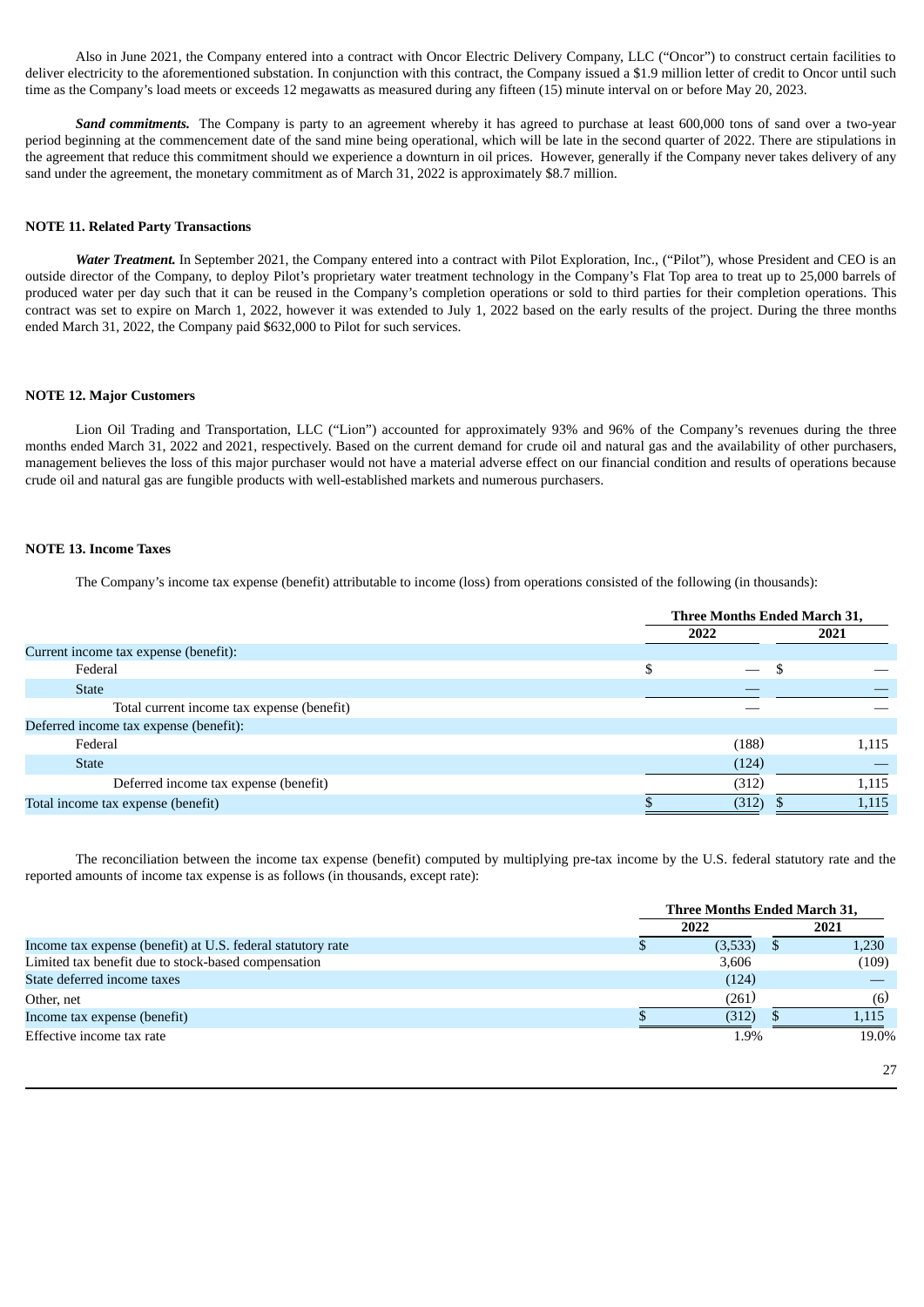Also in June 2021, the Company entered into a contract with Oncor Electric Delivery Company, LLC ("Oncor") to construct certain facilities to deliver electricity to the aforementioned substation. In conjunction with this contract, the Company issued a \$1.9 million letter of credit to Oncor until such time as the Company's load meets or exceeds 12 megawatts as measured during any fifteen (15) minute interval on or before May 20, 2023.

*Sand commitments.* The Company is party to an agreement whereby it has agreed to purchase at least 600,000 tons of sand over a two-year period beginning at the commencement date of the sand mine being operational, which will be late in the second quarter of 2022. There are stipulations in the agreement that reduce this commitment should we experience a downturn in oil prices. However, generally if the Company never takes delivery of any sand under the agreement, the monetary commitment as of March 31, 2022 is approximately \$8.7 million.

#### **NOTE 11. Related Party Transactions**

*Water Treatment.* In September 2021, the Company entered into a contract with Pilot Exploration, Inc., ("Pilot"), whose President and CEO is an outside director of the Company, to deploy Pilot's proprietary water treatment technology in the Company's Flat Top area to treat up to 25,000 barrels of produced water per day such that it can be reused in the Company's completion operations or sold to third parties for their completion operations. This contract was set to expire on March 1, 2022, however it was extended to July 1, 2022 based on the early results of the project. During the three months ended March 31, 2022, the Company paid \$632,000 to Pilot for such services.

#### **NOTE 12. Major Customers**

Lion Oil Trading and Transportation, LLC ("Lion") accounted for approximately 93% and 96% of the Company's revenues during the three months ended March 31, 2022 and 2021, respectively. Based on the current demand for crude oil and natural gas and the availability of other purchasers, management believes the loss of this major purchaser would not have a material adverse effect on our financial condition and results of operations because crude oil and natural gas are fungible products with well-established markets and numerous purchasers.

### **NOTE 13. Income Taxes**

The Company's income tax expense (benefit) attributable to income (loss) from operations consisted of the following (in thousands):

|                                            | Three Months Ended March 31, |  |       |  |
|--------------------------------------------|------------------------------|--|-------|--|
|                                            | 2022                         |  | 2021  |  |
| Current income tax expense (benefit):      |                              |  |       |  |
| Federal                                    | \$                           |  |       |  |
| <b>State</b>                               |                              |  |       |  |
| Total current income tax expense (benefit) |                              |  |       |  |
| Deferred income tax expense (benefit):     |                              |  |       |  |
| Federal                                    | (188)                        |  | 1,115 |  |
| <b>State</b>                               | (124)                        |  |       |  |
| Deferred income tax expense (benefit)      | (312)                        |  | 1,115 |  |
| Total income tax expense (benefit)         | (312)                        |  | 1,115 |  |

The reconciliation between the income tax expense (benefit) computed by multiplying pre-tax income by the U.S. federal statutory rate and the reported amounts of income tax expense is as follows (in thousands, except rate):

|                                                             | Three Months Ended March 31, |       |  |  |  |
|-------------------------------------------------------------|------------------------------|-------|--|--|--|
|                                                             | 2022                         | 2021  |  |  |  |
| Income tax expense (benefit) at U.S. federal statutory rate | (3,533)                      | 1,230 |  |  |  |
| Limited tax benefit due to stock-based compensation         | 3,606                        | (109) |  |  |  |
| State deferred income taxes                                 | (124)                        |       |  |  |  |
| Other, net                                                  | (261)                        | (6)   |  |  |  |
| Income tax expense (benefit)                                | (312)                        | 1.115 |  |  |  |
| Effective income tax rate                                   | 1.9%                         | 19.0% |  |  |  |
|                                                             |                              | 27    |  |  |  |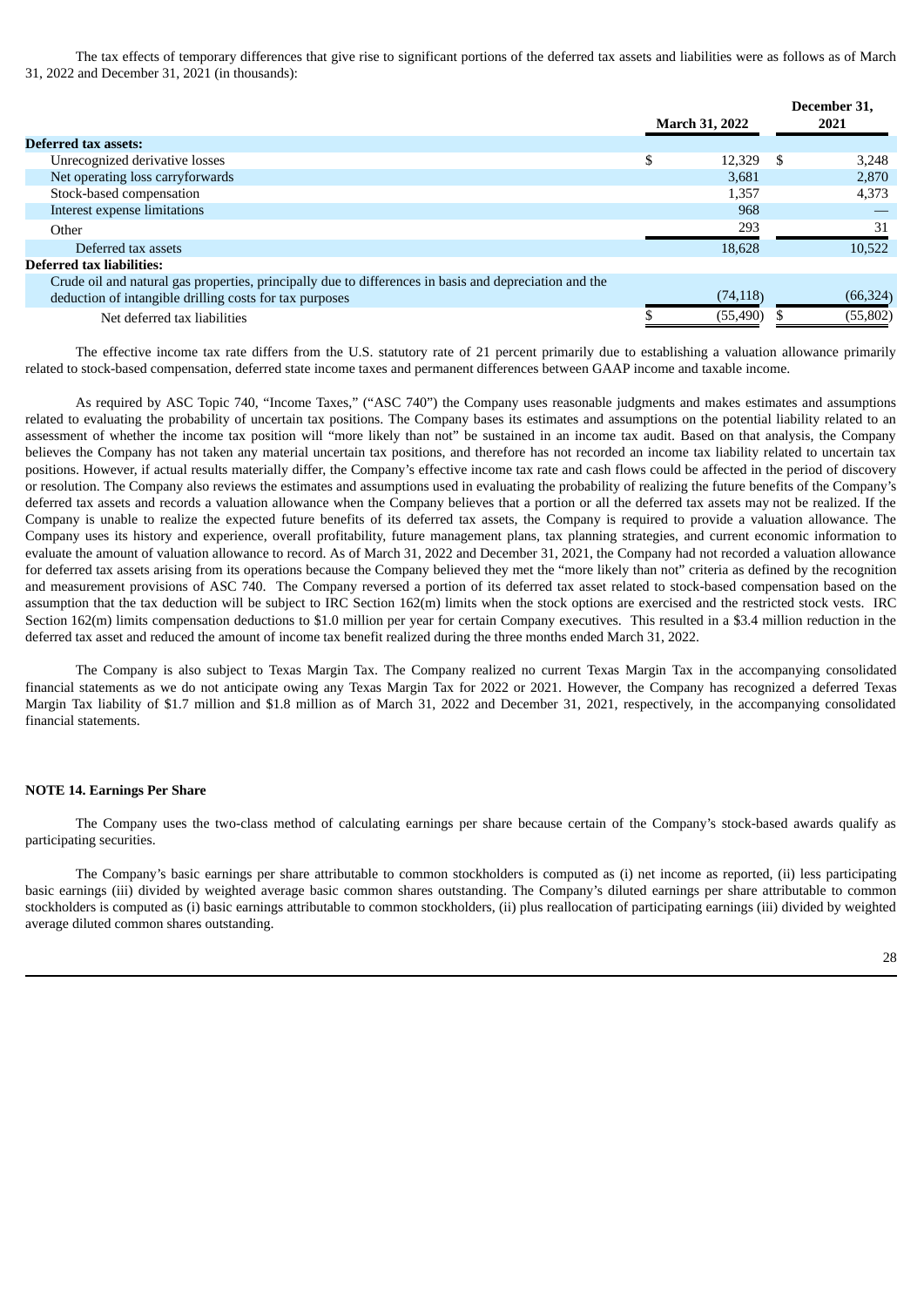The tax effects of temporary differences that give rise to significant portions of the deferred tax assets and liabilities were as follows as of March 31, 2022 and December 31, 2021 (in thousands):

|                                                                                                        | <b>March 31, 2022</b> |    | December 31.<br>2021 |
|--------------------------------------------------------------------------------------------------------|-----------------------|----|----------------------|
| <b>Deferred tax assets:</b>                                                                            |                       |    |                      |
| Unrecognized derivative losses                                                                         | \$<br>12,329          | -S | 3.248                |
| Net operating loss carryforwards                                                                       | 3,681                 |    | 2,870                |
| Stock-based compensation                                                                               | 1,357                 |    | 4,373                |
| Interest expense limitations                                                                           | 968                   |    |                      |
| Other                                                                                                  | 293                   |    | 31                   |
| Deferred tax assets                                                                                    | 18.628                |    | 10.522               |
| <b>Deferred tax liabilities:</b>                                                                       |                       |    |                      |
| Crude oil and natural gas properties, principally due to differences in basis and depreciation and the |                       |    |                      |
| deduction of intangible drilling costs for tax purposes                                                | (74, 118)             |    | (66, 324)            |
| Net deferred tax liabilities                                                                           | (55, 490)             |    | (55, 802)            |

The effective income tax rate differs from the U.S. statutory rate of 21 percent primarily due to establishing a valuation allowance primarily related to stock-based compensation, deferred state income taxes and permanent differences between GAAP income and taxable income.

As required by ASC Topic 740, "Income Taxes," ("ASC 740") the Company uses reasonable judgments and makes estimates and assumptions related to evaluating the probability of uncertain tax positions. The Company bases its estimates and assumptions on the potential liability related to an assessment of whether the income tax position will "more likely than not" be sustained in an income tax audit. Based on that analysis, the Company believes the Company has not taken any material uncertain tax positions, and therefore has not recorded an income tax liability related to uncertain tax positions. However, if actual results materially differ, the Company's effective income tax rate and cash flows could be affected in the period of discovery or resolution. The Company also reviews the estimates and assumptions used in evaluating the probability of realizing the future benefits of the Company's deferred tax assets and records a valuation allowance when the Company believes that a portion or all the deferred tax assets may not be realized. If the Company is unable to realize the expected future benefits of its deferred tax assets, the Company is required to provide a valuation allowance. The Company uses its history and experience, overall profitability, future management plans, tax planning strategies, and current economic information to evaluate the amount of valuation allowance to record. As of March 31, 2022 and December 31, 2021, the Company had not recorded a valuation allowance for deferred tax assets arising from its operations because the Company believed they met the "more likely than not" criteria as defined by the recognition and measurement provisions of ASC 740. The Company reversed a portion of its deferred tax asset related to stock-based compensation based on the assumption that the tax deduction will be subject to IRC Section 162(m) limits when the stock options are exercised and the restricted stock vests. IRC Section 162(m) limits compensation deductions to \$1.0 million per year for certain Company executives. This resulted in a \$3.4 million reduction in the deferred tax asset and reduced the amount of income tax benefit realized during the three months ended March 31, 2022.

The Company is also subject to Texas Margin Tax. The Company realized no current Texas Margin Tax in the accompanying consolidated financial statements as we do not anticipate owing any Texas Margin Tax for 2022 or 2021. However, the Company has recognized a deferred Texas Margin Tax liability of \$1.7 million and \$1.8 million as of March 31, 2022 and December 31, 2021, respectively, in the accompanying consolidated financial statements.

#### **NOTE 14. Earnings Per Share**

The Company uses the two-class method of calculating earnings per share because certain of the Company's stock-based awards qualify as participating securities.

The Company's basic earnings per share attributable to common stockholders is computed as (i) net income as reported, (ii) less participating basic earnings (iii) divided by weighted average basic common shares outstanding. The Company's diluted earnings per share attributable to common stockholders is computed as (i) basic earnings attributable to common stockholders, (ii) plus reallocation of participating earnings (iii) divided by weighted average diluted common shares outstanding.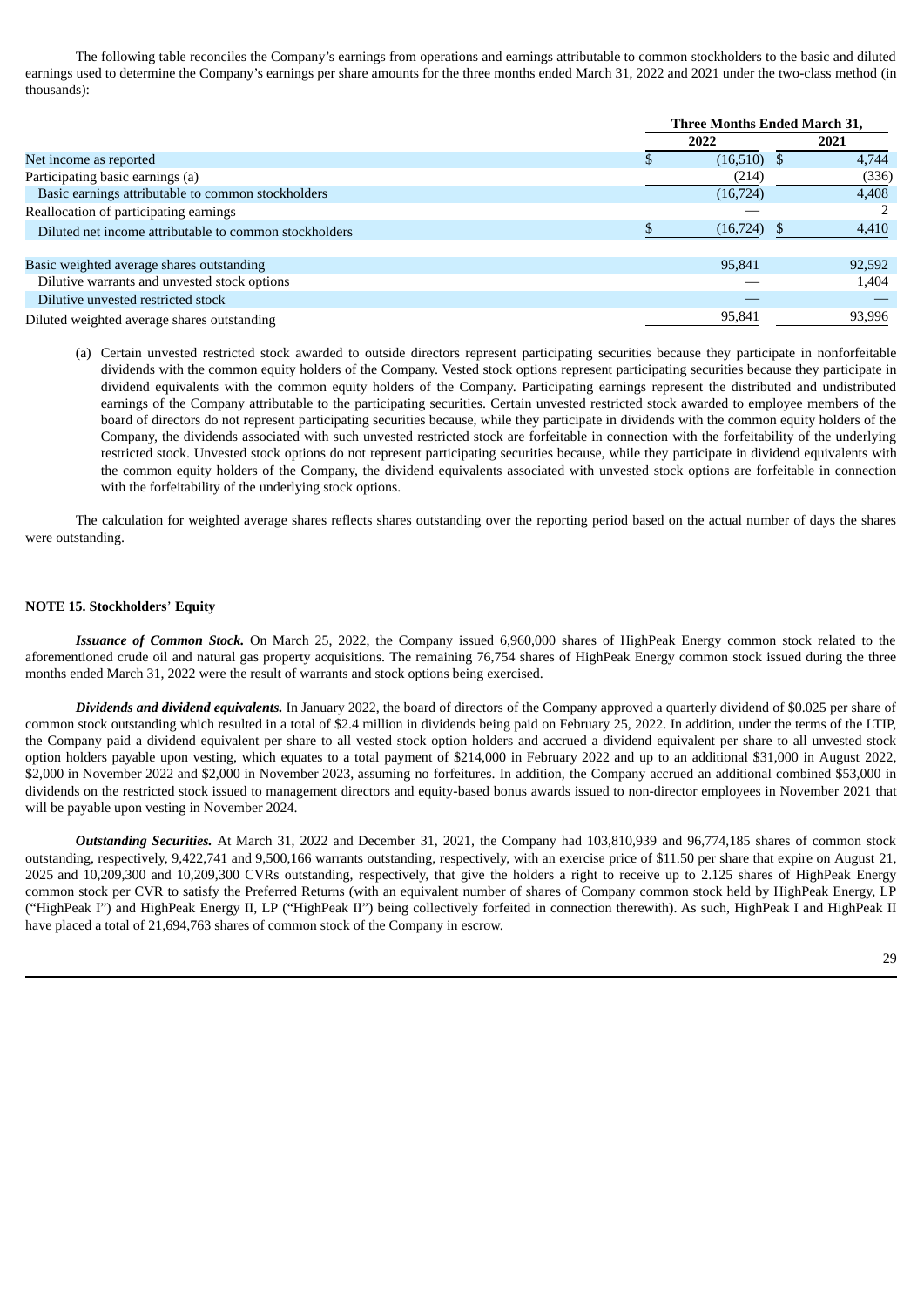The following table reconciles the Company's earnings from operations and earnings attributable to common stockholders to the basic and diluted earnings used to determine the Company's earnings per share amounts for the three months ended March 31, 2022 and 2021 under the two-class method (in thousands):

|                                                        | Three Months Ended March 31, |           |  |        |  |
|--------------------------------------------------------|------------------------------|-----------|--|--------|--|
|                                                        | 2022                         |           |  | 2021   |  |
| Net income as reported                                 |                              | (16, 510) |  | 4,744  |  |
| Participating basic earnings (a)                       |                              | (214)     |  | (336)  |  |
| Basic earnings attributable to common stockholders     |                              | (16, 724) |  | 4,408  |  |
| Reallocation of participating earnings                 |                              |           |  |        |  |
| Diluted net income attributable to common stockholders |                              | (16, 724) |  | 4.410  |  |
| Basic weighted average shares outstanding              |                              | 95,841    |  | 92,592 |  |
| Dilutive warrants and unvested stock options           |                              |           |  | 1,404  |  |
| Dilutive unvested restricted stock                     |                              |           |  |        |  |
| Diluted weighted average shares outstanding            |                              | 95,841    |  | 93,996 |  |

(a) Certain unvested restricted stock awarded to outside directors represent participating securities because they participate in nonforfeitable dividends with the common equity holders of the Company. Vested stock options represent participating securities because they participate in dividend equivalents with the common equity holders of the Company. Participating earnings represent the distributed and undistributed earnings of the Company attributable to the participating securities. Certain unvested restricted stock awarded to employee members of the board of directors do not represent participating securities because, while they participate in dividends with the common equity holders of the Company, the dividends associated with such unvested restricted stock are forfeitable in connection with the forfeitability of the underlying restricted stock. Unvested stock options do not represent participating securities because, while they participate in dividend equivalents with the common equity holders of the Company, the dividend equivalents associated with unvested stock options are forfeitable in connection with the forfeitability of the underlying stock options.

The calculation for weighted average shares reflects shares outstanding over the reporting period based on the actual number of days the shares were outstanding.

### **NOTE 15. Stockholders**' **Equity**

*Issuance of Common Stock.* On March 25, 2022, the Company issued 6,960,000 shares of HighPeak Energy common stock related to the aforementioned crude oil and natural gas property acquisitions. The remaining 76,754 shares of HighPeak Energy common stock issued during the three months ended March 31, 2022 were the result of warrants and stock options being exercised.

*Dividends and dividend equivalents.* In January 2022, the board of directors of the Company approved a quarterly dividend of \$0.025 per share of common stock outstanding which resulted in a total of \$2.4 million in dividends being paid on February 25, 2022. In addition, under the terms of the LTIP, the Company paid a dividend equivalent per share to all vested stock option holders and accrued a dividend equivalent per share to all unvested stock option holders payable upon vesting, which equates to a total payment of \$214,000 in February 2022 and up to an additional \$31,000 in August 2022, \$2,000 in November 2022 and \$2,000 in November 2023, assuming no forfeitures. In addition, the Company accrued an additional combined \$53,000 in dividends on the restricted stock issued to management directors and equity-based bonus awards issued to non-director employees in November 2021 that will be payable upon vesting in November 2024.

*Outstanding Securities.* At March 31, 2022 and December 31, 2021, the Company had 103,810,939 and 96,774,185 shares of common stock outstanding, respectively, 9,422,741 and 9,500,166 warrants outstanding, respectively, with an exercise price of \$11.50 per share that expire on August 21, 2025 and 10,209,300 and 10,209,300 CVRs outstanding, respectively, that give the holders a right to receive up to 2.125 shares of HighPeak Energy common stock per CVR to satisfy the Preferred Returns (with an equivalent number of shares of Company common stock held by HighPeak Energy, LP ("HighPeak I") and HighPeak Energy II, LP ("HighPeak II") being collectively forfeited in connection therewith). As such, HighPeak I and HighPeak II have placed a total of 21,694,763 shares of common stock of the Company in escrow.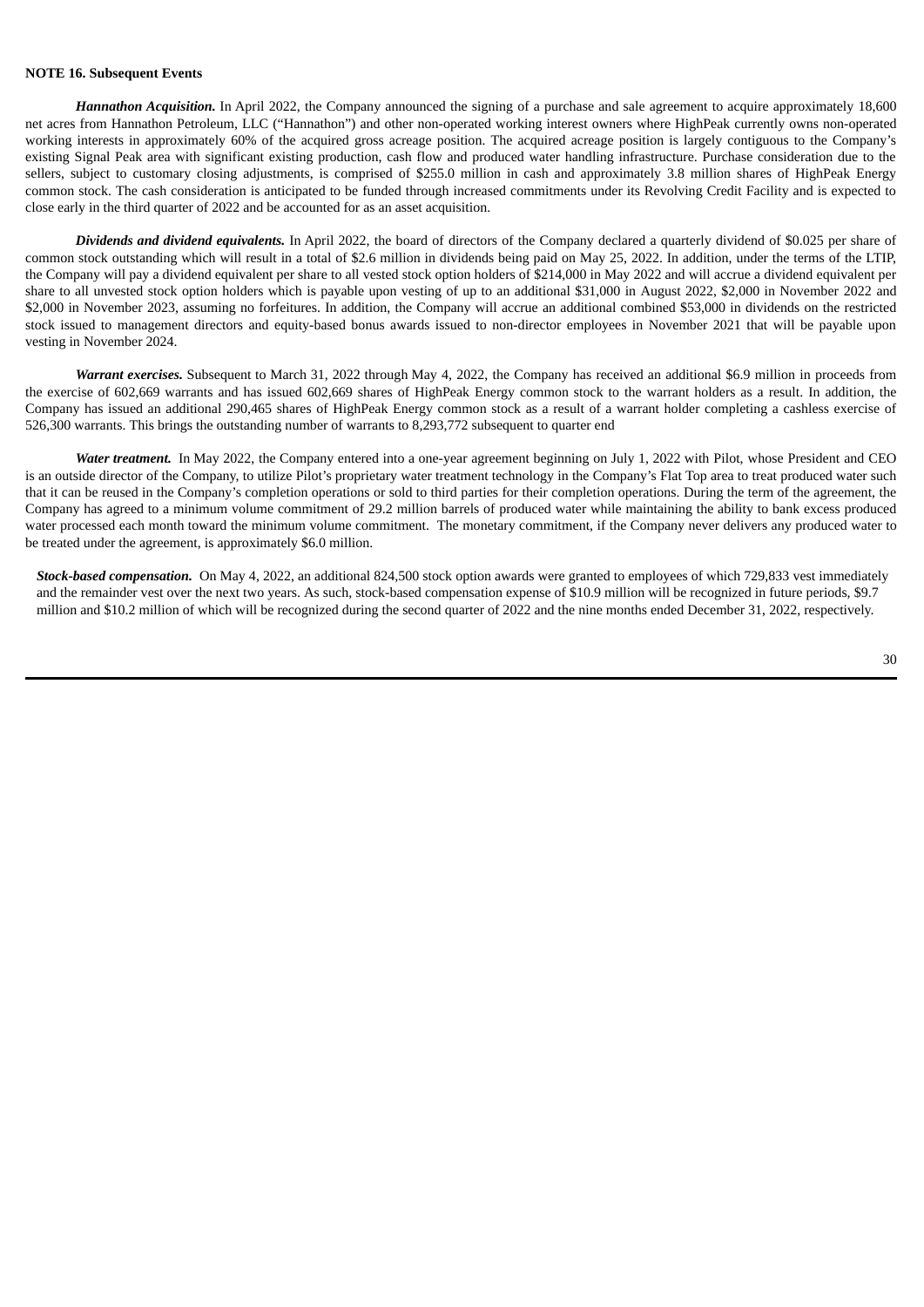#### **NOTE 16. Subsequent Events**

*Hannathon Acquisition.* In April 2022, the Company announced the signing of a purchase and sale agreement to acquire approximately 18,600 net acres from Hannathon Petroleum, LLC ("Hannathon") and other non-operated working interest owners where HighPeak currently owns non-operated working interests in approximately 60% of the acquired gross acreage position. The acquired acreage position is largely contiguous to the Company's existing Signal Peak area with significant existing production, cash flow and produced water handling infrastructure. Purchase consideration due to the sellers, subject to customary closing adjustments, is comprised of \$255.0 million in cash and approximately 3.8 million shares of HighPeak Energy common stock. The cash consideration is anticipated to be funded through increased commitments under its Revolving Credit Facility and is expected to close early in the third quarter of 2022 and be accounted for as an asset acquisition.

*Dividends and dividend equivalents.* In April 2022, the board of directors of the Company declared a quarterly dividend of \$0.025 per share of common stock outstanding which will result in a total of \$2.6 million in dividends being paid on May 25, 2022. In addition, under the terms of the LTIP, the Company will pay a dividend equivalent per share to all vested stock option holders of \$214,000 in May 2022 and will accrue a dividend equivalent per share to all unvested stock option holders which is payable upon vesting of up to an additional \$31,000 in August 2022, \$2,000 in November 2022 and \$2,000 in November 2023, assuming no forfeitures. In addition, the Company will accrue an additional combined \$53,000 in dividends on the restricted stock issued to management directors and equity-based bonus awards issued to non-director employees in November 2021 that will be payable upon vesting in November 2024.

*Warrant exercises*. Subsequent to March 31, 2022 through May 4, 2022, the Company has received an additional \$6.9 million in proceeds from the exercise of 602,669 warrants and has issued 602,669 shares of HighPeak Energy common stock to the warrant holders as a result. In addition, the Company has issued an additional 290,465 shares of HighPeak Energy common stock as a result of a warrant holder completing a cashless exercise of 526,300 warrants. This brings the outstanding number of warrants to 8,293,772 subsequent to quarter end

*Water treatment.* In May 2022, the Company entered into a one-year agreement beginning on July 1, 2022 with Pilot, whose President and CEO is an outside director of the Company, to utilize Pilot's proprietary water treatment technology in the Company's Flat Top area to treat produced water such that it can be reused in the Company's completion operations or sold to third parties for their completion operations. During the term of the agreement, the Company has agreed to a minimum volume commitment of 29.2 million barrels of produced water while maintaining the ability to bank excess produced water processed each month toward the minimum volume commitment. The monetary commitment, if the Company never delivers any produced water to be treated under the agreement, is approximately \$6.0 million.

*Stock-based compensation.* On May 4, 2022, an additional 824,500 stock option awards were granted to employees of which 729,833 vest immediately and the remainder vest over the next two years. As such, stock-based compensation expense of \$10.9 million will be recognized in future periods, \$9.7 million and \$10.2 million of which will be recognized during the second quarter of 2022 and the nine months ended December 31, 2022, respectively.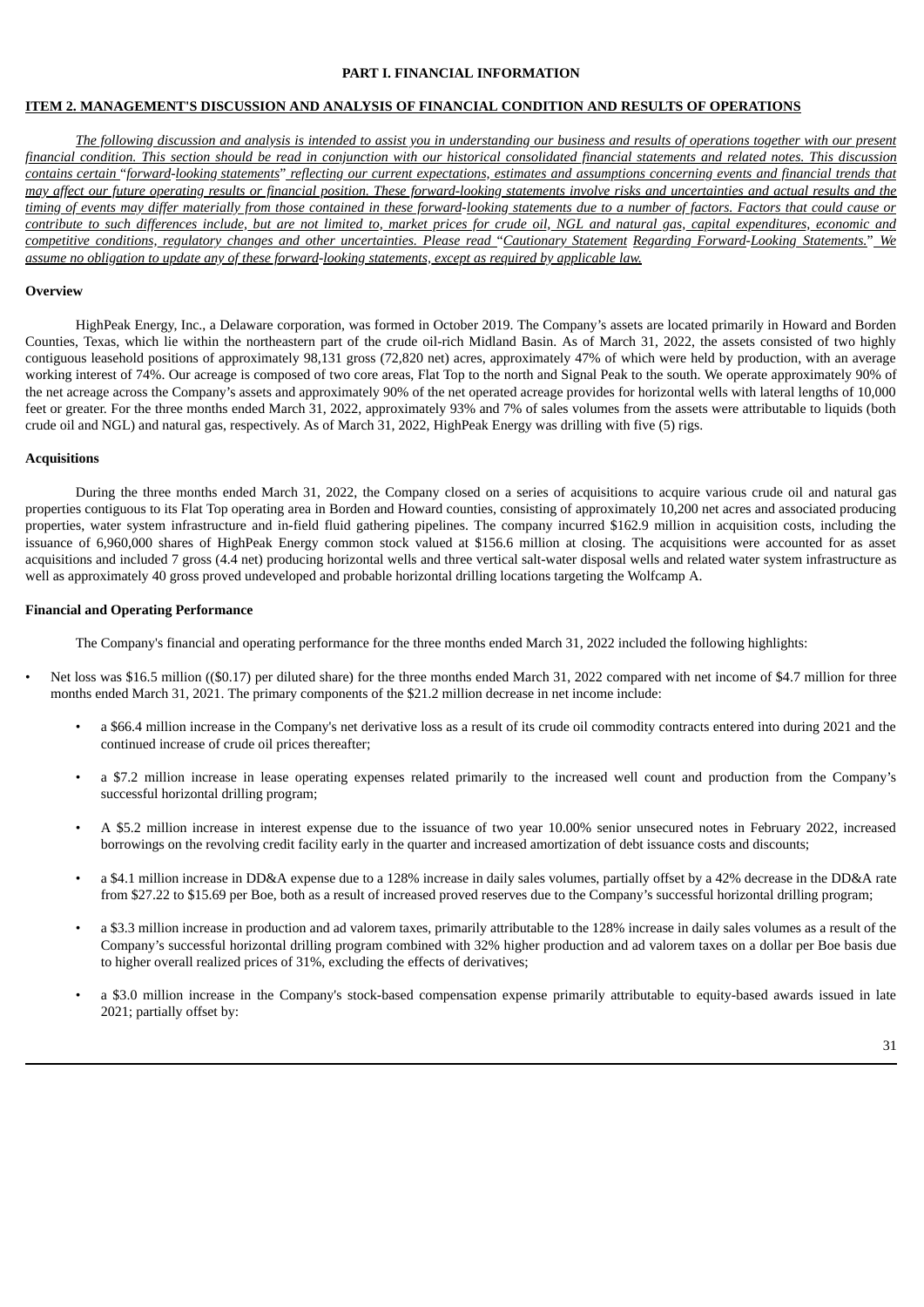#### **PART I. FINANCIAL INFORMATION**

#### **ITEM 2. MANAGEMENT'S DISCUSSION AND ANALYSIS OF FINANCIAL CONDITION AND RESULTS OF OPERATIONS**

The following discussion and analysis is intended to assist you in understanding our business and results of operations together with our present financial condition. This section should be read in conjunction with our historical consolidated financial statements and related notes. This discussion contains certain "forward-looking statements" reflecting our current expectations, estimates and assumptions concerning events and financial trends that may affect our future operating results or financial position. These forward-looking statements involve risks and uncertainties and actual results and the timing of events may differ materially from those contained in these forward-looking statements due to a number of factors. Factors that could cause or contribute to such differences include, but are not limited to, market prices for crude oil, NGL and natural gas, capital expenditures, economic and competitive conditions, regulatory changes and other uncertainties. Please read "Cautionary Statement Regarding Forward-Looking Statements." We assume no obligation to update any of these forward-looking statements, except as required by applicable law.

#### **Overview**

HighPeak Energy, Inc., a Delaware corporation, was formed in October 2019. The Company's assets are located primarily in Howard and Borden Counties, Texas, which lie within the northeastern part of the crude oil-rich Midland Basin. As of March 31, 2022, the assets consisted of two highly contiguous leasehold positions of approximately 98,131 gross (72,820 net) acres, approximately 47% of which were held by production, with an average working interest of 74%. Our acreage is composed of two core areas, Flat Top to the north and Signal Peak to the south. We operate approximately 90% of the net acreage across the Company's assets and approximately 90% of the net operated acreage provides for horizontal wells with lateral lengths of 10,000 feet or greater. For the three months ended March 31, 2022, approximately 93% and 7% of sales volumes from the assets were attributable to liquids (both crude oil and NGL) and natural gas, respectively. As of March 31, 2022, HighPeak Energy was drilling with five (5) rigs.

#### **Acquisitions**

During the three months ended March 31, 2022, the Company closed on a series of acquisitions to acquire various crude oil and natural gas properties contiguous to its Flat Top operating area in Borden and Howard counties, consisting of approximately 10,200 net acres and associated producing properties, water system infrastructure and in-field fluid gathering pipelines. The company incurred \$162.9 million in acquisition costs, including the issuance of 6,960,000 shares of HighPeak Energy common stock valued at \$156.6 million at closing. The acquisitions were accounted for as asset acquisitions and included 7 gross (4.4 net) producing horizontal wells and three vertical salt-water disposal wells and related water system infrastructure as well as approximately 40 gross proved undeveloped and probable horizontal drilling locations targeting the Wolfcamp A.

#### **Financial and Operating Performance**

The Company's financial and operating performance for the three months ended March 31, 2022 included the following highlights:

- Net loss was \$16.5 million ((\$0.17) per diluted share) for the three months ended March 31, 2022 compared with net income of \$4.7 million for three months ended March 31, 2021. The primary components of the \$21.2 million decrease in net income include:
	- a \$66.4 million increase in the Company's net derivative loss as a result of its crude oil commodity contracts entered into during 2021 and the continued increase of crude oil prices thereafter;
	- a \$7.2 million increase in lease operating expenses related primarily to the increased well count and production from the Company's successful horizontal drilling program;
	- A \$5.2 million increase in interest expense due to the issuance of two year 10.00% senior unsecured notes in February 2022, increased borrowings on the revolving credit facility early in the quarter and increased amortization of debt issuance costs and discounts;
	- a \$4.1 million increase in DD&A expense due to a 128% increase in daily sales volumes, partially offset by a 42% decrease in the DD&A rate from \$27.22 to \$15.69 per Boe, both as a result of increased proved reserves due to the Company's successful horizontal drilling program;
	- a \$3.3 million increase in production and ad valorem taxes, primarily attributable to the 128% increase in daily sales volumes as a result of the Company's successful horizontal drilling program combined with 32% higher production and ad valorem taxes on a dollar per Boe basis due to higher overall realized prices of 31%, excluding the effects of derivatives;
	- a \$3.0 million increase in the Company's stock-based compensation expense primarily attributable to equity-based awards issued in late 2021; partially offset by: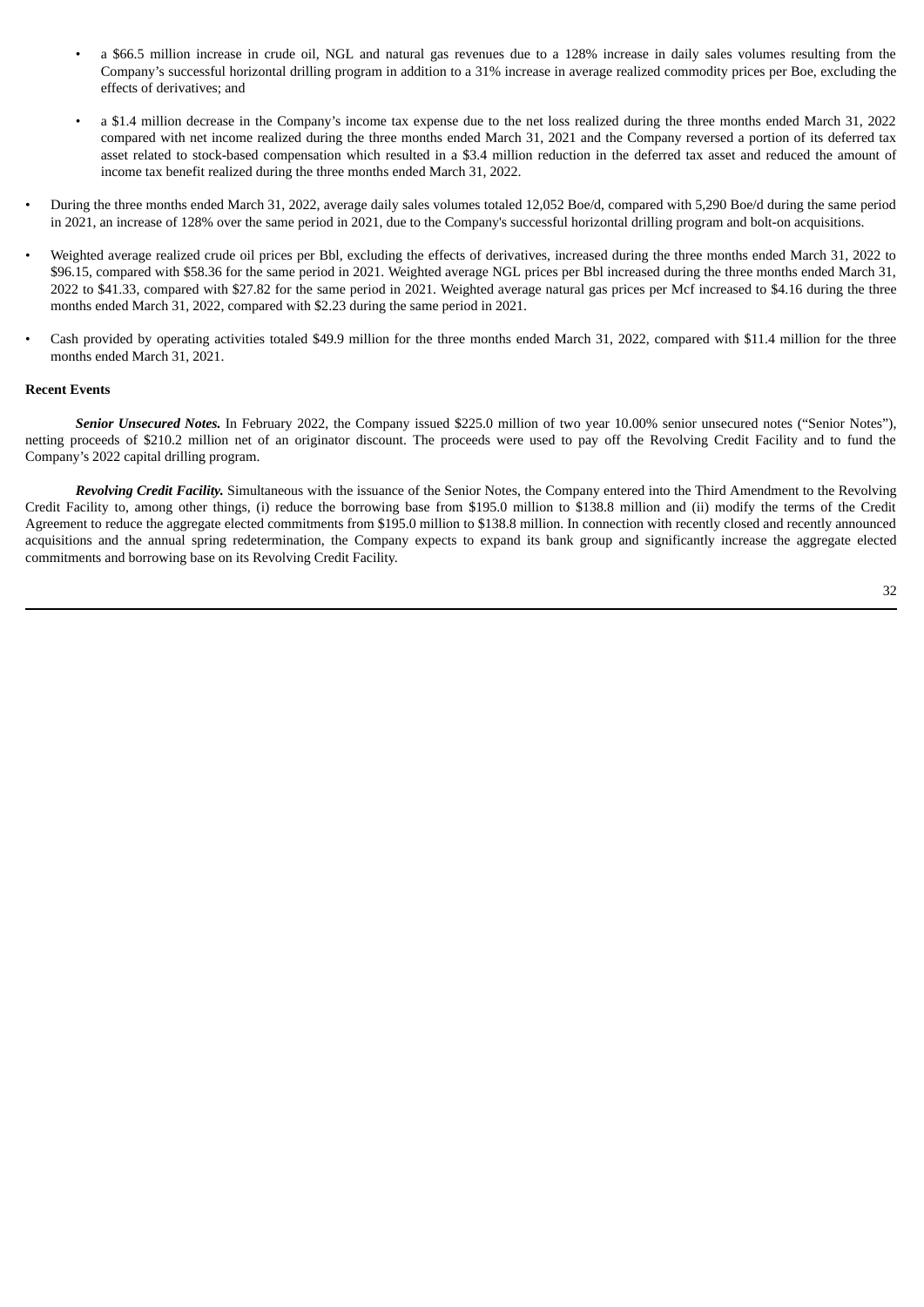- a \$66.5 million increase in crude oil, NGL and natural gas revenues due to a 128% increase in daily sales volumes resulting from the Company's successful horizontal drilling program in addition to a 31% increase in average realized commodity prices per Boe, excluding the effects of derivatives; and
- a \$1.4 million decrease in the Company's income tax expense due to the net loss realized during the three months ended March 31, 2022 compared with net income realized during the three months ended March 31, 2021 and the Company reversed a portion of its deferred tax asset related to stock-based compensation which resulted in a \$3.4 million reduction in the deferred tax asset and reduced the amount of income tax benefit realized during the three months ended March 31, 2022.
- During the three months ended March 31, 2022, average daily sales volumes totaled 12,052 Boe/d, compared with 5,290 Boe/d during the same period in 2021, an increase of 128% over the same period in 2021, due to the Company's successful horizontal drilling program and bolt-on acquisitions.
- Weighted average realized crude oil prices per Bbl, excluding the effects of derivatives, increased during the three months ended March 31, 2022 to \$96.15, compared with \$58.36 for the same period in 2021. Weighted average NGL prices per Bbl increased during the three months ended March 31, 2022 to \$41.33, compared with \$27.82 for the same period in 2021. Weighted average natural gas prices per Mcf increased to \$4.16 during the three months ended March 31, 2022, compared with \$2.23 during the same period in 2021.
- Cash provided by operating activities totaled \$49.9 million for the three months ended March 31, 2022, compared with \$11.4 million for the three months ended March 31, 2021.

### **Recent Events**

*Senior Unsecured Notes.* In February 2022, the Company issued \$225.0 million of two year 10.00% senior unsecured notes ("Senior Notes"), netting proceeds of \$210.2 million net of an originator discount. The proceeds were used to pay off the Revolving Credit Facility and to fund the Company's 2022 capital drilling program.

*Revolving Credit Facility.* Simultaneous with the issuance of the Senior Notes, the Company entered into the Third Amendment to the Revolving Credit Facility to, among other things, (i) reduce the borrowing base from \$195.0 million to \$138.8 million and (ii) modify the terms of the Credit Agreement to reduce the aggregate elected commitments from \$195.0 million to \$138.8 million. In connection with recently closed and recently announced acquisitions and the annual spring redetermination, the Company expects to expand its bank group and significantly increase the aggregate elected commitments and borrowing base on its Revolving Credit Facility.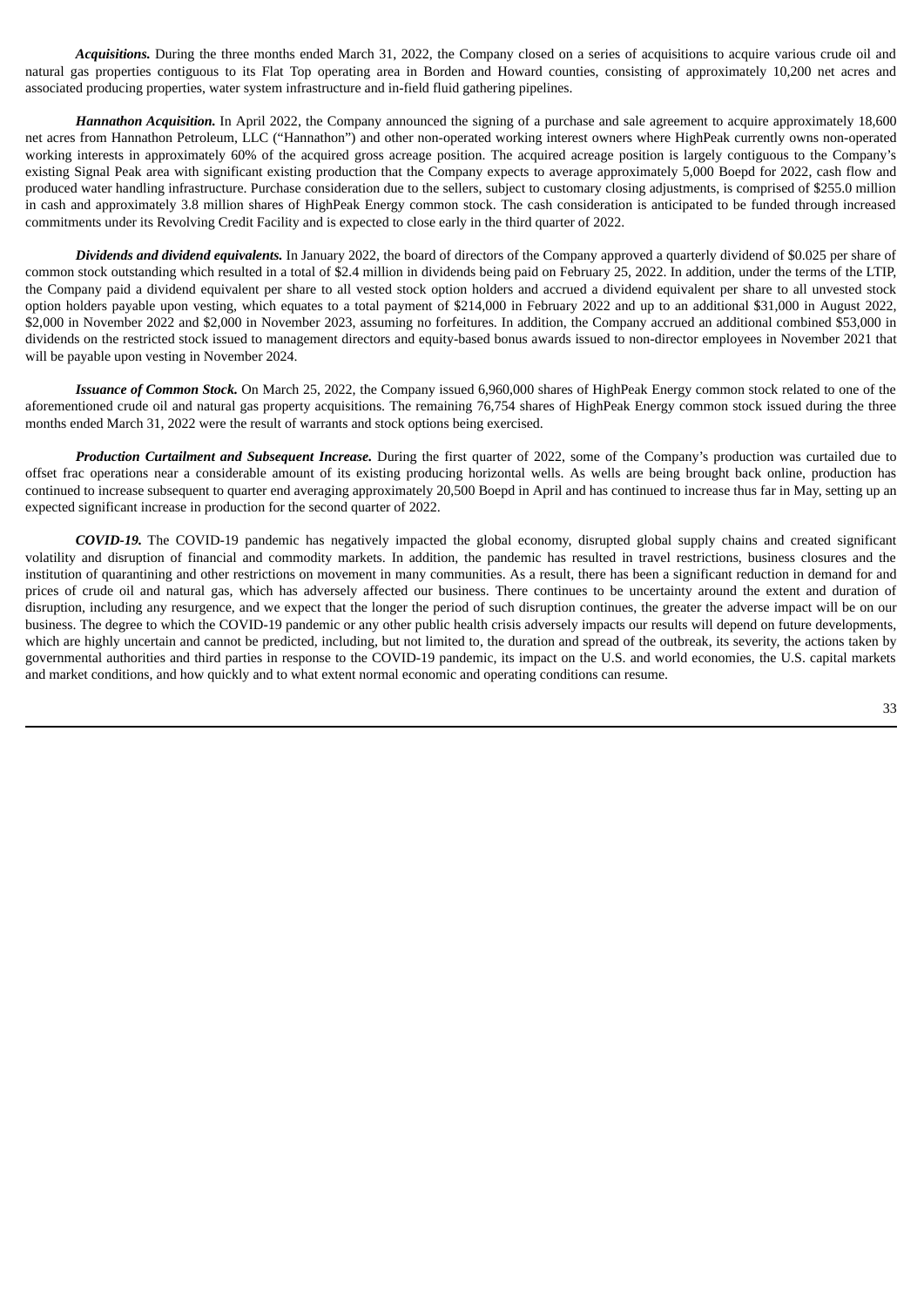*Acquisitions.* During the three months ended March 31, 2022, the Company closed on a series of acquisitions to acquire various crude oil and natural gas properties contiguous to its Flat Top operating area in Borden and Howard counties, consisting of approximately 10,200 net acres and associated producing properties, water system infrastructure and in-field fluid gathering pipelines.

*Hannathon Acquisition.* In April 2022, the Company announced the signing of a purchase and sale agreement to acquire approximately 18,600 net acres from Hannathon Petroleum, LLC ("Hannathon") and other non-operated working interest owners where HighPeak currently owns non-operated working interests in approximately 60% of the acquired gross acreage position. The acquired acreage position is largely contiguous to the Company's existing Signal Peak area with significant existing production that the Company expects to average approximately 5,000 Boepd for 2022, cash flow and produced water handling infrastructure. Purchase consideration due to the sellers, subject to customary closing adjustments, is comprised of \$255.0 million in cash and approximately 3.8 million shares of HighPeak Energy common stock. The cash consideration is anticipated to be funded through increased commitments under its Revolving Credit Facility and is expected to close early in the third quarter of 2022.

*Dividends and dividend equivalents.* In January 2022, the board of directors of the Company approved a quarterly dividend of \$0.025 per share of common stock outstanding which resulted in a total of \$2.4 million in dividends being paid on February 25, 2022. In addition, under the terms of the LTIP, the Company paid a dividend equivalent per share to all vested stock option holders and accrued a dividend equivalent per share to all unvested stock option holders payable upon vesting, which equates to a total payment of \$214,000 in February 2022 and up to an additional \$31,000 in August 2022, \$2,000 in November 2022 and \$2,000 in November 2023, assuming no forfeitures. In addition, the Company accrued an additional combined \$53,000 in dividends on the restricted stock issued to management directors and equity-based bonus awards issued to non-director employees in November 2021 that will be payable upon vesting in November 2024.

*Issuance of Common Stock.* On March 25, 2022, the Company issued 6,960,000 shares of HighPeak Energy common stock related to one of the aforementioned crude oil and natural gas property acquisitions. The remaining 76,754 shares of HighPeak Energy common stock issued during the three months ended March 31, 2022 were the result of warrants and stock options being exercised.

*Production Curtailment and Subsequent Increase.* During the first quarter of 2022, some of the Company's production was curtailed due to offset frac operations near a considerable amount of its existing producing horizontal wells. As wells are being brought back online, production has continued to increase subsequent to quarter end averaging approximately 20,500 Boepd in April and has continued to increase thus far in May, setting up an expected significant increase in production for the second quarter of 2022.

*COVID-19.* The COVID-19 pandemic has negatively impacted the global economy, disrupted global supply chains and created significant volatility and disruption of financial and commodity markets. In addition, the pandemic has resulted in travel restrictions, business closures and the institution of quarantining and other restrictions on movement in many communities. As a result, there has been a significant reduction in demand for and prices of crude oil and natural gas, which has adversely affected our business. There continues to be uncertainty around the extent and duration of disruption, including any resurgence, and we expect that the longer the period of such disruption continues, the greater the adverse impact will be on our business. The degree to which the COVID-19 pandemic or any other public health crisis adversely impacts our results will depend on future developments, which are highly uncertain and cannot be predicted, including, but not limited to, the duration and spread of the outbreak, its severity, the actions taken by governmental authorities and third parties in response to the COVID-19 pandemic, its impact on the U.S. and world economies, the U.S. capital markets and market conditions, and how quickly and to what extent normal economic and operating conditions can resume.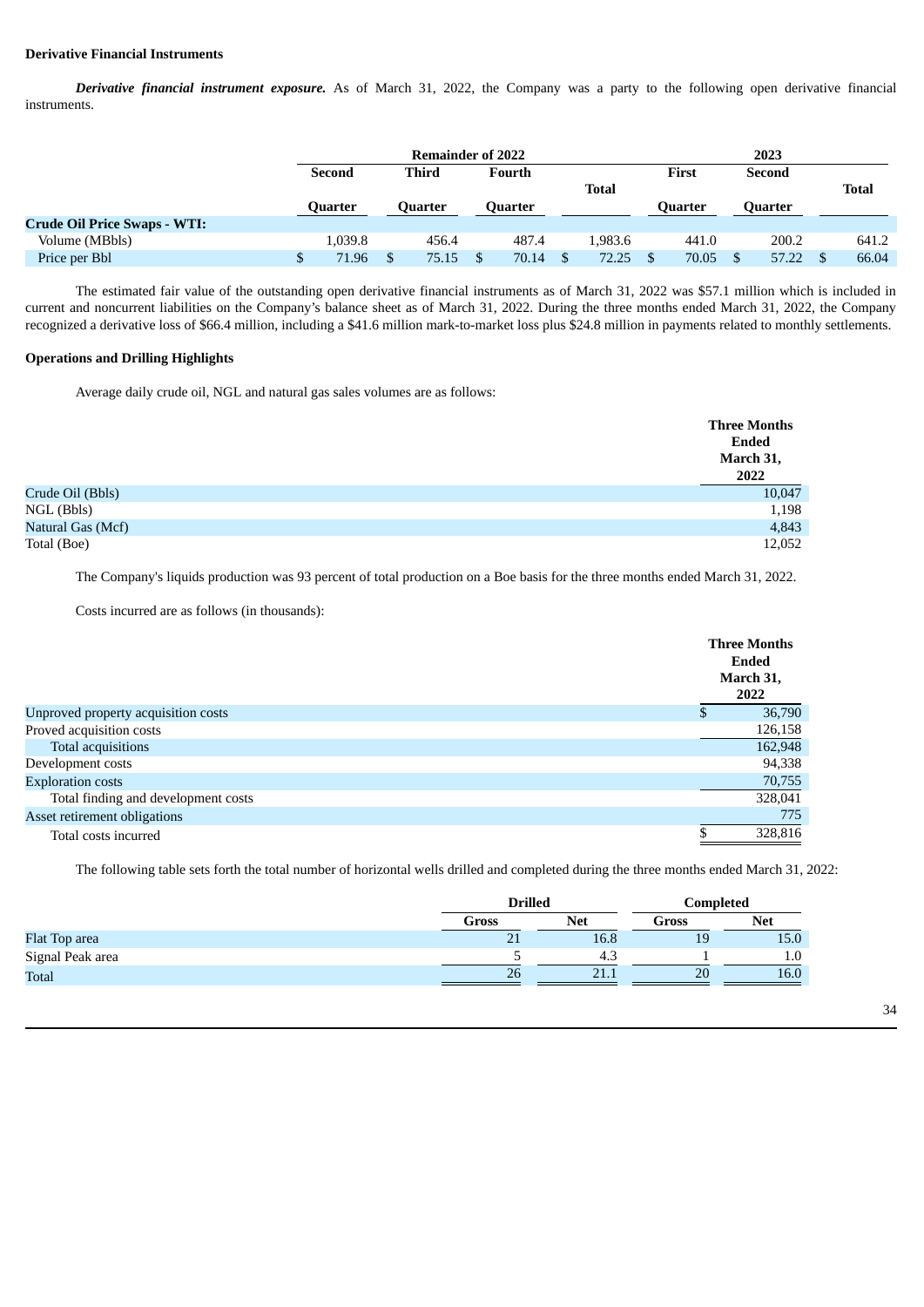### **Derivative Financial Instruments**

*Derivative financial instrument exposure.* As of March 31, 2022, the Company was a party to the following open derivative financial instruments.

|                                     |  | <b>Remainder of 2022</b> |  |         |  |                |  |              |  |         |  |                |       |  |  |       |  |  |  |        |  |
|-------------------------------------|--|--------------------------|--|---------|--|----------------|--|--------------|--|---------|--|----------------|-------|--|--|-------|--|--|--|--------|--|
|                                     |  | <b>Third</b>             |  | Second  |  |                |  |              |  |         |  | Fourth         |       |  |  | First |  |  |  | Second |  |
|                                     |  |                          |  |         |  |                |  | <b>Total</b> |  |         |  |                | Total |  |  |       |  |  |  |        |  |
|                                     |  | Ouarter                  |  | Ouarter |  | <b>Quarter</b> |  |              |  | Ouarter |  | <b>Quarter</b> |       |  |  |       |  |  |  |        |  |
| <b>Crude Oil Price Swaps - WTI:</b> |  |                          |  |         |  |                |  |              |  |         |  |                |       |  |  |       |  |  |  |        |  |
| Volume (MBbls)                      |  | 1,039.8                  |  | 456.4   |  | 487.4          |  | 1.983.6      |  | 441.0   |  | 200.2          | 641.2 |  |  |       |  |  |  |        |  |
| Price per Bbl                       |  | 71.96                    |  | 75.15   |  | 70.14          |  | 72.25        |  | 70.05   |  | 57.22          | 66.04 |  |  |       |  |  |  |        |  |

The estimated fair value of the outstanding open derivative financial instruments as of March 31, 2022 was \$57.1 million which is included in current and noncurrent liabilities on the Company's balance sheet as of March 31, 2022. During the three months ended March 31, 2022, the Company recognized a derivative loss of \$66.4 million, including a \$41.6 million mark-to-market loss plus \$24.8 million in payments related to monthly settlements.

# **Operations and Drilling Highlights**

Average daily crude oil, NGL and natural gas sales volumes are as follows:

|                   | <b>Three Months</b>        |
|-------------------|----------------------------|
|                   | Ended<br>March 31,<br>2022 |
| Crude Oil (Bbls)  | 10,047                     |
| NGL (Bbls)        | 1,198                      |
| Natural Gas (Mcf) | 4,843                      |
| Total (Boe)       | 12,052                     |

The Company's liquids production was 93 percent of total production on a Boe basis for the three months ended March 31, 2022.

Costs incurred are as follows (in thousands):

|                                     | <b>Three Months</b><br>Ended<br>March 31,<br>2022 |
|-------------------------------------|---------------------------------------------------|
| Unproved property acquisition costs | 36,790                                            |
| Proved acquisition costs            | 126,158                                           |
| Total acquisitions                  | 162,948                                           |
| Development costs                   | 94,338                                            |
| <b>Exploration costs</b>            | 70,755                                            |
| Total finding and development costs | 328,041                                           |
| Asset retirement obligations        | 775                                               |
| Total costs incurred                | 328,816                                           |
|                                     |                                                   |

The following table sets forth the total number of horizontal wells drilled and completed during the three months ended March 31, 2022:

|                  | <b>Drilled</b> |            | Completed |            |  |
|------------------|----------------|------------|-----------|------------|--|
|                  | Gross          | <b>Net</b> | Gross     | <b>Net</b> |  |
| Flat Top area    | 71<br>ᅀ        | 16.8       | 19        | 15.0       |  |
| Signal Peak area |                | 4.3        |           | $1.0\,$    |  |
| Total            | 26             | 21.        | 20        | 16.0       |  |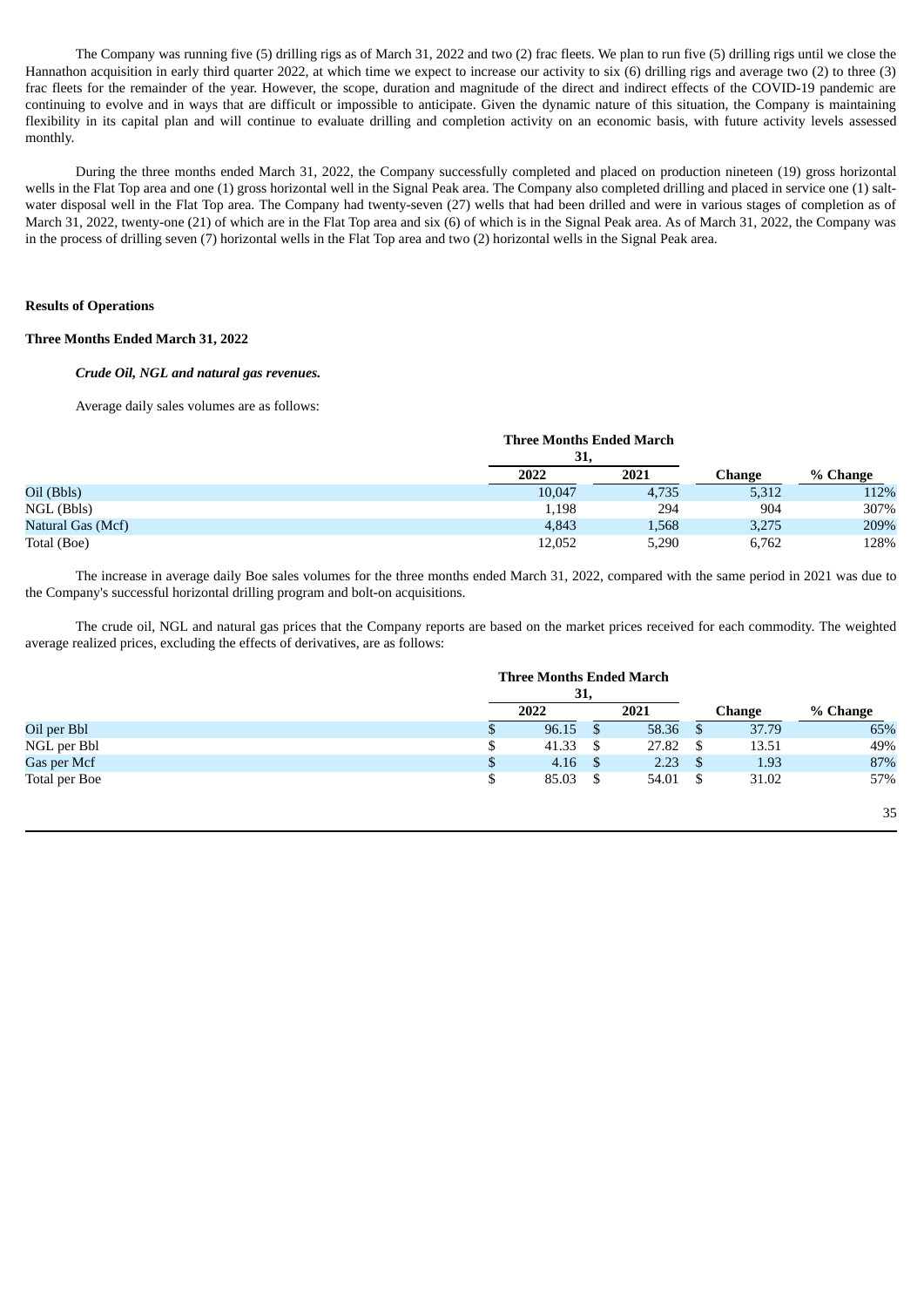The Company was running five (5) drilling rigs as of March 31, 2022 and two (2) frac fleets. We plan to run five (5) drilling rigs until we close the Hannathon acquisition in early third quarter 2022, at which time we expect to increase our activity to six (6) drilling rigs and average two (2) to three (3) frac fleets for the remainder of the year. However, the scope, duration and magnitude of the direct and indirect effects of the COVID-19 pandemic are continuing to evolve and in ways that are difficult or impossible to anticipate. Given the dynamic nature of this situation, the Company is maintaining flexibility in its capital plan and will continue to evaluate drilling and completion activity on an economic basis, with future activity levels assessed monthly.

During the three months ended March 31, 2022, the Company successfully completed and placed on production nineteen (19) gross horizontal wells in the Flat Top area and one (1) gross horizontal well in the Signal Peak area. The Company also completed drilling and placed in service one (1) saltwater disposal well in the Flat Top area. The Company had twenty-seven (27) wells that had been drilled and were in various stages of completion as of March 31, 2022, twenty-one (21) of which are in the Flat Top area and six (6) of which is in the Signal Peak area. As of March 31, 2022, the Company was in the process of drilling seven (7) horizontal wells in the Flat Top area and two (2) horizontal wells in the Signal Peak area.

### **Results of Operations**

### **Three Months Ended March 31, 2022**

### *Crude Oil, NGL and natural gas revenues.*

Average daily sales volumes are as follows:

|                   | 31,    | <b>Three Months Ended March</b> |        |          |
|-------------------|--------|---------------------------------|--------|----------|
|                   | 2022   | 2021                            | Change | % Change |
| Oil (Bbls)        | 10,047 | 4,735                           | 5,312  | 112%     |
| $NGL$ (Bbls)      | 1,198  | 294                             | 904    | 307%     |
| Natural Gas (Mcf) | 4,843  | 1,568                           | 3,275  | 209%     |
| Total (Boe)       | 12,052 | 5,290                           | 6,762  | 128%     |

The increase in average daily Boe sales volumes for the three months ended March 31, 2022, compared with the same period in 2021 was due to the Company's successful horizontal drilling program and bolt-on acquisitions.

The crude oil, NGL and natural gas prices that the Company reports are based on the market prices received for each commodity. The weighted average realized prices, excluding the effects of derivatives, are as follows:

|               | <b>Three Months Ended March</b> |       |              |        |          |
|---------------|---------------------------------|-------|--------------|--------|----------|
|               | 31,                             |       |              |        |          |
|               | 2022                            | 2021  |              | Change | % Change |
| Oil per Bbl   | $96.15$ \$                      | 58.36 | <sup>8</sup> | 37.79  | 65%      |
| NGL per Bbl   | \$<br>$41.33$ \$                | 27.82 | - \$         | 13.51  | 49%      |
| Gas per Mcf   | \$<br>$4.16$ \$                 | 2.23  | - S          | 1.93   | 87%      |
| Total per Boe | \$<br>$85.03 \quad$ \$          | 54.01 | - \$         | 31.02  | 57%      |
|               |                                 |       |              |        | 35       |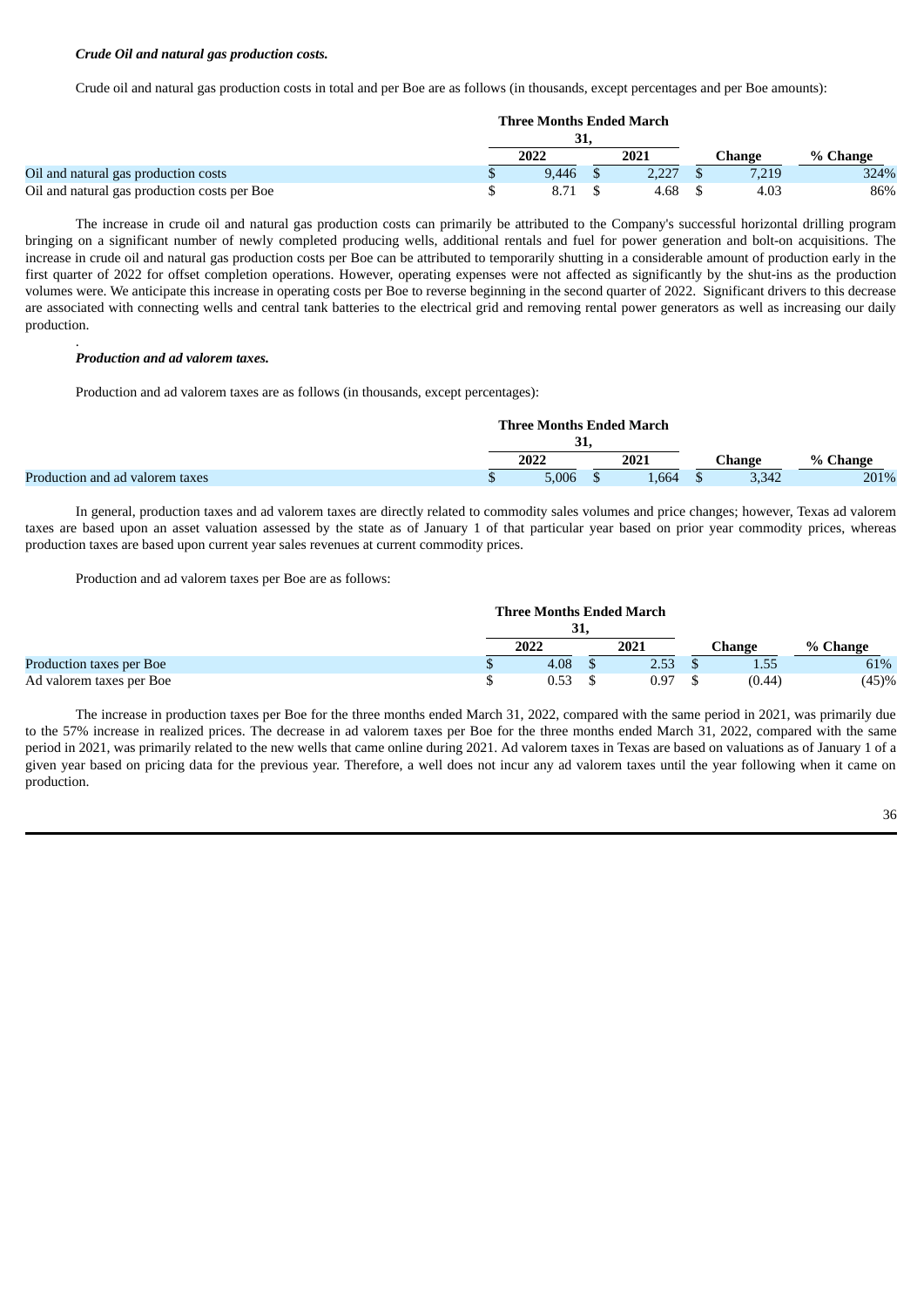### *Crude Oil and natural gas production costs.*

Crude oil and natural gas production costs in total and per Boe are as follows (in thousands, except percentages and per Boe amounts):

|                                              | <b>Three Months Ended March</b> |       |  |       |  |        |          |  |
|----------------------------------------------|---------------------------------|-------|--|-------|--|--------|----------|--|
|                                              | 31,                             |       |  |       |  |        |          |  |
|                                              |                                 | 2022  |  | 2021  |  | Change | % Change |  |
| Oil and natural gas production costs         |                                 | 9.446 |  | 2.227 |  | 7,219  | 324%     |  |
| Oil and natural gas production costs per Boe |                                 | 8.71  |  | 4.68  |  | 4.03   | 86%      |  |

The increase in crude oil and natural gas production costs can primarily be attributed to the Company's successful horizontal drilling program bringing on a significant number of newly completed producing wells, additional rentals and fuel for power generation and bolt-on acquisitions. The increase in crude oil and natural gas production costs per Boe can be attributed to temporarily shutting in a considerable amount of production early in the first quarter of 2022 for offset completion operations. However, operating expenses were not affected as significantly by the shut-ins as the production volumes were. We anticipate this increase in operating costs per Boe to reverse beginning in the second quarter of 2022. Significant drivers to this decrease are associated with connecting wells and central tank batteries to the electrical grid and removing rental power generators as well as increasing our daily production.

#### *Production and ad valorem taxes.*

.

Production and ad valorem taxes are as follows (in thousands, except percentages):

|                                 | <b>Three Months Ended March</b> |  |      |  |          |          |
|---------------------------------|---------------------------------|--|------|--|----------|----------|
|                                 | JІ                              |  |      |  |          |          |
|                                 | 2022                            |  | 2021 |  | Change : | % Change |
| Production and ad valorem taxes | 5.006                           |  | .664 |  | 3,342    | 201%     |

In general, production taxes and ad valorem taxes are directly related to commodity sales volumes and price changes; however, Texas ad valorem taxes are based upon an asset valuation assessed by the state as of January 1 of that particular year based on prior year commodity prices, whereas production taxes are based upon current year sales revenues at current commodity prices.

Production and ad valorem taxes per Boe are as follows:

|                          | <b>Three Months Ended March</b> |      |      |        |        |          |  |
|--------------------------|---------------------------------|------|------|--------|--------|----------|--|
|                          | 31                              |      |      |        |        |          |  |
|                          | 2022                            | 2021 |      | Change |        | % Change |  |
| Production taxes per Boe | 4.08                            |      | 2.53 |        | 1.55   | 61%      |  |
| Ad valorem taxes per Boe | 0.53                            |      | 0.97 |        | (0.44) | (45)%    |  |

The increase in production taxes per Boe for the three months ended March 31, 2022, compared with the same period in 2021, was primarily due to the 57% increase in realized prices. The decrease in ad valorem taxes per Boe for the three months ended March 31, 2022, compared with the same period in 2021, was primarily related to the new wells that came online during 2021. Ad valorem taxes in Texas are based on valuations as of January 1 of a given year based on pricing data for the previous year. Therefore, a well does not incur any ad valorem taxes until the year following when it came on production.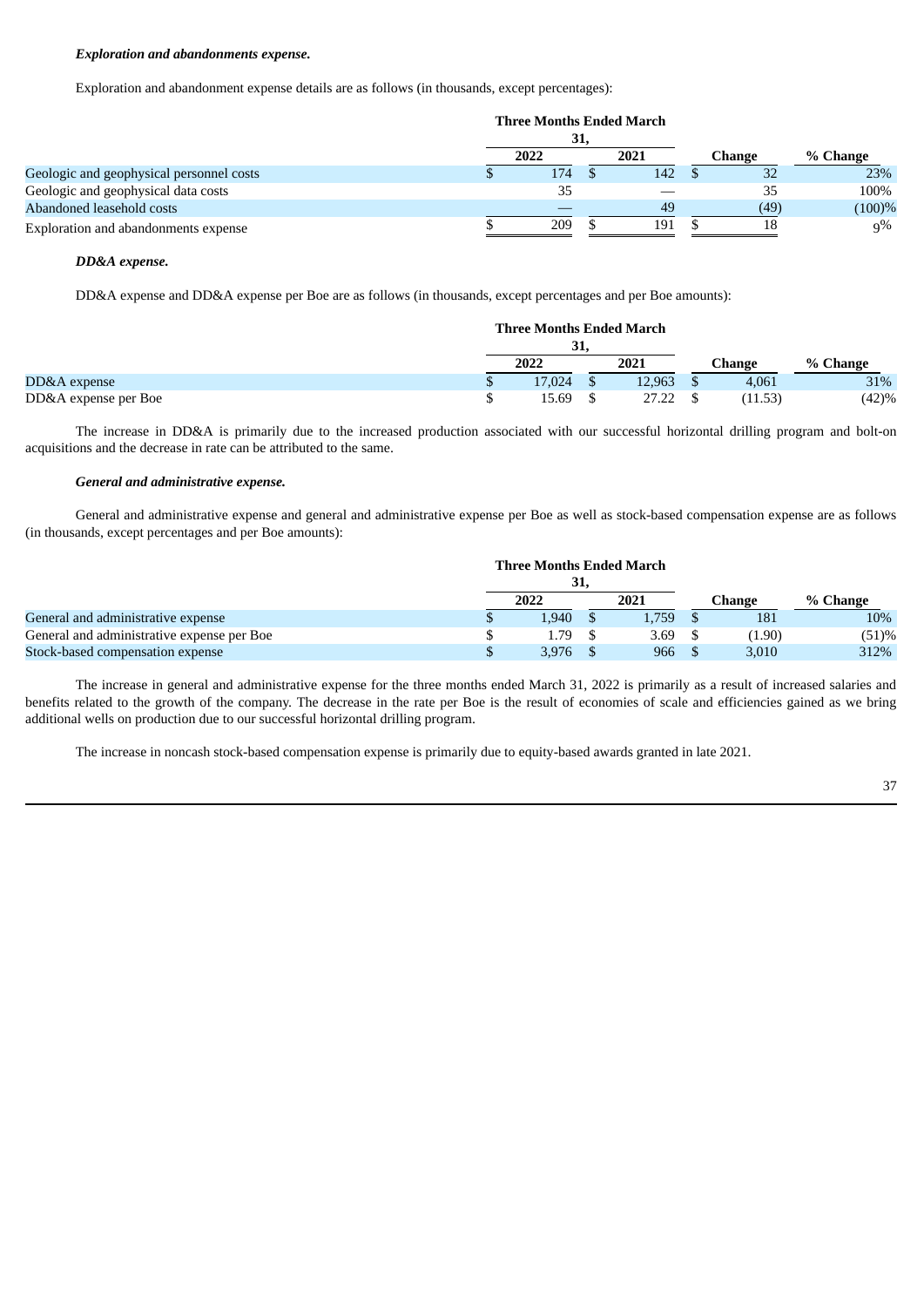### *Exploration and abandonments expense.*

Exploration and abandonment expense details are as follows (in thousands, except percentages):

|                                          | <b>Three Months Ended March</b> |      |      |  |        |          |
|------------------------------------------|---------------------------------|------|------|--|--------|----------|
|                                          |                                 | 31,  |      |  |        |          |
|                                          |                                 | 2022 | 2021 |  | Change | % Change |
| Geologic and geophysical personnel costs |                                 | 174  | 142  |  | 32     | 23%      |
| Geologic and geophysical data costs      |                                 | 35   |      |  | 35     | 100%     |
| Abandoned leasehold costs                |                                 |      | 49   |  | (49)   | (100)%   |
| Exploration and abandonments expense     |                                 | 209  | 191  |  | 18     | $q\%$    |

# *DD&A expense.*

DD&A expense and DD&A expense per Boe are as follows (in thousands, except percentages and per Boe amounts):

|                      |     | <b>Three Months Ended March</b> |  |        |  |         |          |
|----------------------|-----|---------------------------------|--|--------|--|---------|----------|
|                      | 31, |                                 |  |        |  |         |          |
|                      |     | 2022                            |  | 2021   |  | Change  | % Change |
| DD&A expense         |     | 17,024                          |  | 12,963 |  | 4,061   | 31%      |
| DD&A expense per Boe |     | 15.69                           |  | 27.22  |  | (11.53) | (42)%    |

The increase in DD&A is primarily due to the increased production associated with our successful horizontal drilling program and bolt-on acquisitions and the decrease in rate can be attributed to the same.

#### *General and administrative expense.*

General and administrative expense and general and administrative expense per Boe as well as stock-based compensation expense are as follows (in thousands, except percentages and per Boe amounts):

|                                            | <b>Three Months Ended March</b> |     |       |        |          |
|--------------------------------------------|---------------------------------|-----|-------|--------|----------|
|                                            |                                 | 31. |       |        |          |
|                                            | 2022                            |     | 2021  | Change | % Change |
| General and administrative expense         | 1.940                           |     | 1.759 | 181    | 10%      |
| General and administrative expense per Boe | 1.79                            |     | 3.69  | (1.90) | (51)%    |
| Stock-based compensation expense           | 3,976                           |     | 966   | 3,010  | 312%     |

The increase in general and administrative expense for the three months ended March 31, 2022 is primarily as a result of increased salaries and benefits related to the growth of the company. The decrease in the rate per Boe is the result of economies of scale and efficiencies gained as we bring additional wells on production due to our successful horizontal drilling program.

The increase in noncash stock-based compensation expense is primarily due to equity-based awards granted in late 2021.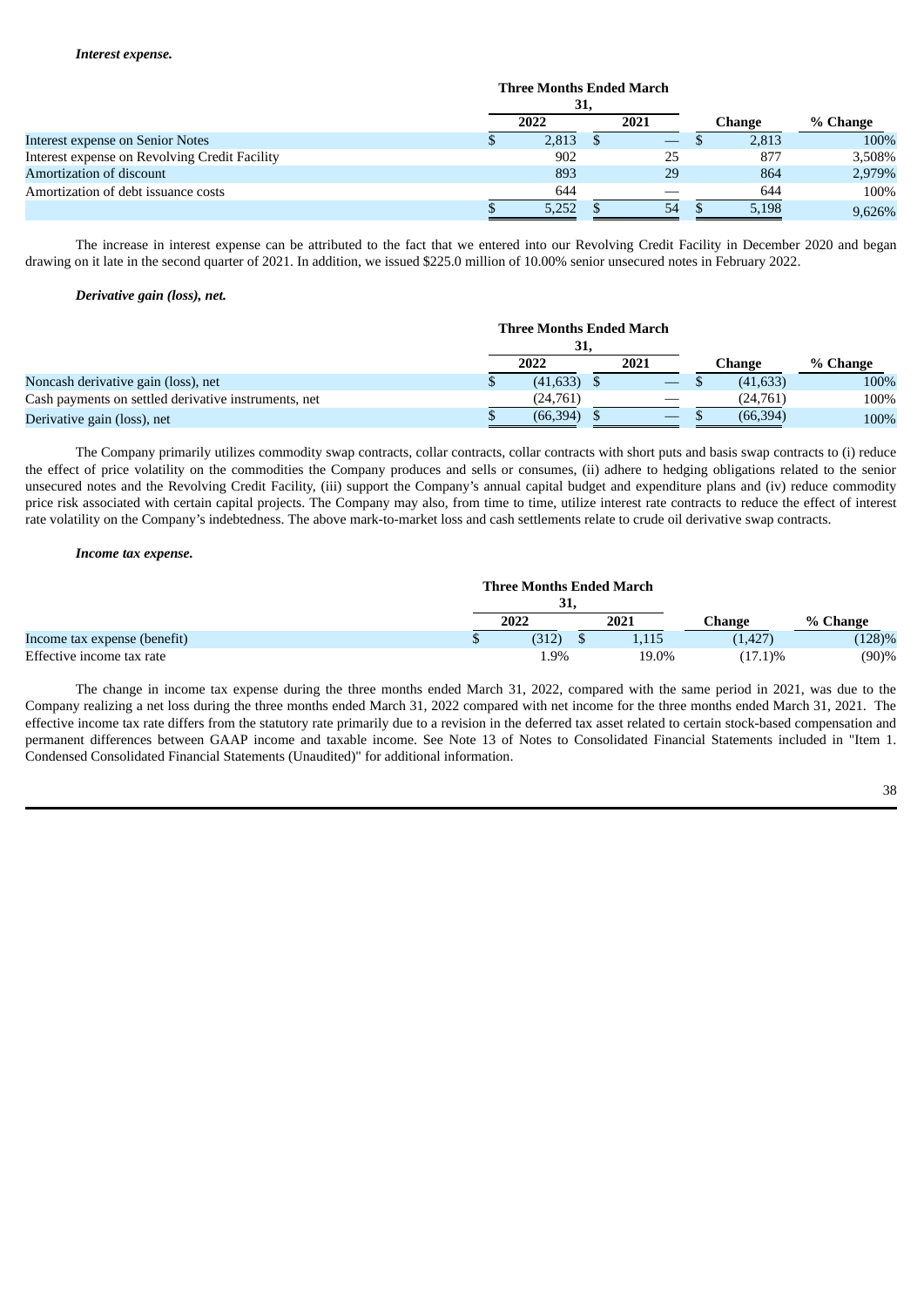|                                               | <b>Three Months Ended March</b> |                   |        |          |
|-----------------------------------------------|---------------------------------|-------------------|--------|----------|
|                                               | 31,                             |                   |        |          |
|                                               | 2022                            | 2021              | Change | % Change |
| Interest expense on Senior Notes              | 2,813                           | $\hspace{0.05cm}$ | 2,813  | 100%     |
| Interest expense on Revolving Credit Facility | 902                             | 25                | 877    | 3,508%   |
| Amortization of discount                      | 893                             | 29                | 864    | 2,979%   |
| Amortization of debt issuance costs           | 644                             |                   | 644    | 100%     |
|                                               | 5,252                           | 54                | 5,198  | 9.626%   |

The increase in interest expense can be attributed to the fact that we entered into our Revolving Credit Facility in December 2020 and began drawing on it late in the second quarter of 2021. In addition, we issued \$225.0 million of 10.00% senior unsecured notes in February 2022.

### *Derivative gain (loss), net.*

|                                                      | <b>Three Months Ended March</b> |      |           |          |
|------------------------------------------------------|---------------------------------|------|-----------|----------|
|                                                      | 31,<br>2022                     | 2021 | Change    | % Change |
| Noncash derivative gain (loss), net                  | $(41, 633)$ \$                  |      | (41, 633) | 100%     |
| Cash payments on settled derivative instruments, net | (24,761)                        |      | (24.761)  | 100%     |
| Derivative gain (loss), net                          | (66, 394)                       |      | (66, 394) | 100%     |

The Company primarily utilizes commodity swap contracts, collar contracts, collar contracts with short puts and basis swap contracts to (i) reduce the effect of price volatility on the commodities the Company produces and sells or consumes, (ii) adhere to hedging obligations related to the senior unsecured notes and the Revolving Credit Facility, (iii) support the Company's annual capital budget and expenditure plans and (iv) reduce commodity price risk associated with certain capital projects. The Company may also, from time to time, utilize interest rate contracts to reduce the effect of interest rate volatility on the Company's indebtedness. The above mark-to-market loss and cash settlements relate to crude oil derivative swap contracts.

#### *Income tax expense.*

|                              |   | <b>Three Months Ended March</b> |       |            |           |
|------------------------------|---|---------------------------------|-------|------------|-----------|
|                              |   | 31,                             |       |            |           |
|                              |   | 2022                            | 2021  | Change     | % Change  |
| Income tax expense (benefit) | Ψ | (312)                           | 1,115 | (1, 427)   | (128)%    |
| Effective income tax rate    |   | 1.9%                            | 19.0% | $(17.1)\%$ | $(90) \%$ |

The change in income tax expense during the three months ended March 31, 2022, compared with the same period in 2021, was due to the Company realizing a net loss during the three months ended March 31, 2022 compared with net income for the three months ended March 31, 2021. The effective income tax rate differs from the statutory rate primarily due to a revision in the deferred tax asset related to certain stock-based compensation and permanent differences between GAAP income and taxable income. See Note 13 of Notes to Consolidated Financial Statements included in "Item 1. Condensed Consolidated Financial Statements (Unaudited)" for additional information.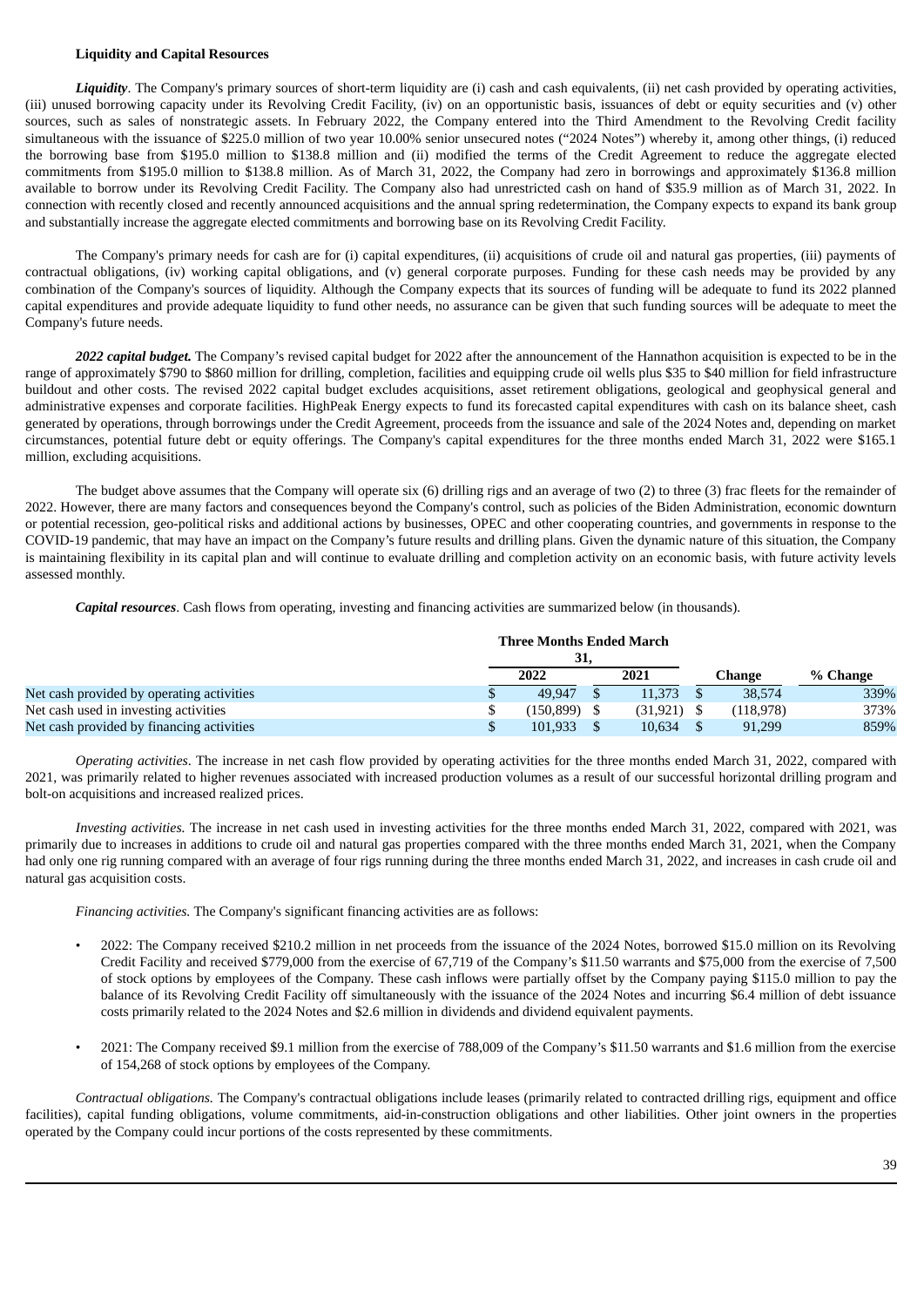### **Liquidity and Capital Resources**

*Liquidity*. The Company's primary sources of short-term liquidity are (i) cash and cash equivalents, (ii) net cash provided by operating activities, (iii) unused borrowing capacity under its Revolving Credit Facility, (iv) on an opportunistic basis, issuances of debt or equity securities and (v) other sources, such as sales of nonstrategic assets. In February 2022, the Company entered into the Third Amendment to the Revolving Credit facility simultaneous with the issuance of \$225.0 million of two year 10.00% senior unsecured notes ("2024 Notes") whereby it, among other things, (i) reduced the borrowing base from \$195.0 million to \$138.8 million and (ii) modified the terms of the Credit Agreement to reduce the aggregate elected commitments from \$195.0 million to \$138.8 million. As of March 31, 2022, the Company had zero in borrowings and approximately \$136.8 million available to borrow under its Revolving Credit Facility. The Company also had unrestricted cash on hand of \$35.9 million as of March 31, 2022. In connection with recently closed and recently announced acquisitions and the annual spring redetermination, the Company expects to expand its bank group and substantially increase the aggregate elected commitments and borrowing base on its Revolving Credit Facility.

The Company's primary needs for cash are for (i) capital expenditures, (ii) acquisitions of crude oil and natural gas properties, (iii) payments of contractual obligations, (iv) working capital obligations, and (v) general corporate purposes. Funding for these cash needs may be provided by any combination of the Company's sources of liquidity. Although the Company expects that its sources of funding will be adequate to fund its 2022 planned capital expenditures and provide adequate liquidity to fund other needs, no assurance can be given that such funding sources will be adequate to meet the Company's future needs.

*2022 capital budget.* The Company's revised capital budget for 2022 after the announcement of the Hannathon acquisition is expected to be in the range of approximately \$790 to \$860 million for drilling, completion, facilities and equipping crude oil wells plus \$35 to \$40 million for field infrastructure buildout and other costs. The revised 2022 capital budget excludes acquisitions, asset retirement obligations, geological and geophysical general and administrative expenses and corporate facilities. HighPeak Energy expects to fund its forecasted capital expenditures with cash on its balance sheet, cash generated by operations, through borrowings under the Credit Agreement, proceeds from the issuance and sale of the 2024 Notes and, depending on market circumstances, potential future debt or equity offerings. The Company's capital expenditures for the three months ended March 31, 2022 were \$165.1 million, excluding acquisitions.

The budget above assumes that the Company will operate six (6) drilling rigs and an average of two (2) to three (3) frac fleets for the remainder of 2022. However, there are many factors and consequences beyond the Company's control, such as policies of the Biden Administration, economic downturn or potential recession, geo-political risks and additional actions by businesses, OPEC and other cooperating countries, and governments in response to the COVID-19 pandemic, that may have an impact on the Company's future results and drilling plans. Given the dynamic nature of this situation, the Company is maintaining flexibility in its capital plan and will continue to evaluate drilling and completion activity on an economic basis, with future activity levels assessed monthly.

*Capital resources*. Cash flows from operating, investing and financing activities are summarized below (in thousands).

|                                           | <b>Three Months Ended March</b> |           |           |          |
|-------------------------------------------|---------------------------------|-----------|-----------|----------|
|                                           | 31,                             |           |           |          |
|                                           | 2022                            | 2021      | Change    | % Change |
| Net cash provided by operating activities | 49.947                          | 11.373    | 38,574    | 339%     |
| Net cash used in investing activities     | $(150, 899)$ \$                 | (31, 921) | (118,978) | 373%     |
| Net cash provided by financing activities | 101.933                         | 10.634    | 91.299    | 859%     |

*Operating activities*. The increase in net cash flow provided by operating activities for the three months ended March 31, 2022, compared with 2021, was primarily related to higher revenues associated with increased production volumes as a result of our successful horizontal drilling program and bolt-on acquisitions and increased realized prices.

*Investing activities.* The increase in net cash used in investing activities for the three months ended March 31, 2022, compared with 2021, was primarily due to increases in additions to crude oil and natural gas properties compared with the three months ended March 31, 2021, when the Company had only one rig running compared with an average of four rigs running during the three months ended March 31, 2022, and increases in cash crude oil and natural gas acquisition costs.

*Financing activities.* The Company's significant financing activities are as follows:

- 2022: The Company received \$210.2 million in net proceeds from the issuance of the 2024 Notes, borrowed \$15.0 million on its Revolving Credit Facility and received \$779,000 from the exercise of 67,719 of the Company's \$11.50 warrants and \$75,000 from the exercise of 7,500 of stock options by employees of the Company. These cash inflows were partially offset by the Company paying \$115.0 million to pay the balance of its Revolving Credit Facility off simultaneously with the issuance of the 2024 Notes and incurring \$6.4 million of debt issuance costs primarily related to the 2024 Notes and \$2.6 million in dividends and dividend equivalent payments.
- 2021: The Company received \$9.1 million from the exercise of 788,009 of the Company's \$11.50 warrants and \$1.6 million from the exercise of 154,268 of stock options by employees of the Company.

*Contractual obligations.* The Company's contractual obligations include leases (primarily related to contracted drilling rigs, equipment and office facilities), capital funding obligations, volume commitments, aid-in-construction obligations and other liabilities. Other joint owners in the properties operated by the Company could incur portions of the costs represented by these commitments.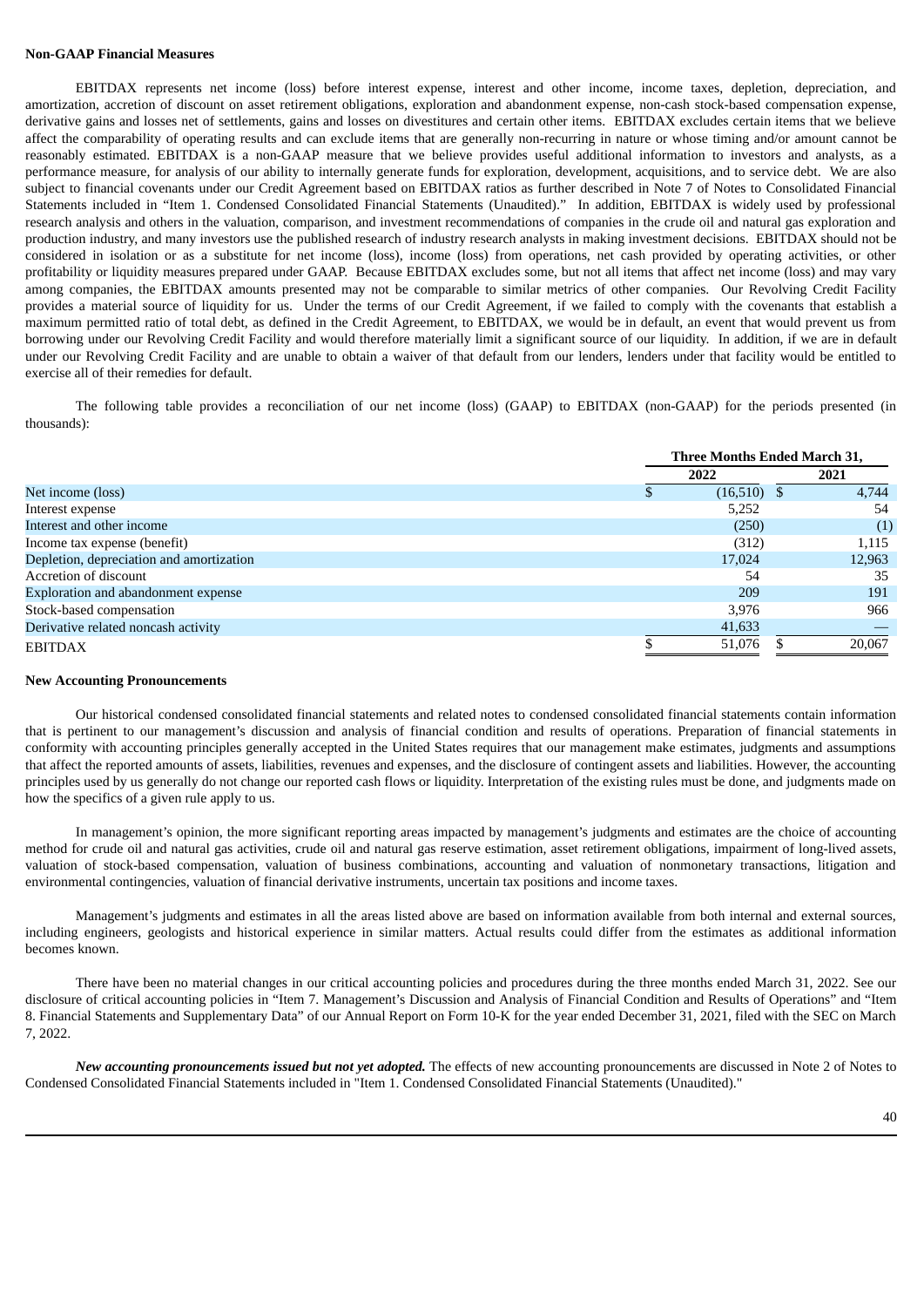### **Non-GAAP Financial Measures**

EBITDAX represents net income (loss) before interest expense, interest and other income, income taxes, depletion, depreciation, and amortization, accretion of discount on asset retirement obligations, exploration and abandonment expense, non-cash stock-based compensation expense, derivative gains and losses net of settlements, gains and losses on divestitures and certain other items. EBITDAX excludes certain items that we believe affect the comparability of operating results and can exclude items that are generally non-recurring in nature or whose timing and/or amount cannot be reasonably estimated. EBITDAX is a non-GAAP measure that we believe provides useful additional information to investors and analysts, as a performance measure, for analysis of our ability to internally generate funds for exploration, development, acquisitions, and to service debt. We are also subject to financial covenants under our Credit Agreement based on EBITDAX ratios as further described in Note 7 of Notes to Consolidated Financial Statements included in "Item 1. Condensed Consolidated Financial Statements (Unaudited)." In addition, EBITDAX is widely used by professional research analysis and others in the valuation, comparison, and investment recommendations of companies in the crude oil and natural gas exploration and production industry, and many investors use the published research of industry research analysts in making investment decisions. EBITDAX should not be considered in isolation or as a substitute for net income (loss), income (loss) from operations, net cash provided by operating activities, or other profitability or liquidity measures prepared under GAAP. Because EBITDAX excludes some, but not all items that affect net income (loss) and may vary among companies, the EBITDAX amounts presented may not be comparable to similar metrics of other companies. Our Revolving Credit Facility provides a material source of liquidity for us. Under the terms of our Credit Agreement, if we failed to comply with the covenants that establish a maximum permitted ratio of total debt, as defined in the Credit Agreement, to EBITDAX, we would be in default, an event that would prevent us from borrowing under our Revolving Credit Facility and would therefore materially limit a significant source of our liquidity. In addition, if we are in default under our Revolving Credit Facility and are unable to obtain a waiver of that default from our lenders, lenders under that facility would be entitled to exercise all of their remedies for default.

The following table provides a reconciliation of our net income (loss) (GAAP) to EBITDAX (non-GAAP) for the periods presented (in thousands):

|                                          | Three Months Ended March 31, |               |  |        |
|------------------------------------------|------------------------------|---------------|--|--------|
|                                          | 2022                         |               |  | 2021   |
| Net income (loss)                        |                              | $(16,510)$ \$ |  | 4.744  |
| Interest expense                         |                              | 5,252         |  | 54     |
| Interest and other income                |                              | (250)         |  | (1)    |
| Income tax expense (benefit)             |                              | (312)         |  | 1,115  |
| Depletion, depreciation and amortization |                              | 17,024        |  | 12,963 |
| Accretion of discount                    |                              | 54            |  | 35     |
| Exploration and abandonment expense      |                              | 209           |  | 191    |
| Stock-based compensation                 |                              | 3,976         |  | 966    |
| Derivative related noncash activity      |                              | 41,633        |  |        |
| <b>EBITDAX</b>                           |                              | 51,076        |  | 20,067 |

#### **New Accounting Pronouncements**

Our historical condensed consolidated financial statements and related notes to condensed consolidated financial statements contain information that is pertinent to our management's discussion and analysis of financial condition and results of operations. Preparation of financial statements in conformity with accounting principles generally accepted in the United States requires that our management make estimates, judgments and assumptions that affect the reported amounts of assets, liabilities, revenues and expenses, and the disclosure of contingent assets and liabilities. However, the accounting principles used by us generally do not change our reported cash flows or liquidity. Interpretation of the existing rules must be done, and judgments made on how the specifics of a given rule apply to us.

In management's opinion, the more significant reporting areas impacted by management's judgments and estimates are the choice of accounting method for crude oil and natural gas activities, crude oil and natural gas reserve estimation, asset retirement obligations, impairment of long-lived assets, valuation of stock-based compensation, valuation of business combinations, accounting and valuation of nonmonetary transactions, litigation and environmental contingencies, valuation of financial derivative instruments, uncertain tax positions and income taxes.

Management's judgments and estimates in all the areas listed above are based on information available from both internal and external sources, including engineers, geologists and historical experience in similar matters. Actual results could differ from the estimates as additional information becomes known.

There have been no material changes in our critical accounting policies and procedures during the three months ended March 31, 2022. See our disclosure of critical accounting policies in "Item 7. Management's Discussion and Analysis of Financial Condition and Results of Operations" and "Item 8. Financial Statements and Supplementary Data" of our Annual Report on Form 10-K for the year ended December 31, 2021, filed with the SEC on March 7, 2022.

*New accounting pronouncements issued but not yet adopted.* The effects of new accounting pronouncements are discussed in Note 2 of Notes to Condensed Consolidated Financial Statements included in "Item 1. Condensed Consolidated Financial Statements (Unaudited)."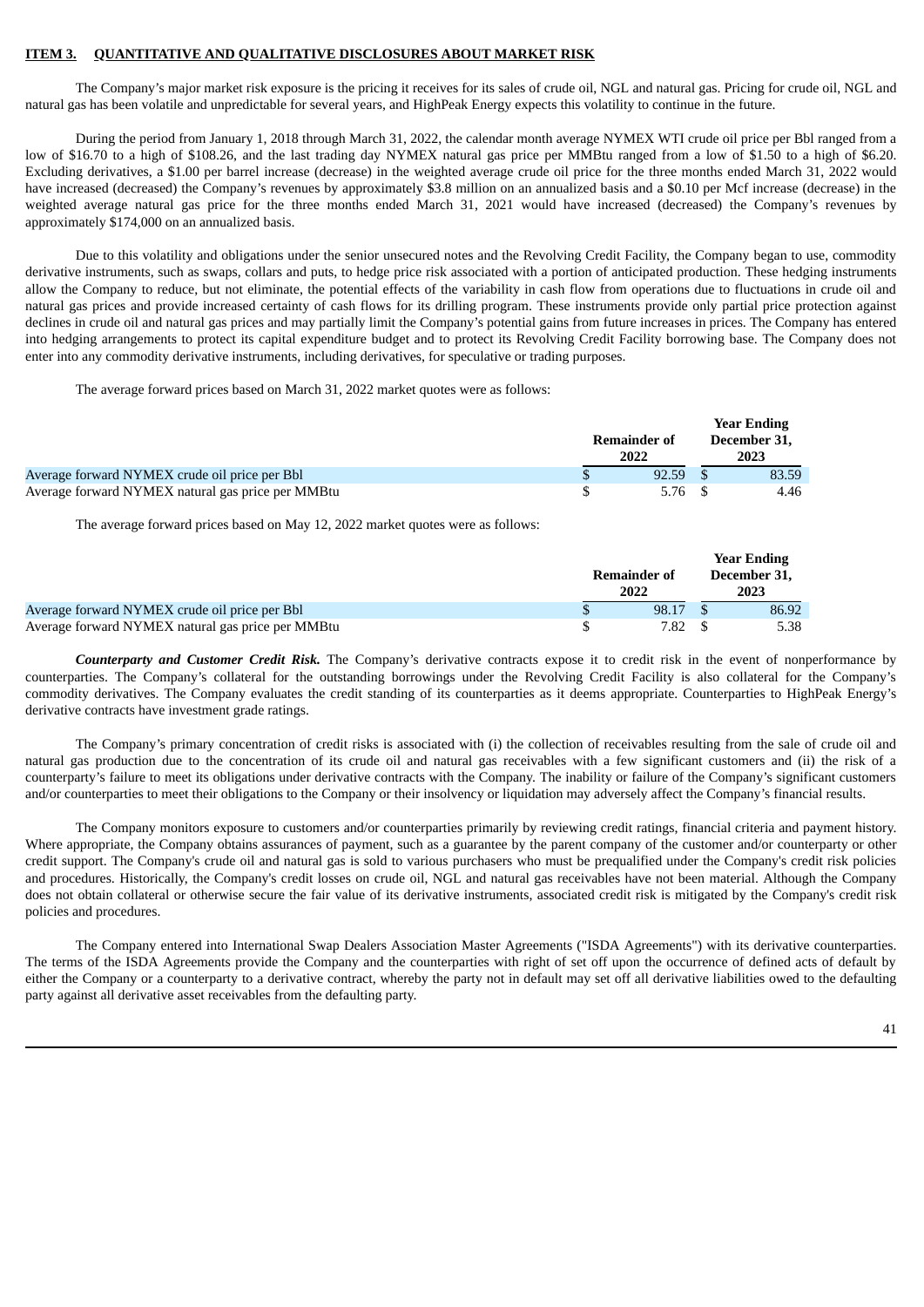#### **ITEM 3. QUANTITATIVE AND QUALITATIVE DISCLOSURES ABOUT MARKET RISK**

The Company's major market risk exposure is the pricing it receives for its sales of crude oil, NGL and natural gas. Pricing for crude oil, NGL and natural gas has been volatile and unpredictable for several years, and HighPeak Energy expects this volatility to continue in the future.

During the period from January 1, 2018 through March 31, 2022, the calendar month average NYMEX WTI crude oil price per Bbl ranged from a low of \$16.70 to a high of \$108.26, and the last trading day NYMEX natural gas price per MMBtu ranged from a low of \$1.50 to a high of \$6.20. Excluding derivatives, a \$1.00 per barrel increase (decrease) in the weighted average crude oil price for the three months ended March 31, 2022 would have increased (decreased) the Company's revenues by approximately \$3.8 million on an annualized basis and a \$0.10 per Mcf increase (decrease) in the weighted average natural gas price for the three months ended March 31, 2021 would have increased (decreased) the Company's revenues by approximately \$174,000 on an annualized basis.

Due to this volatility and obligations under the senior unsecured notes and the Revolving Credit Facility, the Company began to use, commodity derivative instruments, such as swaps, collars and puts, to hedge price risk associated with a portion of anticipated production. These hedging instruments allow the Company to reduce, but not eliminate, the potential effects of the variability in cash flow from operations due to fluctuations in crude oil and natural gas prices and provide increased certainty of cash flows for its drilling program. These instruments provide only partial price protection against declines in crude oil and natural gas prices and may partially limit the Company's potential gains from future increases in prices. The Company has entered into hedging arrangements to protect its capital expenditure budget and to protect its Revolving Credit Facility borrowing base. The Company does not enter into any commodity derivative instruments, including derivatives, for speculative or trading purposes.

The average forward prices based on March 31, 2022 market quotes were as follows:

|                                                   |                      | <b>Year Ending</b>   |
|---------------------------------------------------|----------------------|----------------------|
|                                                   | Remainder of<br>2022 | December 31.<br>2023 |
| Average forward NYMEX crude oil price per Bbl     | 92.59                | 83.59                |
| Average forward NYMEX natural gas price per MMBtu | 5.76                 | 4.46                 |

The average forward prices based on May 12, 2022 market quotes were as follows:

|                                                   | Remainder of<br>2022 | <b>Year Ending</b><br>December 31.<br>2023 |
|---------------------------------------------------|----------------------|--------------------------------------------|
| Average forward NYMEX crude oil price per Bbl     | 98.17                | 86.92                                      |
| Average forward NYMEX natural gas price per MMBtu | 7.82                 | 5.38                                       |

*Counterparty and Customer Credit Risk.* The Company's derivative contracts expose it to credit risk in the event of nonperformance by counterparties. The Company's collateral for the outstanding borrowings under the Revolving Credit Facility is also collateral for the Company's commodity derivatives. The Company evaluates the credit standing of its counterparties as it deems appropriate. Counterparties to HighPeak Energy's derivative contracts have investment grade ratings.

The Company's primary concentration of credit risks is associated with (i) the collection of receivables resulting from the sale of crude oil and natural gas production due to the concentration of its crude oil and natural gas receivables with a few significant customers and (ii) the risk of a counterparty's failure to meet its obligations under derivative contracts with the Company. The inability or failure of the Company's significant customers and/or counterparties to meet their obligations to the Company or their insolvency or liquidation may adversely affect the Company's financial results.

The Company monitors exposure to customers and/or counterparties primarily by reviewing credit ratings, financial criteria and payment history. Where appropriate, the Company obtains assurances of payment, such as a guarantee by the parent company of the customer and/or counterparty or other credit support. The Company's crude oil and natural gas is sold to various purchasers who must be prequalified under the Company's credit risk policies and procedures. Historically, the Company's credit losses on crude oil, NGL and natural gas receivables have not been material. Although the Company does not obtain collateral or otherwise secure the fair value of its derivative instruments, associated credit risk is mitigated by the Company's credit risk policies and procedures.

The Company entered into International Swap Dealers Association Master Agreements ("ISDA Agreements") with its derivative counterparties. The terms of the ISDA Agreements provide the Company and the counterparties with right of set off upon the occurrence of defined acts of default by either the Company or a counterparty to a derivative contract, whereby the party not in default may set off all derivative liabilities owed to the defaulting party against all derivative asset receivables from the defaulting party.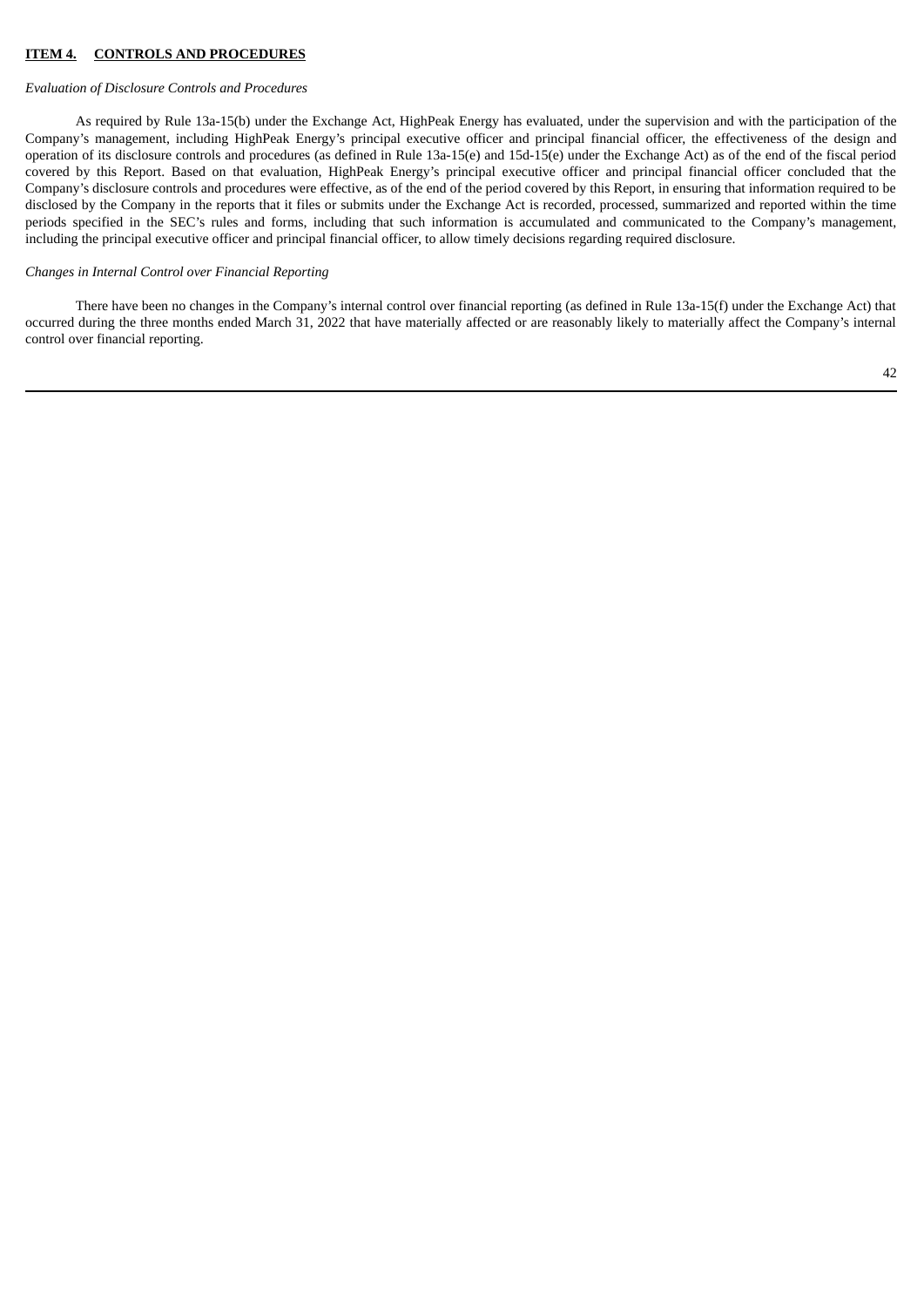#### **ITEM 4. CONTROLS AND PROCEDURES**

#### *Evaluation of Disclosure Controls and Procedures*

As required by Rule 13a-15(b) under the Exchange Act, HighPeak Energy has evaluated, under the supervision and with the participation of the Company's management, including HighPeak Energy's principal executive officer and principal financial officer, the effectiveness of the design and operation of its disclosure controls and procedures (as defined in Rule 13a-15(e) and 15d-15(e) under the Exchange Act) as of the end of the fiscal period covered by this Report. Based on that evaluation, HighPeak Energy's principal executive officer and principal financial officer concluded that the Company's disclosure controls and procedures were effective, as of the end of the period covered by this Report, in ensuring that information required to be disclosed by the Company in the reports that it files or submits under the Exchange Act is recorded, processed, summarized and reported within the time periods specified in the SEC's rules and forms, including that such information is accumulated and communicated to the Company's management, including the principal executive officer and principal financial officer, to allow timely decisions regarding required disclosure.

#### *Changes in Internal Control over Financial Reporting*

There have been no changes in the Company's internal control over financial reporting (as defined in Rule 13a-15(f) under the Exchange Act) that occurred during the three months ended March 31, 2022 that have materially affected or are reasonably likely to materially affect the Company's internal control over financial reporting.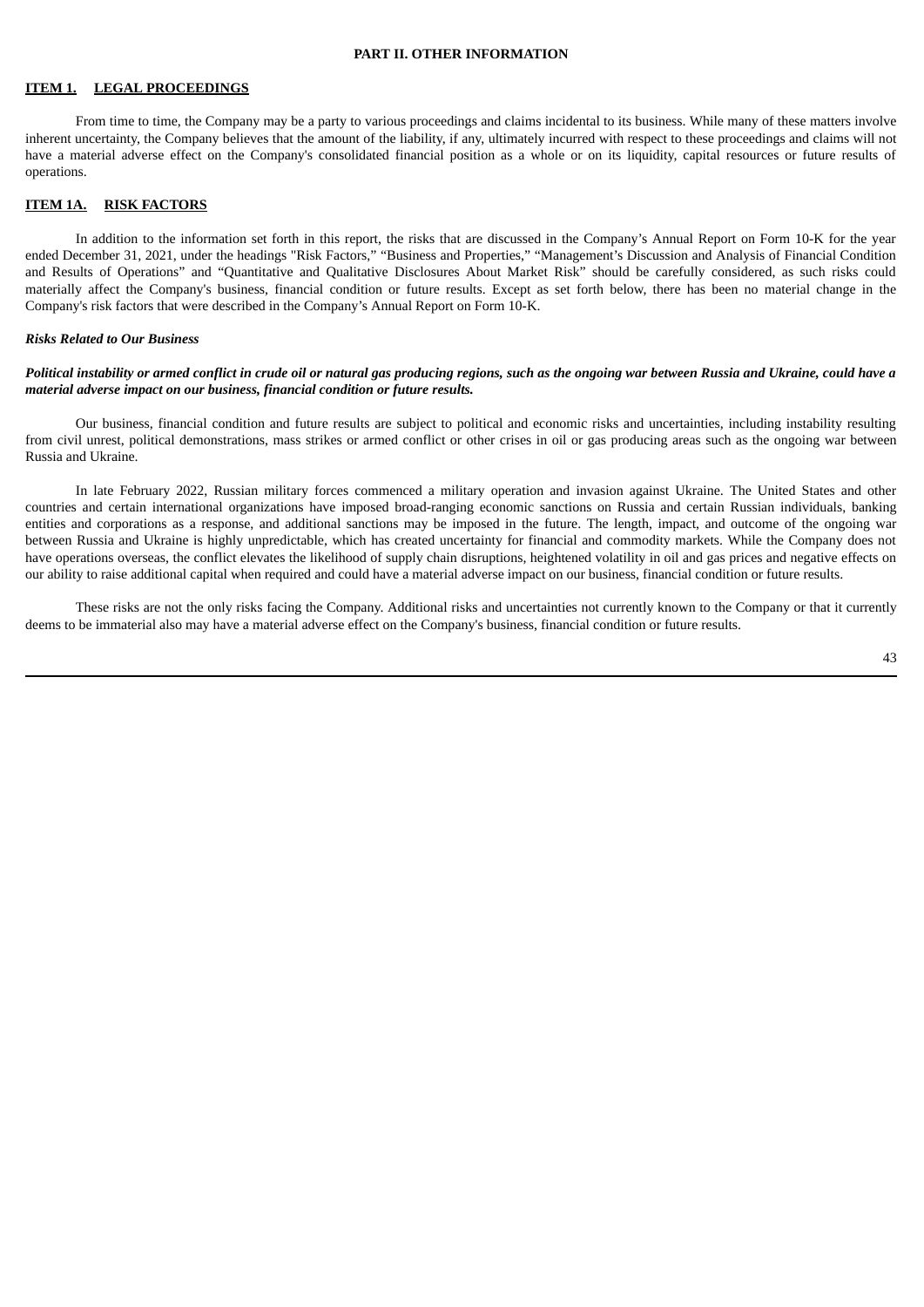#### **PART II. OTHER INFORMATION**

# **ITEM 1. LEGAL PROCEEDINGS**

From time to time, the Company may be a party to various proceedings and claims incidental to its business. While many of these matters involve inherent uncertainty, the Company believes that the amount of the liability, if any, ultimately incurred with respect to these proceedings and claims will not have a material adverse effect on the Company's consolidated financial position as a whole or on its liquidity, capital resources or future results of operations.

### **ITEM 1A. RISK FACTORS**

In addition to the information set forth in this report, the risks that are discussed in the Company's Annual Report on Form 10-K for the year ended December 31, 2021, under the headings "Risk Factors," "Business and Properties," "Management's Discussion and Analysis of Financial Condition and Results of Operations" and "Quantitative and Qualitative Disclosures About Market Risk" should be carefully considered, as such risks could materially affect the Company's business, financial condition or future results. Except as set forth below, there has been no material change in the Company's risk factors that were described in the Company's Annual Report on Form 10-K.

#### *Risks Related to Our Business*

#### Political instability or armed conflict in crude oil or natural gas producing regions, such as the ongoing war between Russia and Ukraine, could have a *material adverse impact on our business, financial condition or future results.*

Our business, financial condition and future results are subject to political and economic risks and uncertainties, including instability resulting from civil unrest, political demonstrations, mass strikes or armed conflict or other crises in oil or gas producing areas such as the ongoing war between Russia and Ukraine.

In late February 2022, Russian military forces commenced a military operation and invasion against Ukraine. The United States and other countries and certain international organizations have imposed broad-ranging economic sanctions on Russia and certain Russian individuals, banking entities and corporations as a response, and additional sanctions may be imposed in the future. The length, impact, and outcome of the ongoing war between Russia and Ukraine is highly unpredictable, which has created uncertainty for financial and commodity markets. While the Company does not have operations overseas, the conflict elevates the likelihood of supply chain disruptions, heightened volatility in oil and gas prices and negative effects on our ability to raise additional capital when required and could have a material adverse impact on our business, financial condition or future results.

These risks are not the only risks facing the Company. Additional risks and uncertainties not currently known to the Company or that it currently deems to be immaterial also may have a material adverse effect on the Company's business, financial condition or future results.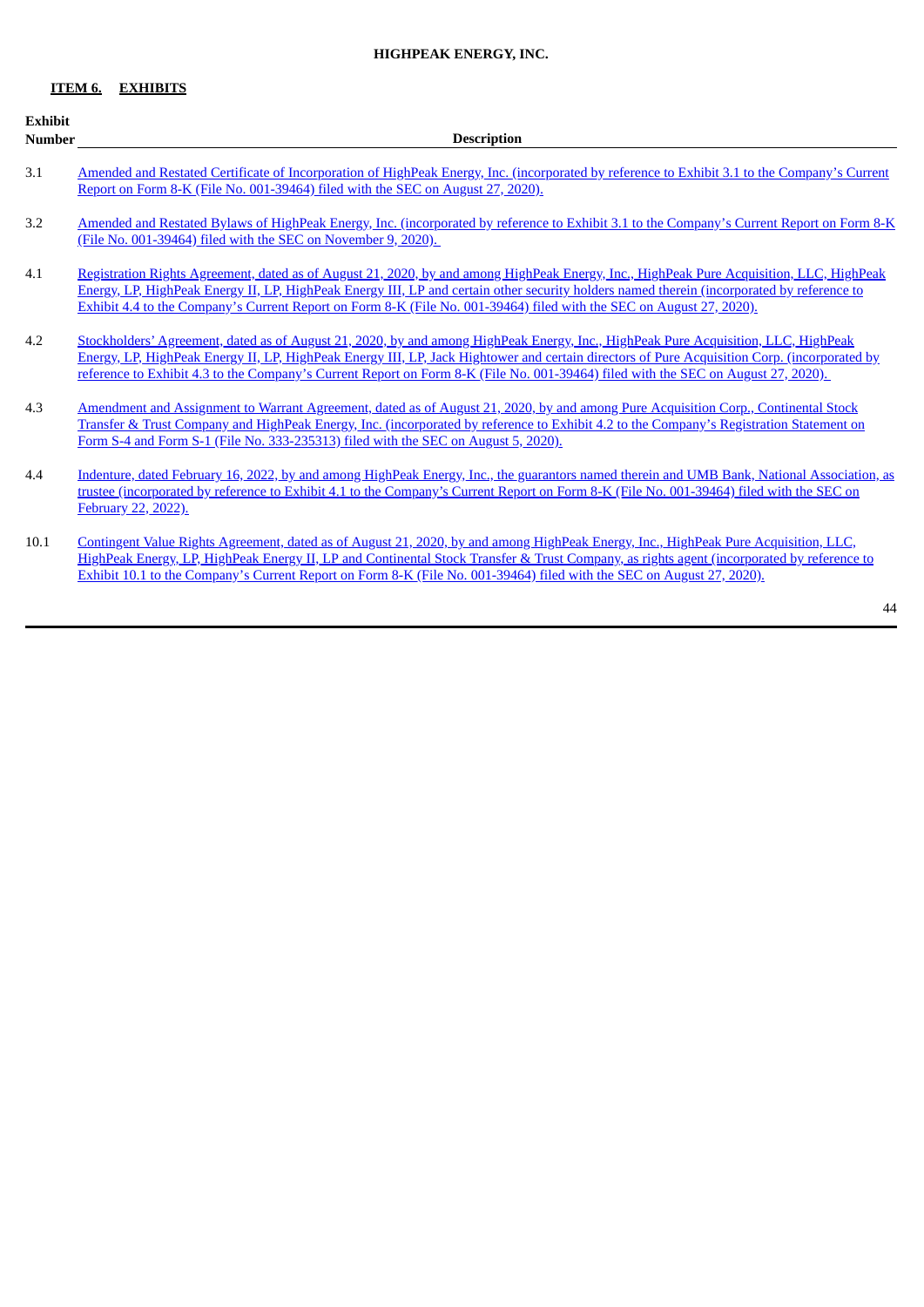# **HIGHPEAK ENERGY, INC.**

# **ITEM 6. EXHIBITS**

| <b>Exhibit</b> |                                                                                                                                                                                                                                                                                                                                                                                                                         |
|----------------|-------------------------------------------------------------------------------------------------------------------------------------------------------------------------------------------------------------------------------------------------------------------------------------------------------------------------------------------------------------------------------------------------------------------------|
| <b>Number</b>  | <b>Description</b>                                                                                                                                                                                                                                                                                                                                                                                                      |
| 3.1            | Amended and Restated Certificate of Incorporation of HighPeak Energy, Inc. (incorporated by reference to Exhibit 3.1 to the Company's Current<br>Report on Form 8-K (File No. 001-39464) filed with the SEC on August 27, 2020).                                                                                                                                                                                        |
| 3.2            | Amended and Restated Bylaws of HighPeak Energy, Inc. (incorporated by reference to Exhibit 3.1 to the Company's Current Report on Form 8-K<br>(File No. 001-39464) filed with the SEC on November 9, 2020).                                                                                                                                                                                                             |
| 4.1            | Registration Rights Agreement, dated as of August 21, 2020, by and among HighPeak Energy, Inc., HighPeak Pure Acquisition, LLC, HighPeak<br>Energy, LP, HighPeak Energy II, LP, HighPeak Energy III, LP and certain other security holders named therein (incorporated by reference to<br>Exhibit 4.4 to the Company's Current Report on Form 8-K (File No. 001-39464) filed with the SEC on August 27, 2020).          |
| 4.2            | Stockholders' Agreement, dated as of August 21, 2020, by and among HighPeak Energy, Inc., HighPeak Pure Acquisition, LLC, HighPeak<br>Energy, LP, HighPeak Energy II, LP, HighPeak Energy III, LP, Jack Hightower and certain directors of Pure Acquisition Corp. (incorporated by<br>reference to Exhibit 4.3 to the Company's Current Report on Form 8-K (File No. 001-39464) filed with the SEC on August 27, 2020). |
| 4.3            | Amendment and Assignment to Warrant Agreement, dated as of August 21, 2020, by and among Pure Acquisition Corp., Continental Stock<br>Transfer & Trust Company and HighPeak Energy, Inc. (incorporated by reference to Exhibit 4.2 to the Company's Registration Statement on<br>Form S-4 and Form S-1 (File No. 333-235313) filed with the SEC on August 5, 2020).                                                     |
| 4.4            | Indenture, dated February 16, 2022, by and among HighPeak Energy, Inc., the guarantors named therein and UMB Bank, National Association, as<br>trustee (incorporated by reference to Exhibit 4.1 to the Company's Current Report on Form 8-K (File No. 001-39464) filed with the SEC on<br>February 22, 2022).                                                                                                          |
| 10.1           | Contingent Value Rights Agreement, dated as of August 21, 2020, by and among HighPeak Energy, Inc., HighPeak Pure Acquisition, LLC,<br>HighPeak Energy, LP, HighPeak Energy II, LP and Continental Stock Transfer & Trust Company, as rights agent (incorporated by reference to<br>Exhibit 10.1 to the Company's Current Report on Form 8-K (File No. 001-39464) filed with the SEC on August 27, 2020).               |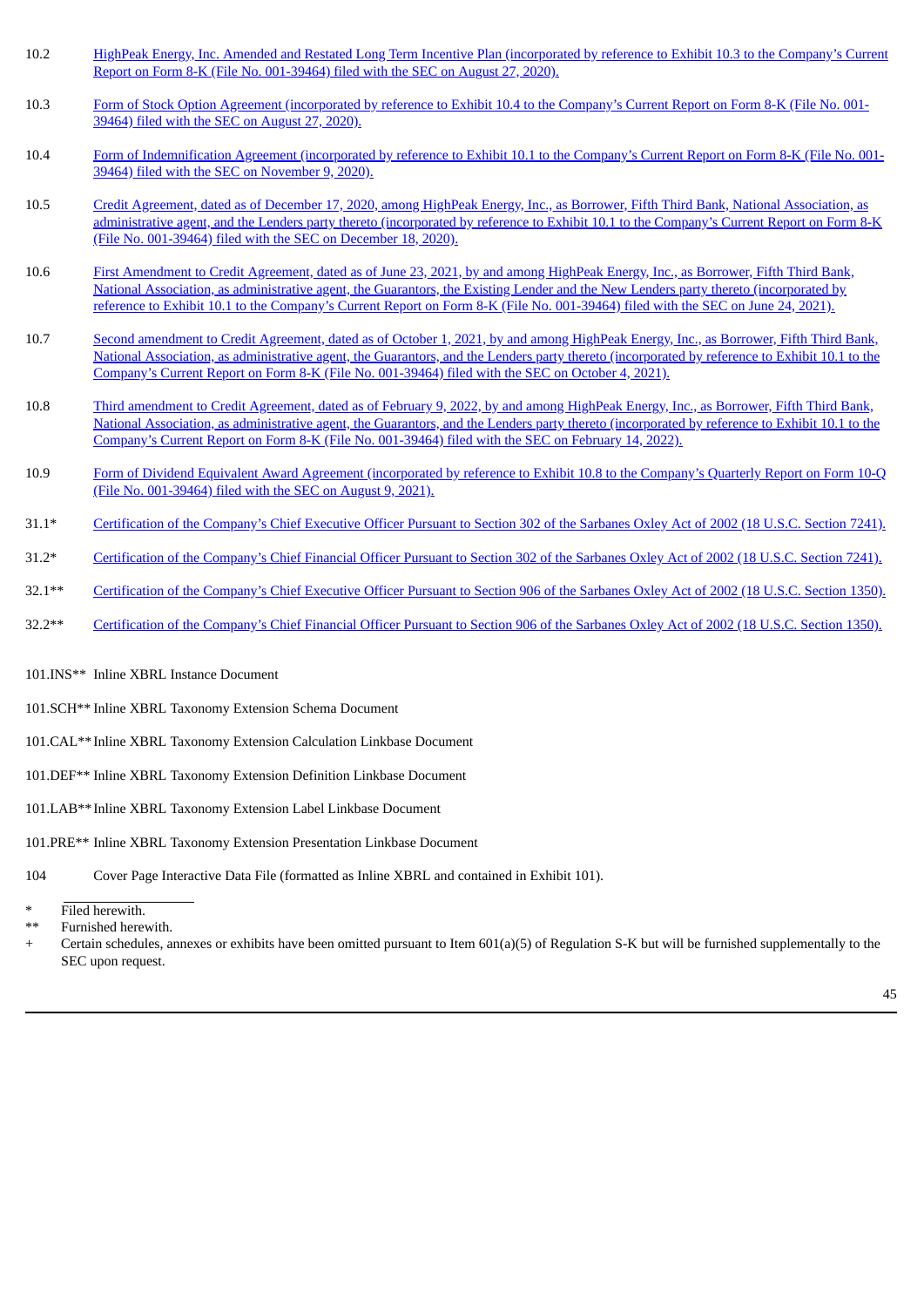- 10.2 HighPeak Energy, Inc. Amended and Restated Long Term Incentive Plan [\(incorporated](http://www.sec.gov/Archives/edgar/data/1792849/000143774920018850/ex_201562.htm) by reference to Exhibit 10.3 to the Company's Current Report on Form 8-K (File No. 001-39464) filed with the SEC on August 27, 2020).
- 10.3 Form of Stock Option Agreement [\(incorporated](http://www.sec.gov/Archives/edgar/data/1792849/000143774920018850/ex_201563.htm) by reference to Exhibit 10.4 to the Company's Current Report on Form 8-K (File No. 001-39464) filed with the SEC on August 27, 2020).
- 10.4 Form of [Indemnification](http://www.sec.gov/Archives/edgar/data/1792849/000143774920023072/ex_212714.htm) Agreement (incorporated by reference to Exhibit 10.1 to the Company's Current Report on Form 8-K (File No. 001- 39464) filed with the SEC on November 9, 2020).
- 10.5 Credit Agreement, dated as of December 17, 2020, among HighPeak Energy, Inc., as Borrower, Fifth Third Bank, National Association, as [administrative](http://www.sec.gov/Archives/edgar/data/1792849/000143774920025626/ex_218259.htm) agent, and the Lenders party thereto (incorporated by reference to Exhibit 10.1 to the Company's Current Report on Form 8-K (File No. 001-39464) filed with the SEC on December 18, 2020).
- 10.6 First Amendment to Credit Agreement, dated as of June 23, 2021, by and among HighPeak Energy, Inc., as Borrower, Fifth Third Bank, National Association, as [administrative](http://www.sec.gov/Archives/edgar/data/1792849/000143774921015514/ex_259439.htm) agent, the Guarantors, the Existing Lender and the New Lenders party thereto (incorporated by reference to Exhibit 10.1 to the Company's Current Report on Form 8-K (File No. 001-39464) filed with the SEC on June 24, 2021).
- 10.7 Second amendment to Credit Agreement, dated as of October 1, 2021, by and among HighPeak Energy, Inc., as Borrower, Fifth Third Bank, National Association, as [administrative](http://www.sec.gov/Archives/edgar/data/1792849/000143774921023239/ex_288604.htm) agent, the Guarantors, and the Lenders party thereto (incorporated by reference to Exhibit 10.1 to the Company's Current Report on Form 8-K (File No. 001-39464) filed with the SEC on October 4, 2021).
- 10.8 Third amendment to Credit Agreement, dated as of February 9, 2022, by and among HighPeak Energy, Inc., as Borrower, Fifth Third Bank, National Association, as [administrative](http://www.sec.gov/Archives/edgar/data/1792849/000143774922003178/ex_335022.htm) agent, the Guarantors, and the Lenders party thereto (incorporated by reference to Exhibit 10.1 to the Company's Current Report on Form 8-K (File No. 001-39464) filed with the SEC on February 14, 2022).
- 10.9 Form of Dividend Equivalent Award Agreement [\(incorporated](http://www.sec.gov/Archives/edgar/data/1792849/000143774921019137/ex_269205.htm) by reference to Exhibit 10.8 to the Company's Quarterly Report on Form 10-Q (File No. 001-39464) filed with the SEC on August 9, 2021).
- 31.1\* [Certification](#page-49-0) of the Company's Chief Executive Officer Pursuant to Section 302 of the Sarbanes Oxley Act of 2002 (18 U.S.C. Section 7241).
- 31.2\* [Certification](#page-50-0) of the Company's Chief Financial Officer Pursuant to Section 302 of the Sarbanes Oxley Act of 2002 (18 U.S.C. Section 7241).
- 32.1\*\* [Certification](#page-51-0) of the Company's Chief Executive Officer Pursuant to Section 906 of the Sarbanes Oxley Act of 2002 (18 U.S.C. Section 1350).
- 32.2\*\* [Certification](#page-52-0) of the Company's Chief Financial Officer Pursuant to Section 906 of the Sarbanes Oxley Act of 2002 (18 U.S.C. Section 1350).
- 101.INS\*\* Inline XBRL Instance Document
- 101.SCH\*\* Inline XBRL Taxonomy Extension Schema Document
- 101.CAL\*\* Inline XBRL Taxonomy Extension Calculation Linkbase Document
- 101.DEF\*\* Inline XBRL Taxonomy Extension Definition Linkbase Document
- 101.LAB\*\* Inline XBRL Taxonomy Extension Label Linkbase Document
- 101.PRE\*\* Inline XBRL Taxonomy Extension Presentation Linkbase Document
- 104 Cover Page Interactive Data File (formatted as Inline XBRL and contained in Exhibit 101).

Certain schedules, annexes or exhibits have been omitted pursuant to Item 601(a)(5) of Regulation S-K but will be furnished supplementally to the SEC upon request.

Filed herewith.

Furnished herewith.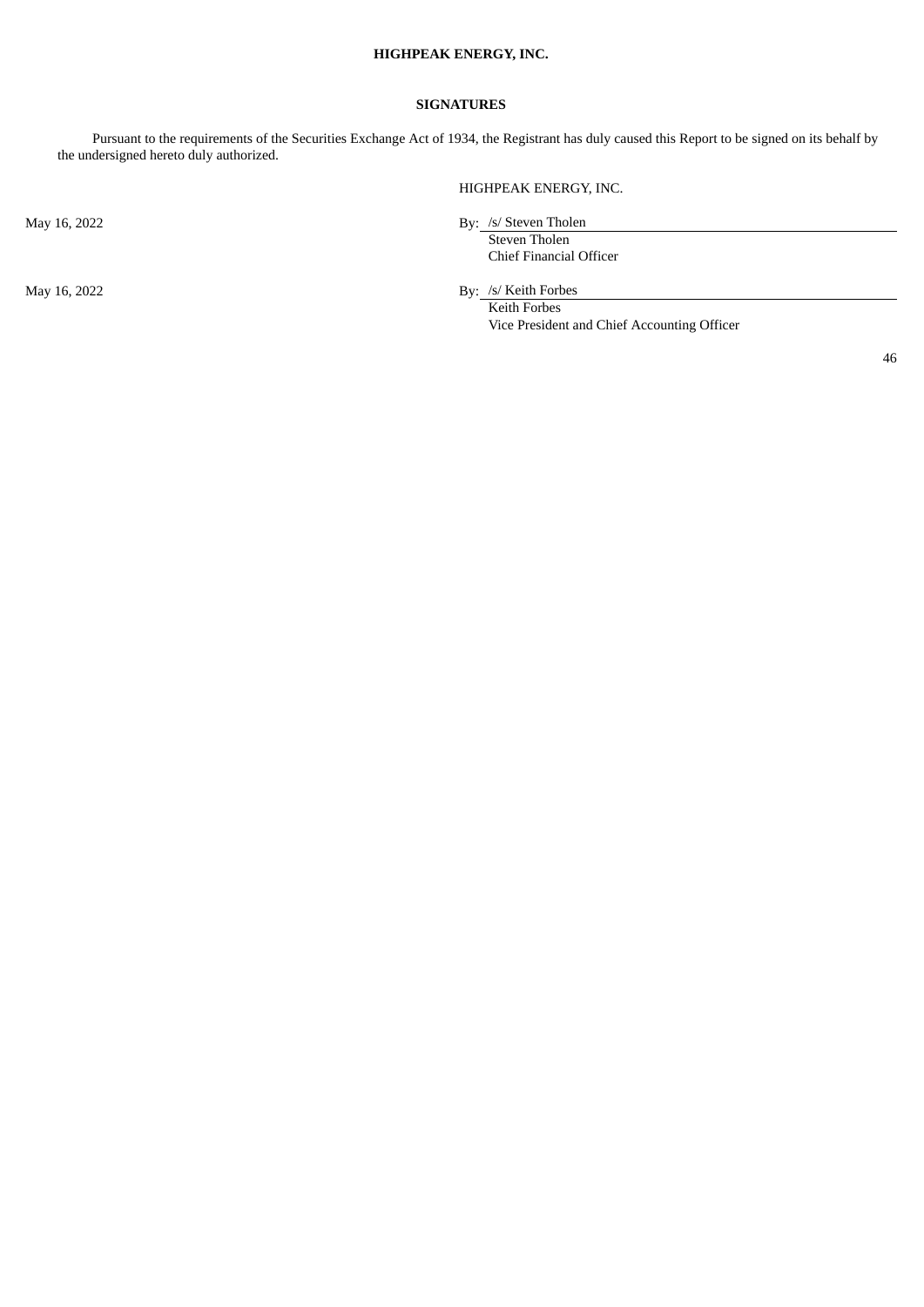# **HIGHPEAK ENERGY, INC.**

### **SIGNATURES**

Pursuant to the requirements of the Securities Exchange Act of 1934, the Registrant has duly caused this Report to be signed on its behalf by the undersigned hereto duly authorized.

HIGHPEAK ENERGY, INC.

May 16, 2022 By: /s/ Steven Tholen

Steven Tholen Chief Financial Officer

May 16, 2022 By: /s/ Keith Forbes

Keith Forbes Vice President and Chief Accounting Officer

46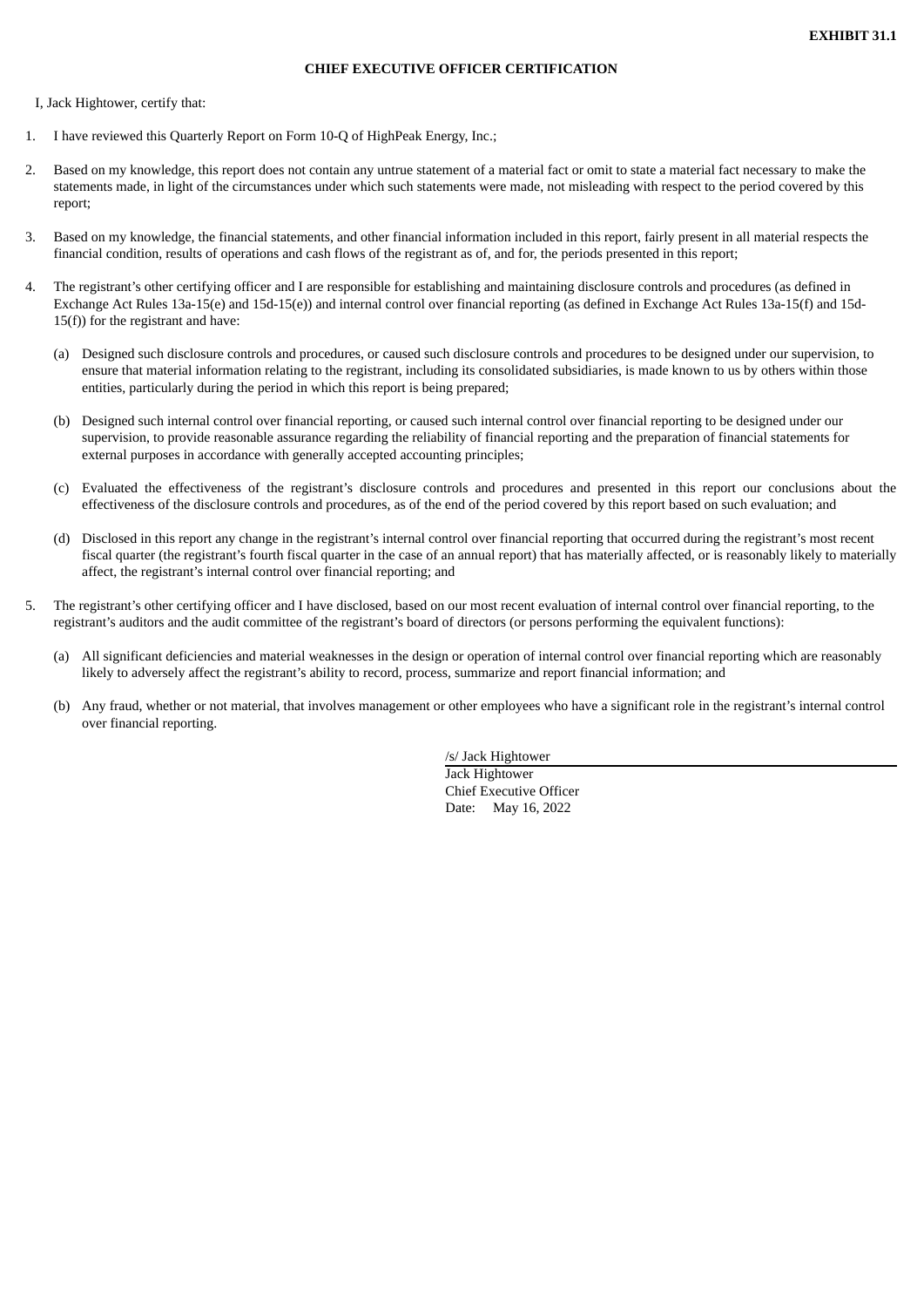#### **CHIEF EXECUTIVE OFFICER CERTIFICATION**

<span id="page-49-0"></span>I, Jack Hightower, certify that:

- 1. I have reviewed this Quarterly Report on Form 10-Q of HighPeak Energy, Inc.;
- 2. Based on my knowledge, this report does not contain any untrue statement of a material fact or omit to state a material fact necessary to make the statements made, in light of the circumstances under which such statements were made, not misleading with respect to the period covered by this report;
- 3. Based on my knowledge, the financial statements, and other financial information included in this report, fairly present in all material respects the financial condition, results of operations and cash flows of the registrant as of, and for, the periods presented in this report;
- 4. The registrant's other certifying officer and I are responsible for establishing and maintaining disclosure controls and procedures (as defined in Exchange Act Rules 13a-15(e) and 15d-15(e)) and internal control over financial reporting (as defined in Exchange Act Rules 13a-15(f) and 15d-15(f)) for the registrant and have:
	- (a) Designed such disclosure controls and procedures, or caused such disclosure controls and procedures to be designed under our supervision, to ensure that material information relating to the registrant, including its consolidated subsidiaries, is made known to us by others within those entities, particularly during the period in which this report is being prepared;
	- (b) Designed such internal control over financial reporting, or caused such internal control over financial reporting to be designed under our supervision, to provide reasonable assurance regarding the reliability of financial reporting and the preparation of financial statements for external purposes in accordance with generally accepted accounting principles;
	- (c) Evaluated the effectiveness of the registrant's disclosure controls and procedures and presented in this report our conclusions about the effectiveness of the disclosure controls and procedures, as of the end of the period covered by this report based on such evaluation; and
	- (d) Disclosed in this report any change in the registrant's internal control over financial reporting that occurred during the registrant's most recent fiscal quarter (the registrant's fourth fiscal quarter in the case of an annual report) that has materially affected, or is reasonably likely to materially affect, the registrant's internal control over financial reporting; and
- 5. The registrant's other certifying officer and I have disclosed, based on our most recent evaluation of internal control over financial reporting, to the registrant's auditors and the audit committee of the registrant's board of directors (or persons performing the equivalent functions):
	- (a) All significant deficiencies and material weaknesses in the design or operation of internal control over financial reporting which are reasonably likely to adversely affect the registrant's ability to record, process, summarize and report financial information; and
	- (b) Any fraud, whether or not material, that involves management or other employees who have a significant role in the registrant's internal control over financial reporting.

/s/ Jack Hightower Jack Hightower Chief Executive Officer Date: May 16, 2022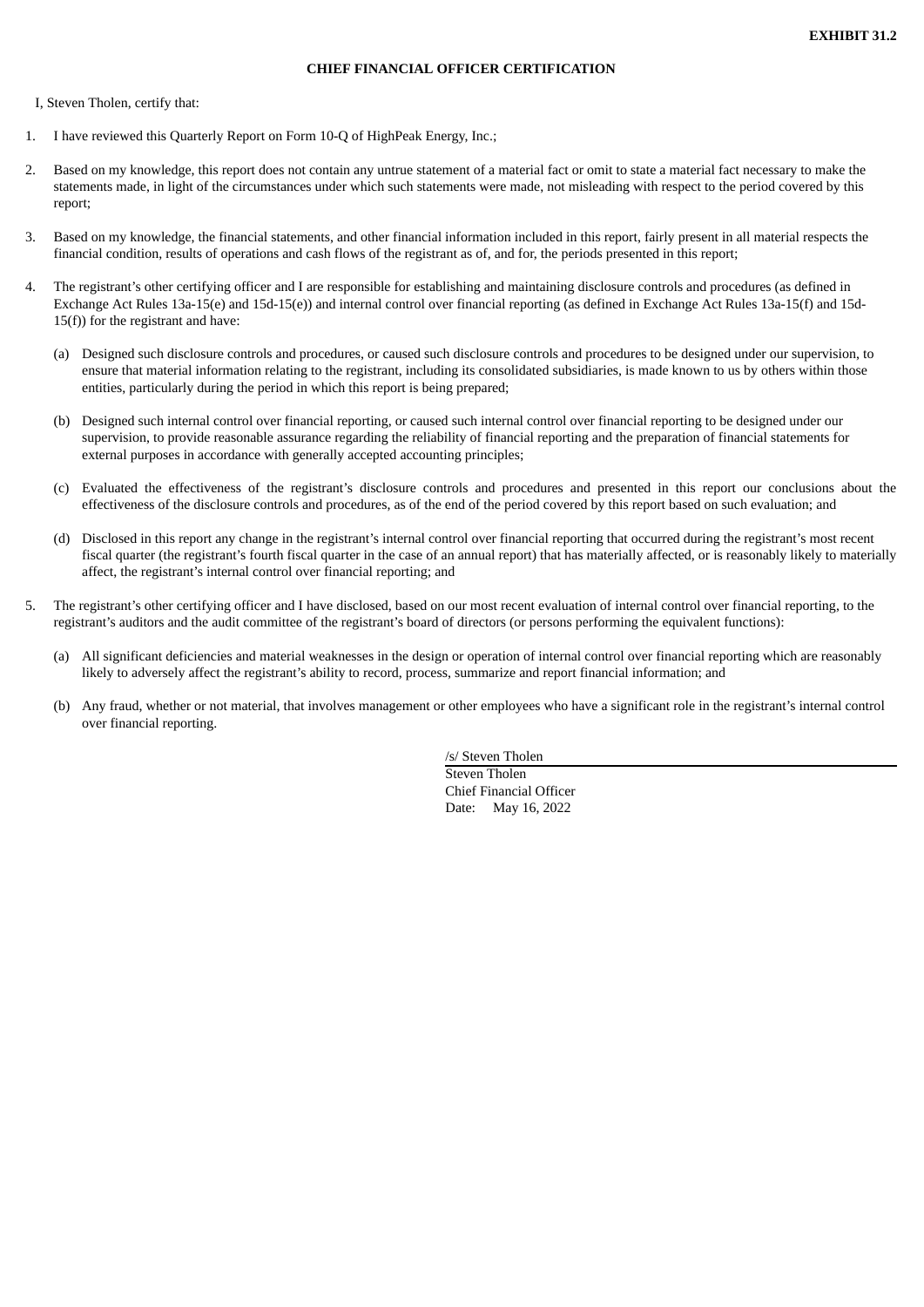#### **CHIEF FINANCIAL OFFICER CERTIFICATION**

<span id="page-50-0"></span>I, Steven Tholen, certify that:

- 1. I have reviewed this Quarterly Report on Form 10-Q of HighPeak Energy, Inc.;
- 2. Based on my knowledge, this report does not contain any untrue statement of a material fact or omit to state a material fact necessary to make the statements made, in light of the circumstances under which such statements were made, not misleading with respect to the period covered by this report;
- 3. Based on my knowledge, the financial statements, and other financial information included in this report, fairly present in all material respects the financial condition, results of operations and cash flows of the registrant as of, and for, the periods presented in this report;
- 4. The registrant's other certifying officer and I are responsible for establishing and maintaining disclosure controls and procedures (as defined in Exchange Act Rules 13a-15(e) and 15d-15(e)) and internal control over financial reporting (as defined in Exchange Act Rules 13a-15(f) and 15d-15(f)) for the registrant and have:
	- (a) Designed such disclosure controls and procedures, or caused such disclosure controls and procedures to be designed under our supervision, to ensure that material information relating to the registrant, including its consolidated subsidiaries, is made known to us by others within those entities, particularly during the period in which this report is being prepared;
	- (b) Designed such internal control over financial reporting, or caused such internal control over financial reporting to be designed under our supervision, to provide reasonable assurance regarding the reliability of financial reporting and the preparation of financial statements for external purposes in accordance with generally accepted accounting principles;
	- (c) Evaluated the effectiveness of the registrant's disclosure controls and procedures and presented in this report our conclusions about the effectiveness of the disclosure controls and procedures, as of the end of the period covered by this report based on such evaluation; and
	- (d) Disclosed in this report any change in the registrant's internal control over financial reporting that occurred during the registrant's most recent fiscal quarter (the registrant's fourth fiscal quarter in the case of an annual report) that has materially affected, or is reasonably likely to materially affect, the registrant's internal control over financial reporting; and
- 5. The registrant's other certifying officer and I have disclosed, based on our most recent evaluation of internal control over financial reporting, to the registrant's auditors and the audit committee of the registrant's board of directors (or persons performing the equivalent functions):
	- (a) All significant deficiencies and material weaknesses in the design or operation of internal control over financial reporting which are reasonably likely to adversely affect the registrant's ability to record, process, summarize and report financial information; and
	- (b) Any fraud, whether or not material, that involves management or other employees who have a significant role in the registrant's internal control over financial reporting.

/s/ Steven Tholen Steven Tholen Chief Financial Officer Date: May 16, 2022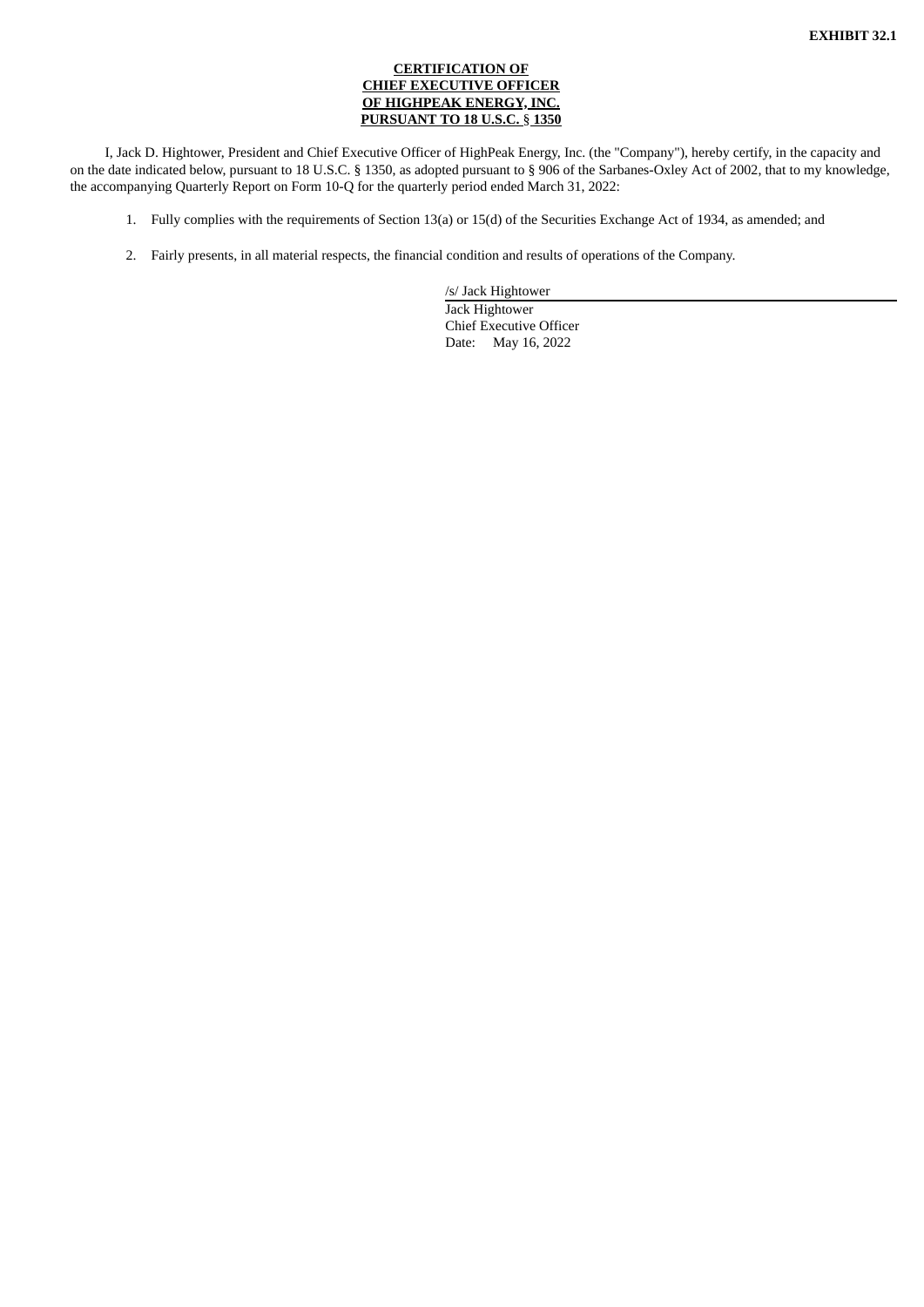# **CERTIFICATION OF CHIEF EXECUTIVE OFFICER OF HIGHPEAK ENERGY, INC. PURSUANT TO 18 U.S.C.** § **1350**

<span id="page-51-0"></span>I, Jack D. Hightower, President and Chief Executive Officer of HighPeak Energy, Inc. (the "Company"), hereby certify, in the capacity and on the date indicated below, pursuant to 18 U.S.C. § 1350, as adopted pursuant to § 906 of the Sarbanes-Oxley Act of 2002, that to my knowledge, the accompanying Quarterly Report on Form 10-Q for the quarterly period ended March 31, 2022:

- 1. Fully complies with the requirements of Section 13(a) or 15(d) of the Securities Exchange Act of 1934, as amended; and
- 2. Fairly presents, in all material respects, the financial condition and results of operations of the Company.

/s/ Jack Hightower Jack Hightower Chief Executive Officer Date: May 16, 2022